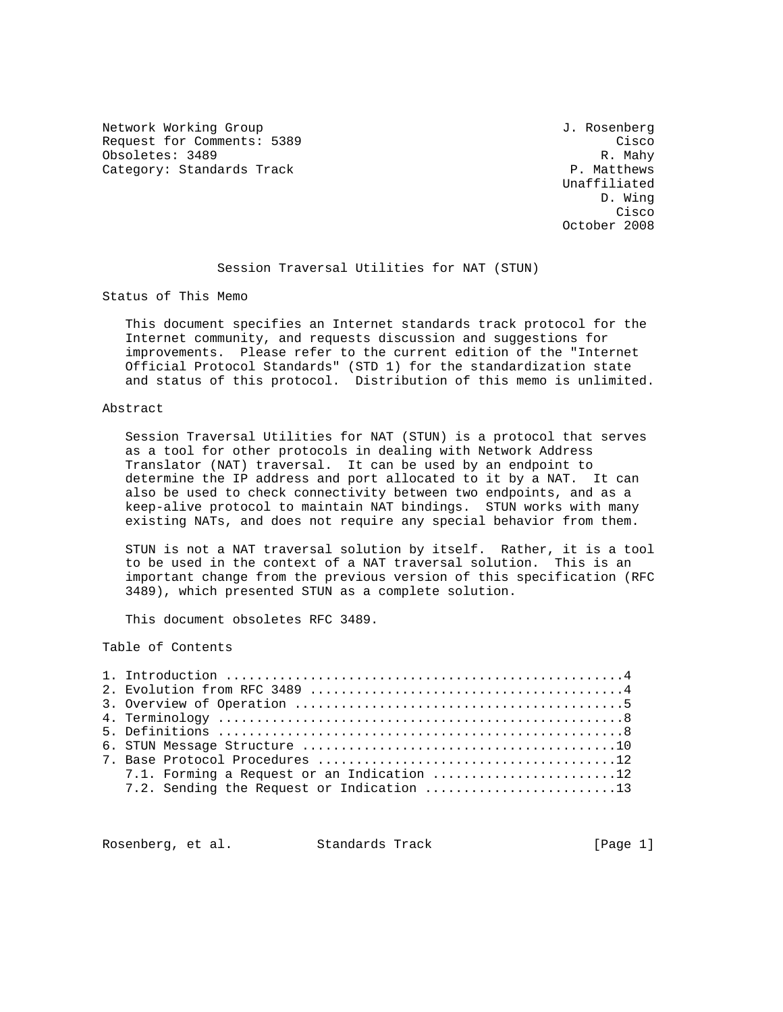Network Working Group 3. 2008 1. Rosenberg 3. Rosenberg 3. Rosenberg Request for Comments: 5389 Cisco Obsoletes: 3489 R. Mahy<br>Category: Standards Track Category: Standards Track Category: Standards Track

 Unaffiliated D. Wing **Cisco de la contrata de la contrata de la contrata de la contrata de la contrata de la contrata de la contrat** October 2008

# Session Traversal Utilities for NAT (STUN)

Status of This Memo

 This document specifies an Internet standards track protocol for the Internet community, and requests discussion and suggestions for improvements. Please refer to the current edition of the "Internet Official Protocol Standards" (STD 1) for the standardization state and status of this protocol. Distribution of this memo is unlimited.

### Abstract

 Session Traversal Utilities for NAT (STUN) is a protocol that serves as a tool for other protocols in dealing with Network Address Translator (NAT) traversal. It can be used by an endpoint to determine the IP address and port allocated to it by a NAT. It can also be used to check connectivity between two endpoints, and as a keep-alive protocol to maintain NAT bindings. STUN works with many existing NATs, and does not require any special behavior from them.

 STUN is not a NAT traversal solution by itself. Rather, it is a tool to be used in the context of a NAT traversal solution. This is an important change from the previous version of this specification (RFC 3489), which presented STUN as a complete solution.

This document obsoletes RFC 3489.

Table of Contents

| 7.1. Forming a Request or an Indication 12 |
|--------------------------------------------|
| 7.2. Sending the Request or Indication 13  |

Rosenberg, et al. Standards Track [Page 1]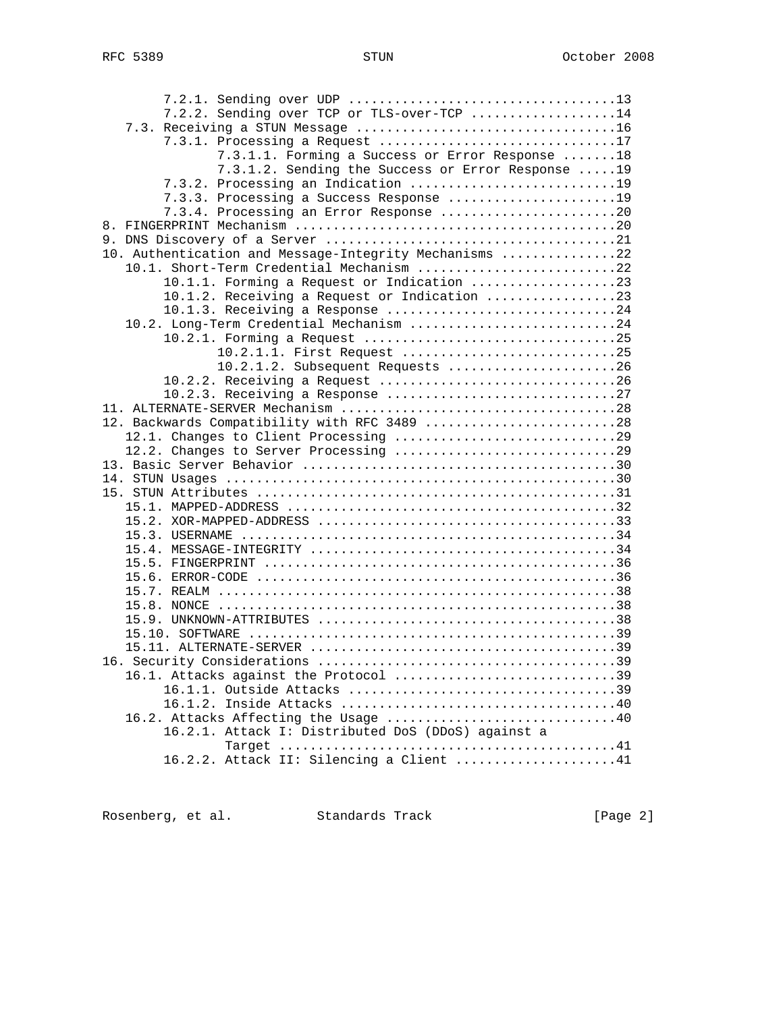| 7.2.2. Sending over TCP or TLS-over-TCP 14             |
|--------------------------------------------------------|
|                                                        |
| 7.3.1. Processing a Request 17                         |
| 7.3.1.1. Forming a Success or Error Response 18        |
| 7.3.1.2. Sending the Success or Error Response  19     |
| 7.3.2. Processing an Indication 19                     |
| 7.3.3. Processing a Success Response 19                |
| 7.3.4. Processing an Error Response 20                 |
|                                                        |
|                                                        |
| 10. Authentication and Message-Integrity Mechanisms 22 |
| 10.1. Short-Term Credential Mechanism 22               |
| 10.1.1. Forming a Request or Indication 23             |
| 10.1.2. Receiving a Request or Indication 23           |
| 10.1.3. Receiving a Response 24                        |
| 10.2. Long-Term Credential Mechanism 24                |
|                                                        |
| 10.2.1.1. First Request 25                             |
| 10.2.1.2. Subsequent Requests 26                       |
|                                                        |
|                                                        |
|                                                        |
| 12. Backwards Compatibility with RFC 3489 28           |
|                                                        |
|                                                        |
|                                                        |
|                                                        |
|                                                        |
|                                                        |
|                                                        |
|                                                        |
|                                                        |
|                                                        |
|                                                        |
|                                                        |
|                                                        |
|                                                        |
|                                                        |
|                                                        |
|                                                        |
| 16.1. Attacks against the Protocol 39                  |
|                                                        |
|                                                        |
|                                                        |
| 16.2.1. Attack I: Distributed DoS (DDoS) against a     |
|                                                        |
| 16.2.2. Attack II: Silencing a Client 41               |

Rosenberg, et al. Standards Track [Page 2]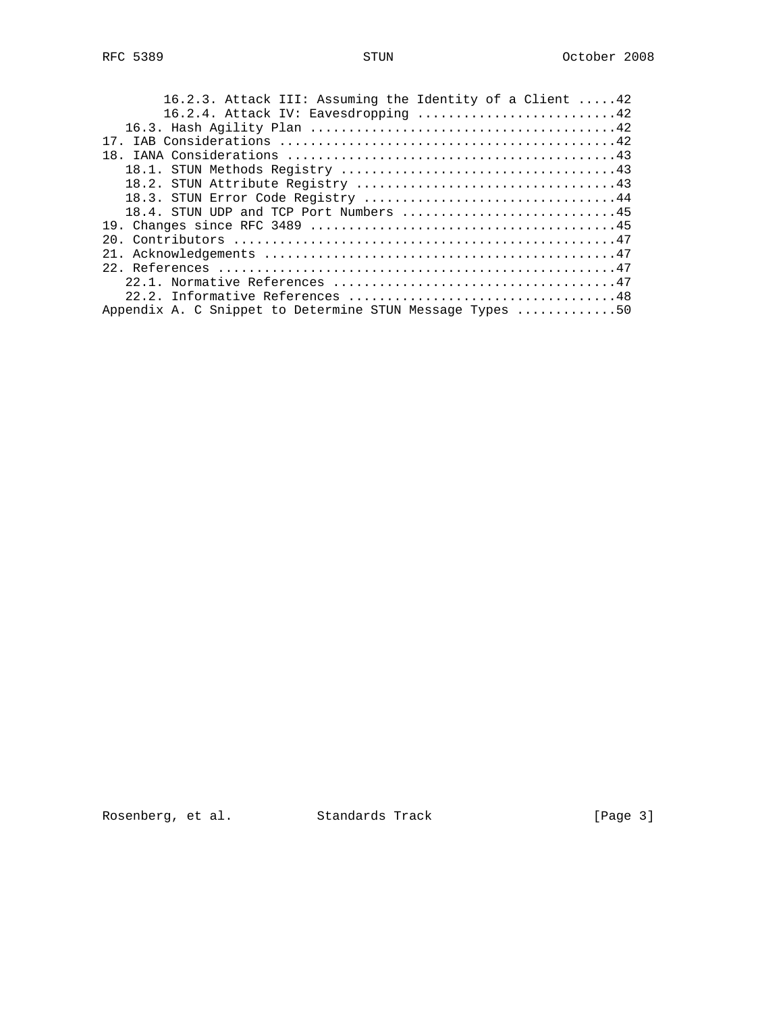| 16.2.3. Attack III: Assuming the Identity of a Client 42 |
|----------------------------------------------------------|
| 16.2.4. Attack IV: Eavesdropping 42                      |
|                                                          |
| 17                                                       |
| 18.                                                      |
|                                                          |
|                                                          |
| 18.3. STUN Error Code Registry 44                        |
| 18.4. STUN UDP and TCP Port Numbers 45                   |
|                                                          |
|                                                          |
| 21                                                       |
|                                                          |
|                                                          |
|                                                          |
| Appendix A. C Snippet to Determine STUN Message Types 50 |
|                                                          |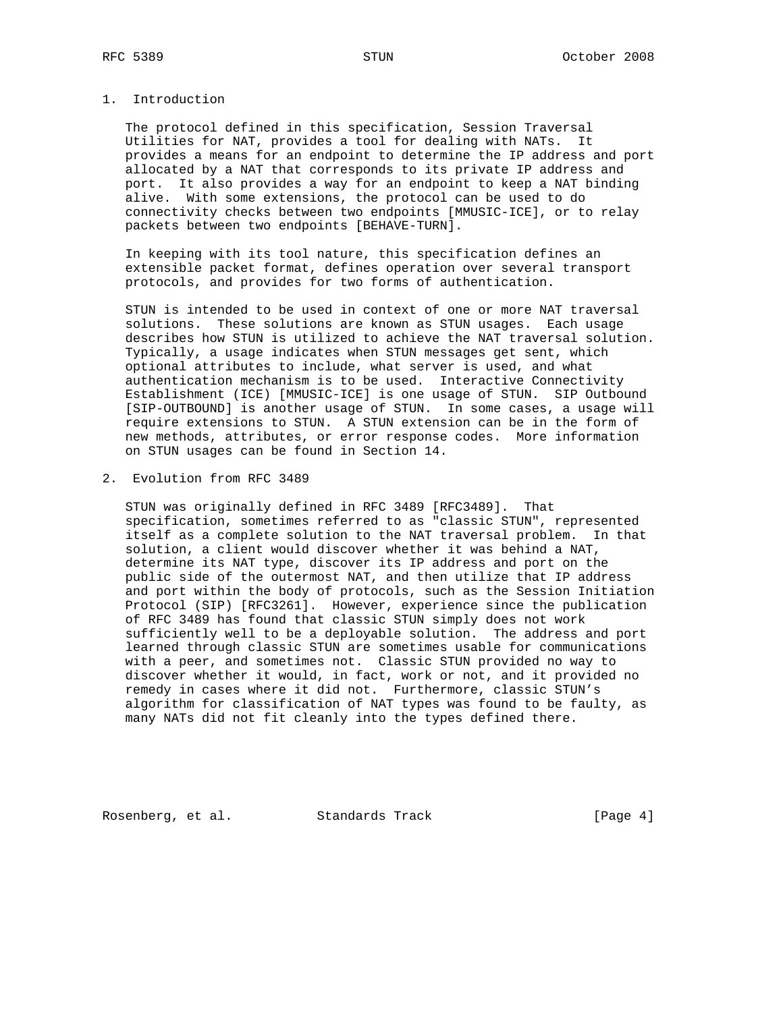# 1. Introduction

 The protocol defined in this specification, Session Traversal Utilities for NAT, provides a tool for dealing with NATs. It provides a means for an endpoint to determine the IP address and port allocated by a NAT that corresponds to its private IP address and port. It also provides a way for an endpoint to keep a NAT binding alive. With some extensions, the protocol can be used to do connectivity checks between two endpoints [MMUSIC-ICE], or to relay packets between two endpoints [BEHAVE-TURN].

 In keeping with its tool nature, this specification defines an extensible packet format, defines operation over several transport protocols, and provides for two forms of authentication.

 STUN is intended to be used in context of one or more NAT traversal solutions. These solutions are known as STUN usages. Each usage describes how STUN is utilized to achieve the NAT traversal solution. Typically, a usage indicates when STUN messages get sent, which optional attributes to include, what server is used, and what authentication mechanism is to be used. Interactive Connectivity Establishment (ICE) [MMUSIC-ICE] is one usage of STUN. SIP Outbound [SIP-OUTBOUND] is another usage of STUN. In some cases, a usage will require extensions to STUN. A STUN extension can be in the form of new methods, attributes, or error response codes. More information on STUN usages can be found in Section 14.

2. Evolution from RFC 3489

 STUN was originally defined in RFC 3489 [RFC3489]. That specification, sometimes referred to as "classic STUN", represented itself as a complete solution to the NAT traversal problem. In that solution, a client would discover whether it was behind a NAT, determine its NAT type, discover its IP address and port on the public side of the outermost NAT, and then utilize that IP address and port within the body of protocols, such as the Session Initiation Protocol (SIP) [RFC3261]. However, experience since the publication of RFC 3489 has found that classic STUN simply does not work sufficiently well to be a deployable solution. The address and port learned through classic STUN are sometimes usable for communications with a peer, and sometimes not. Classic STUN provided no way to discover whether it would, in fact, work or not, and it provided no remedy in cases where it did not. Furthermore, classic STUN's algorithm for classification of NAT types was found to be faulty, as many NATs did not fit cleanly into the types defined there.

Rosenberg, et al. Standards Track [Page 4]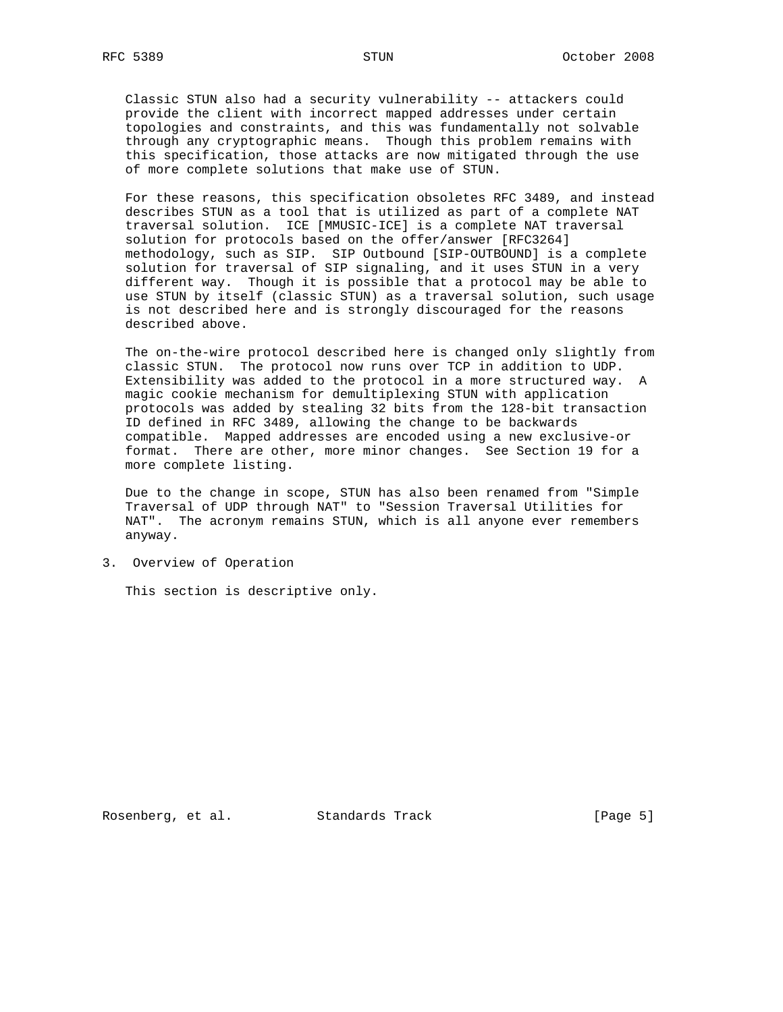Classic STUN also had a security vulnerability -- attackers could provide the client with incorrect mapped addresses under certain topologies and constraints, and this was fundamentally not solvable through any cryptographic means. Though this problem remains with this specification, those attacks are now mitigated through the use of more complete solutions that make use of STUN.

 For these reasons, this specification obsoletes RFC 3489, and instead describes STUN as a tool that is utilized as part of a complete NAT traversal solution. ICE [MMUSIC-ICE] is a complete NAT traversal solution for protocols based on the offer/answer [RFC3264] methodology, such as SIP. SIP Outbound [SIP-OUTBOUND] is a complete solution for traversal of SIP signaling, and it uses STUN in a very different way. Though it is possible that a protocol may be able to use STUN by itself (classic STUN) as a traversal solution, such usage is not described here and is strongly discouraged for the reasons described above.

 The on-the-wire protocol described here is changed only slightly from classic STUN. The protocol now runs over TCP in addition to UDP. Extensibility was added to the protocol in a more structured way. A magic cookie mechanism for demultiplexing STUN with application protocols was added by stealing 32 bits from the 128-bit transaction ID defined in RFC 3489, allowing the change to be backwards compatible. Mapped addresses are encoded using a new exclusive-or format. There are other, more minor changes. See Section 19 for a more complete listing.

 Due to the change in scope, STUN has also been renamed from "Simple Traversal of UDP through NAT" to "Session Traversal Utilities for NAT". The acronym remains STUN, which is all anyone ever remembers anyway.

3. Overview of Operation

This section is descriptive only.

Rosenberg, et al. Standards Track [Page 5]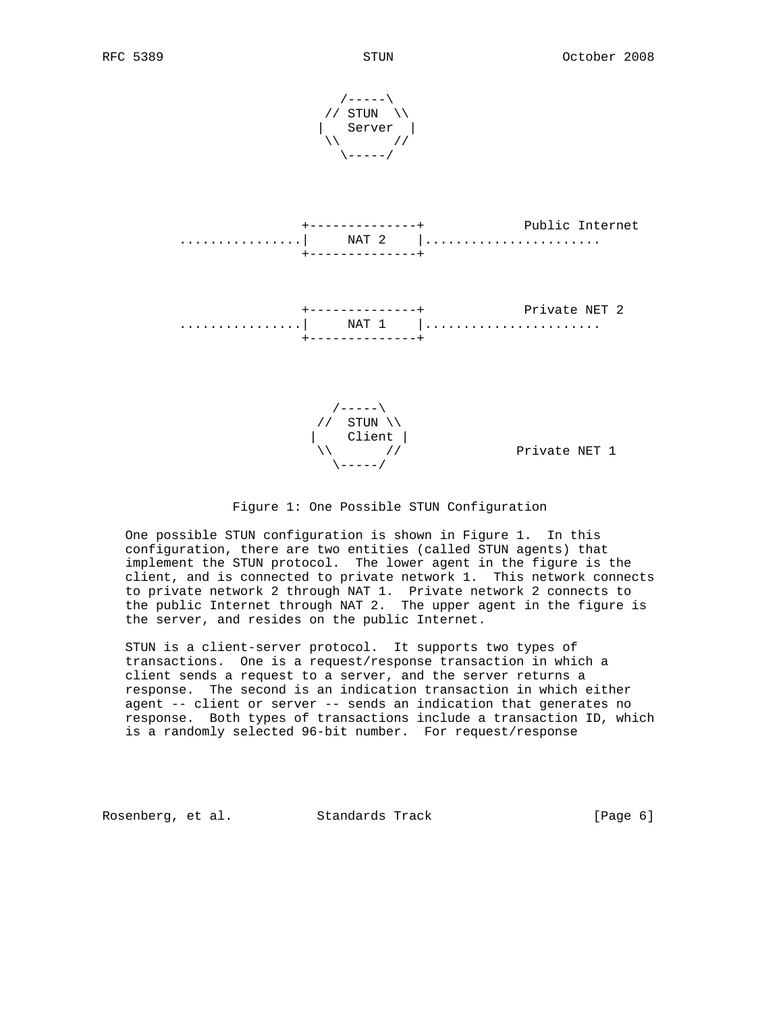





 One possible STUN configuration is shown in Figure 1. In this configuration, there are two entities (called STUN agents) that implement the STUN protocol. The lower agent in the figure is the client, and is connected to private network 1. This network connects to private network 2 through NAT 1. Private network 2 connects to the public Internet through NAT 2. The upper agent in the figure is the server, and resides on the public Internet.

 STUN is a client-server protocol. It supports two types of transactions. One is a request/response transaction in which a client sends a request to a server, and the server returns a response. The second is an indication transaction in which either agent -- client or server -- sends an indication that generates no response. Both types of transactions include a transaction ID, which is a randomly selected 96-bit number. For request/response

Rosenberg, et al. Standards Track [Page 6]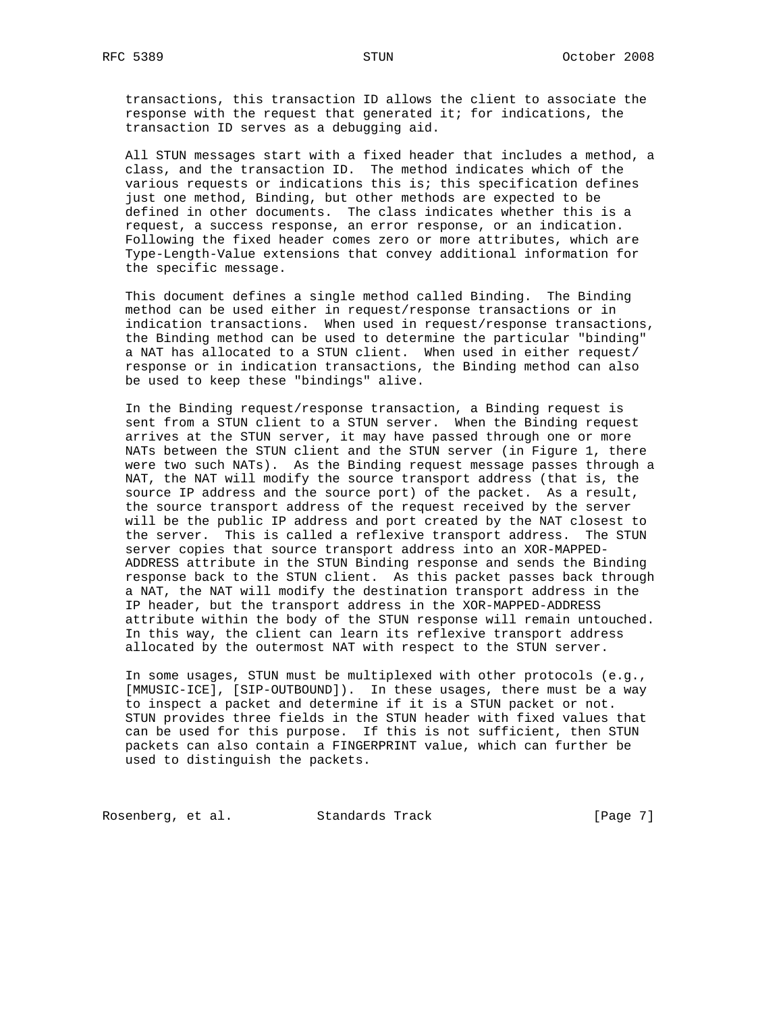transactions, this transaction ID allows the client to associate the response with the request that generated it; for indications, the transaction ID serves as a debugging aid.

 All STUN messages start with a fixed header that includes a method, a class, and the transaction ID. The method indicates which of the various requests or indications this is; this specification defines just one method, Binding, but other methods are expected to be defined in other documents. The class indicates whether this is a request, a success response, an error response, or an indication. Following the fixed header comes zero or more attributes, which are Type-Length-Value extensions that convey additional information for the specific message.

 This document defines a single method called Binding. The Binding method can be used either in request/response transactions or in indication transactions. When used in request/response transactions, the Binding method can be used to determine the particular "binding" a NAT has allocated to a STUN client. When used in either request/ response or in indication transactions, the Binding method can also be used to keep these "bindings" alive.

 In the Binding request/response transaction, a Binding request is sent from a STUN client to a STUN server. When the Binding request arrives at the STUN server, it may have passed through one or more NATs between the STUN client and the STUN server (in Figure 1, there were two such NATs). As the Binding request message passes through a NAT, the NAT will modify the source transport address (that is, the source IP address and the source port) of the packet. As a result, the source transport address of the request received by the server will be the public IP address and port created by the NAT closest to the server. This is called a reflexive transport address. The STUN server copies that source transport address into an XOR-MAPPED- ADDRESS attribute in the STUN Binding response and sends the Binding response back to the STUN client. As this packet passes back through a NAT, the NAT will modify the destination transport address in the IP header, but the transport address in the XOR-MAPPED-ADDRESS attribute within the body of the STUN response will remain untouched. In this way, the client can learn its reflexive transport address allocated by the outermost NAT with respect to the STUN server.

 In some usages, STUN must be multiplexed with other protocols (e.g., [MMUSIC-ICE], [SIP-OUTBOUND]). In these usages, there must be a way to inspect a packet and determine if it is a STUN packet or not. STUN provides three fields in the STUN header with fixed values that can be used for this purpose. If this is not sufficient, then STUN packets can also contain a FINGERPRINT value, which can further be used to distinguish the packets.

Rosenberg, et al. Standards Track [Page 7]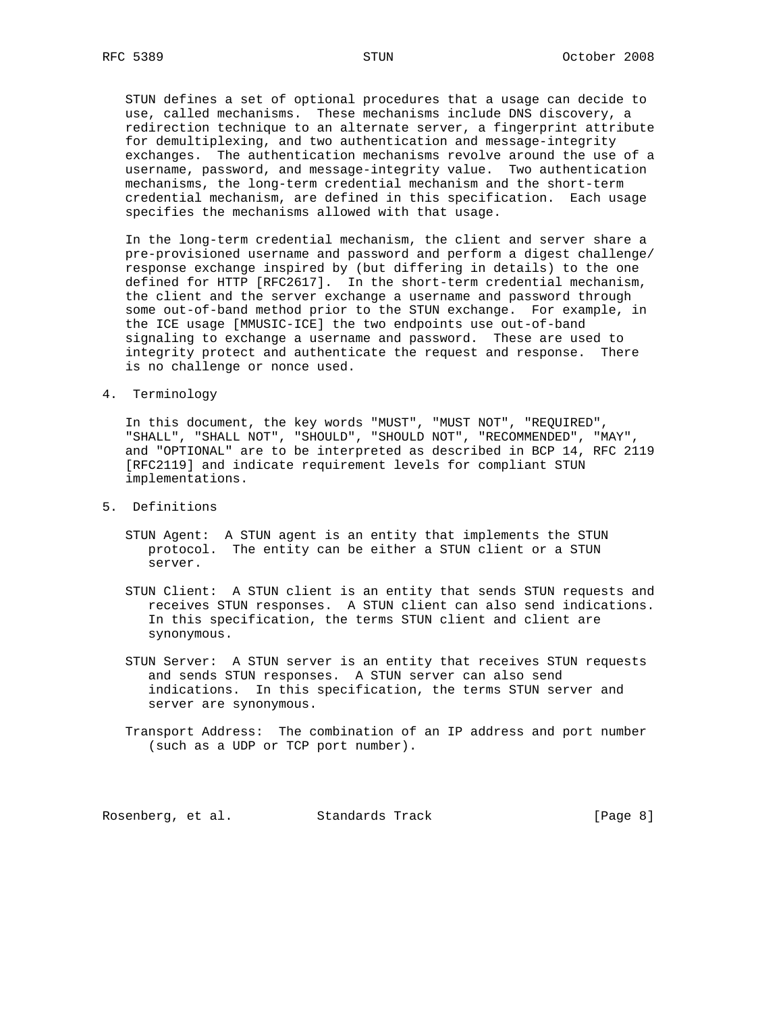STUN defines a set of optional procedures that a usage can decide to use, called mechanisms. These mechanisms include DNS discovery, a redirection technique to an alternate server, a fingerprint attribute for demultiplexing, and two authentication and message-integrity exchanges. The authentication mechanisms revolve around the use of a username, password, and message-integrity value. Two authentication mechanisms, the long-term credential mechanism and the short-term credential mechanism, are defined in this specification. Each usage specifies the mechanisms allowed with that usage.

 In the long-term credential mechanism, the client and server share a pre-provisioned username and password and perform a digest challenge/ response exchange inspired by (but differing in details) to the one defined for HTTP [RFC2617]. In the short-term credential mechanism, the client and the server exchange a username and password through some out-of-band method prior to the STUN exchange. For example, in the ICE usage [MMUSIC-ICE] the two endpoints use out-of-band signaling to exchange a username and password. These are used to integrity protect and authenticate the request and response. There is no challenge or nonce used.

4. Terminology

 In this document, the key words "MUST", "MUST NOT", "REQUIRED", "SHALL", "SHALL NOT", "SHOULD", "SHOULD NOT", "RECOMMENDED", "MAY", and "OPTIONAL" are to be interpreted as described in BCP 14, RFC 2119 [RFC2119] and indicate requirement levels for compliant STUN implementations.

- 5. Definitions
	- STUN Agent: A STUN agent is an entity that implements the STUN protocol. The entity can be either a STUN client or a STUN server.
	- STUN Client: A STUN client is an entity that sends STUN requests and receives STUN responses. A STUN client can also send indications. In this specification, the terms STUN client and client are synonymous.
	- STUN Server: A STUN server is an entity that receives STUN requests and sends STUN responses. A STUN server can also send indications. In this specification, the terms STUN server and server are synonymous.
	- Transport Address: The combination of an IP address and port number (such as a UDP or TCP port number).

Rosenberg, et al. Standards Track [Page 8]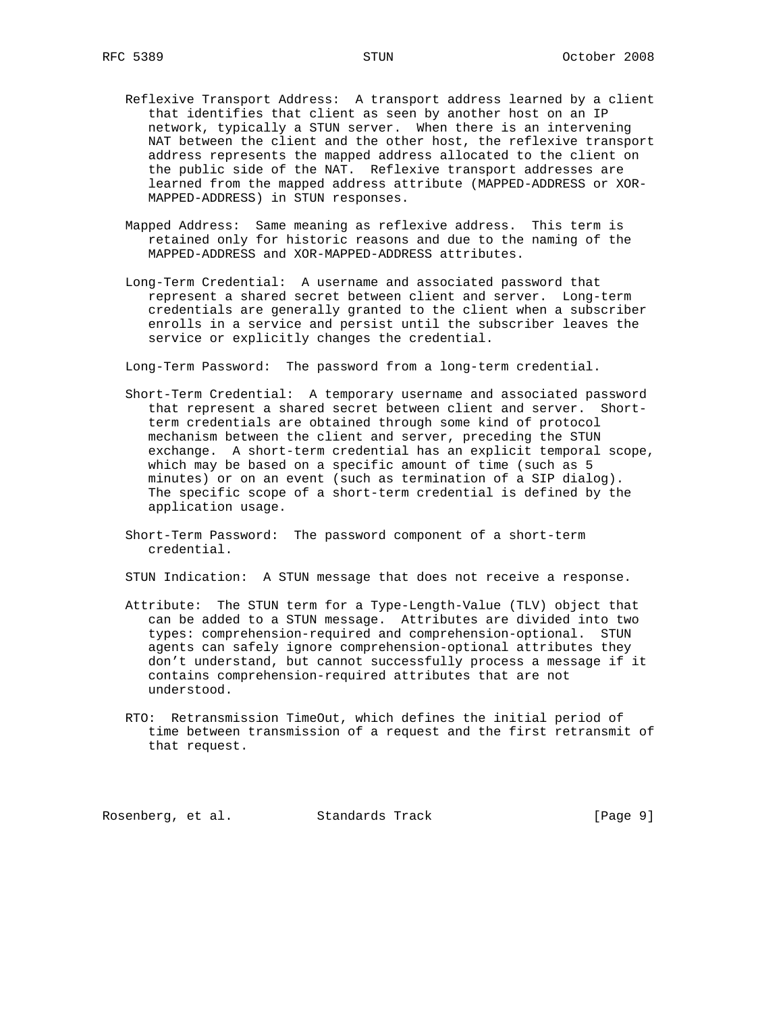- Reflexive Transport Address: A transport address learned by a client that identifies that client as seen by another host on an IP network, typically a STUN server. When there is an intervening NAT between the client and the other host, the reflexive transport address represents the mapped address allocated to the client on the public side of the NAT. Reflexive transport addresses are learned from the mapped address attribute (MAPPED-ADDRESS or XOR- MAPPED-ADDRESS) in STUN responses.
- Mapped Address: Same meaning as reflexive address. This term is retained only for historic reasons and due to the naming of the MAPPED-ADDRESS and XOR-MAPPED-ADDRESS attributes.
- Long-Term Credential: A username and associated password that represent a shared secret between client and server. Long-term credentials are generally granted to the client when a subscriber enrolls in a service and persist until the subscriber leaves the service or explicitly changes the credential.

Long-Term Password: The password from a long-term credential.

- Short-Term Credential: A temporary username and associated password that represent a shared secret between client and server. Short term credentials are obtained through some kind of protocol mechanism between the client and server, preceding the STUN exchange. A short-term credential has an explicit temporal scope, which may be based on a specific amount of time (such as 5 minutes) or on an event (such as termination of a SIP dialog). The specific scope of a short-term credential is defined by the application usage.
- Short-Term Password: The password component of a short-term credential.

STUN Indication: A STUN message that does not receive a response.

- Attribute: The STUN term for a Type-Length-Value (TLV) object that can be added to a STUN message. Attributes are divided into two types: comprehension-required and comprehension-optional. STUN agents can safely ignore comprehension-optional attributes they don't understand, but cannot successfully process a message if it contains comprehension-required attributes that are not understood.
- RTO: Retransmission TimeOut, which defines the initial period of time between transmission of a request and the first retransmit of that request.

Rosenberg, et al. Standards Track [Page 9]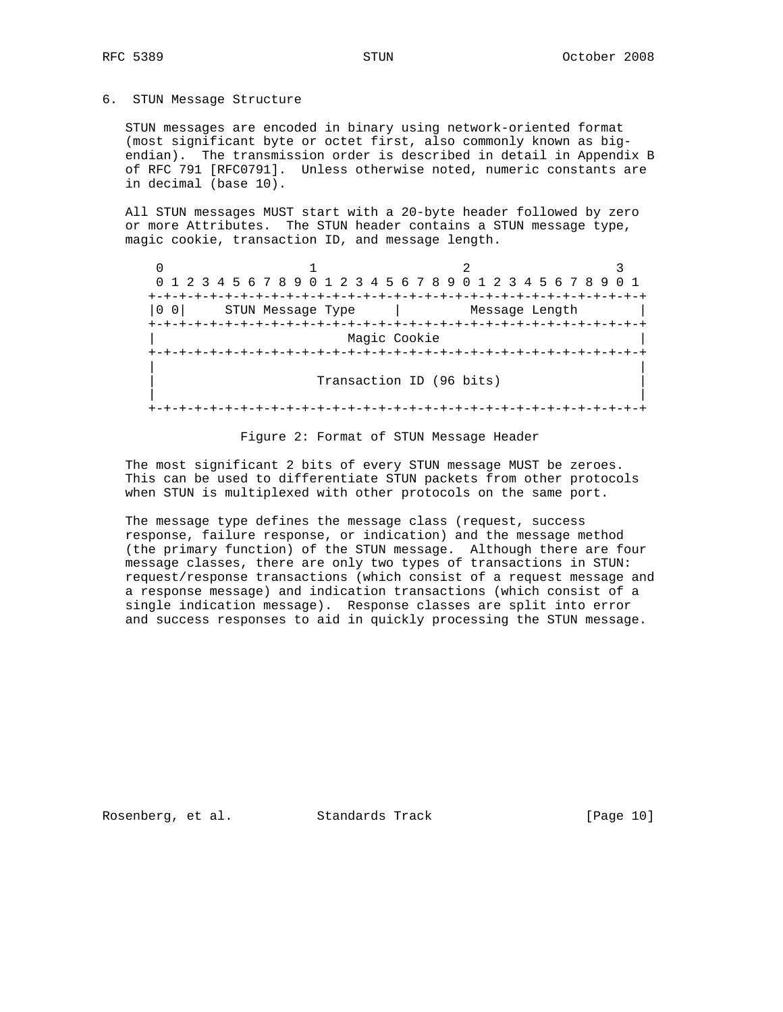### 6. STUN Message Structure

 STUN messages are encoded in binary using network-oriented format (most significant byte or octet first, also commonly known as big endian). The transmission order is described in detail in Appendix B of RFC 791 [RFC0791]. Unless otherwise noted, numeric constants are in decimal (base 10).

 All STUN messages MUST start with a 20-byte header followed by zero or more Attributes. The STUN header contains a STUN message type, magic cookie, transaction ID, and message length.

 $0$  1 2 3 0 1 2 3 4 5 6 7 8 9 0 1 2 3 4 5 6 7 8 9 0 1 2 3 4 5 6 7 8 9 0 1 +-+-+-+-+-+-+-+-+-+-+-+-+-+-+-+-+-+-+-+-+-+-+-+-+-+-+-+-+-+-+-+-+  $|0\;0|$  STUN Message Type  $|$  +-+-+-+-+-+-+-+-+-+-+-+-+-+-+-+-+-+-+-+-+-+-+-+-+-+-+-+-+-+-+-+-+ Magic Cookie +-+-+-+-+-+-+-+-+-+-+-+-+-+-+-+-+-+-+-+-+-+-+-+-+-+-+-+-+-+-+-+-+ | | Transaction ID (96 bits) | | +-+-+-+-+-+-+-+-+-+-+-+-+-+-+-+-+-+-+-+-+-+-+-+-+-+-+-+-+-+-+-+-+

#### Figure 2: Format of STUN Message Header

 The most significant 2 bits of every STUN message MUST be zeroes. This can be used to differentiate STUN packets from other protocols when STUN is multiplexed with other protocols on the same port.

 The message type defines the message class (request, success response, failure response, or indication) and the message method (the primary function) of the STUN message. Although there are four message classes, there are only two types of transactions in STUN: request/response transactions (which consist of a request message and a response message) and indication transactions (which consist of a single indication message). Response classes are split into error and success responses to aid in quickly processing the STUN message.

Rosenberg, et al. Standards Track [Page 10]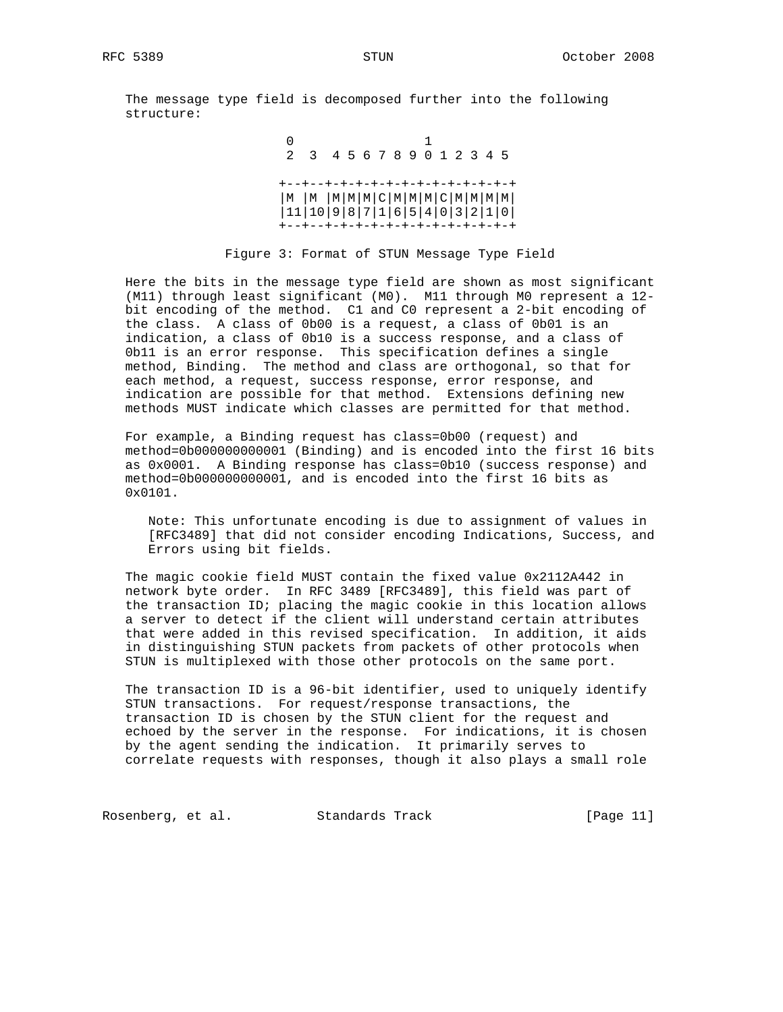The message type field is decomposed further into the following structure:

 0 1 2 3 4 5 6 7 8 9 0 1 2 3 4 5 +--+--+-+-+-+-+-+-+-+-+-+-+-+-+ |M |M |M|M|M|C|M|M|M|C|M|M|M|M| |11|10|9|8|7|1|6|5|4|0|3|2|1|0| +--+--+-+-+-+-+-+-+-+-+-+-+-+-+

Figure 3: Format of STUN Message Type Field

 Here the bits in the message type field are shown as most significant (M11) through least significant (M0). M11 through M0 represent a 12 bit encoding of the method. C1 and C0 represent a 2-bit encoding of the class. A class of 0b00 is a request, a class of 0b01 is an indication, a class of 0b10 is a success response, and a class of 0b11 is an error response. This specification defines a single method, Binding. The method and class are orthogonal, so that for each method, a request, success response, error response, and indication are possible for that method. Extensions defining new methods MUST indicate which classes are permitted for that method.

 For example, a Binding request has class=0b00 (request) and method=0b000000000001 (Binding) and is encoded into the first 16 bits as 0x0001. A Binding response has class=0b10 (success response) and method=0b000000000001, and is encoded into the first 16 bits as 0x0101.

 Note: This unfortunate encoding is due to assignment of values in [RFC3489] that did not consider encoding Indications, Success, and Errors using bit fields.

 The magic cookie field MUST contain the fixed value 0x2112A442 in network byte order. In RFC 3489 [RFC3489], this field was part of the transaction ID; placing the magic cookie in this location allows a server to detect if the client will understand certain attributes that were added in this revised specification. In addition, it aids in distinguishing STUN packets from packets of other protocols when STUN is multiplexed with those other protocols on the same port.

 The transaction ID is a 96-bit identifier, used to uniquely identify STUN transactions. For request/response transactions, the transaction ID is chosen by the STUN client for the request and echoed by the server in the response. For indications, it is chosen by the agent sending the indication. It primarily serves to correlate requests with responses, though it also plays a small role

Rosenberg, et al. Standards Track [Page 11]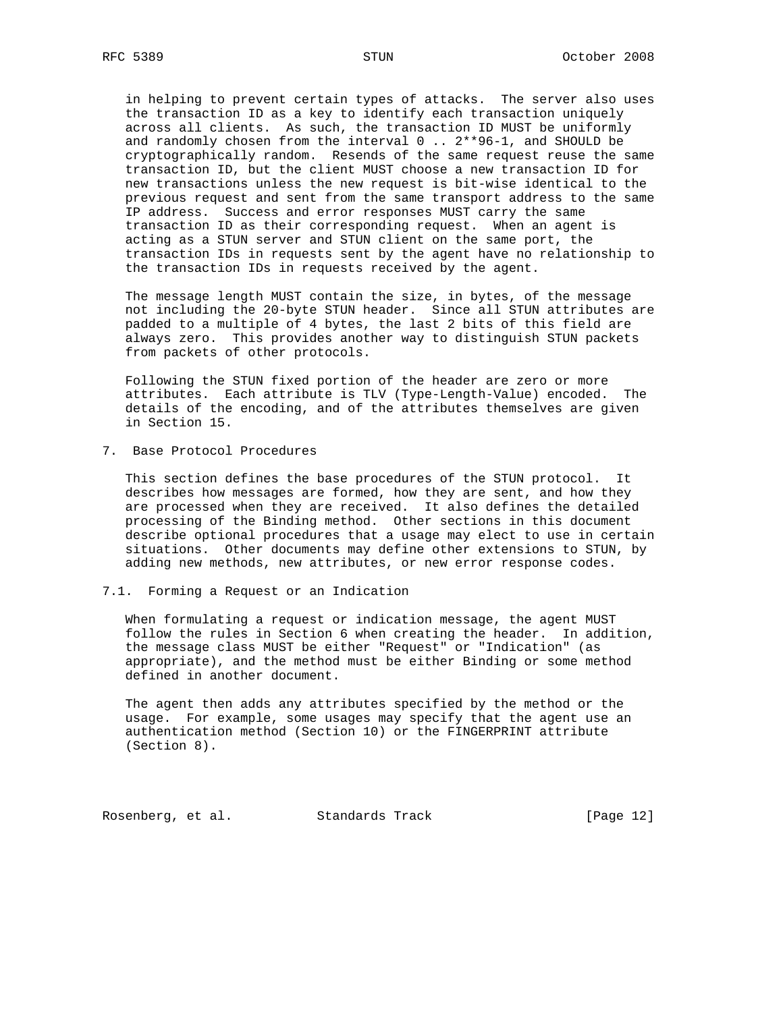in helping to prevent certain types of attacks. The server also uses the transaction ID as a key to identify each transaction uniquely across all clients. As such, the transaction ID MUST be uniformly and randomly chosen from the interval 0 .. 2\*\*96-1, and SHOULD be cryptographically random. Resends of the same request reuse the same transaction ID, but the client MUST choose a new transaction ID for new transactions unless the new request is bit-wise identical to the previous request and sent from the same transport address to the same IP address. Success and error responses MUST carry the same transaction ID as their corresponding request. When an agent is acting as a STUN server and STUN client on the same port, the transaction IDs in requests sent by the agent have no relationship to the transaction IDs in requests received by the agent.

 The message length MUST contain the size, in bytes, of the message not including the 20-byte STUN header. Since all STUN attributes are padded to a multiple of 4 bytes, the last 2 bits of this field are always zero. This provides another way to distinguish STUN packets from packets of other protocols.

 Following the STUN fixed portion of the header are zero or more attributes. Each attribute is TLV (Type-Length-Value) encoded. The details of the encoding, and of the attributes themselves are given in Section 15.

7. Base Protocol Procedures

 This section defines the base procedures of the STUN protocol. It describes how messages are formed, how they are sent, and how they are processed when they are received. It also defines the detailed processing of the Binding method. Other sections in this document describe optional procedures that a usage may elect to use in certain situations. Other documents may define other extensions to STUN, by adding new methods, new attributes, or new error response codes.

7.1. Forming a Request or an Indication

 When formulating a request or indication message, the agent MUST follow the rules in Section 6 when creating the header. In addition, the message class MUST be either "Request" or "Indication" (as appropriate), and the method must be either Binding or some method defined in another document.

 The agent then adds any attributes specified by the method or the usage. For example, some usages may specify that the agent use an authentication method (Section 10) or the FINGERPRINT attribute (Section 8).

Rosenberg, et al. Standards Track [Page 12]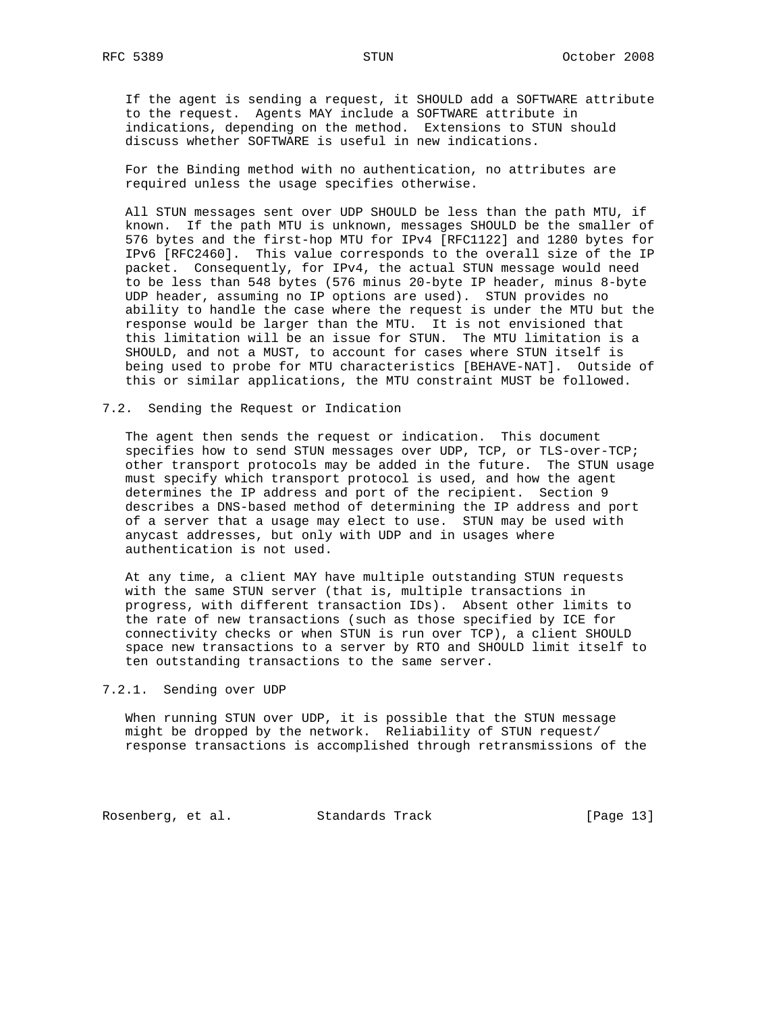If the agent is sending a request, it SHOULD add a SOFTWARE attribute to the request. Agents MAY include a SOFTWARE attribute in indications, depending on the method. Extensions to STUN should discuss whether SOFTWARE is useful in new indications.

 For the Binding method with no authentication, no attributes are required unless the usage specifies otherwise.

 All STUN messages sent over UDP SHOULD be less than the path MTU, if known. If the path MTU is unknown, messages SHOULD be the smaller of 576 bytes and the first-hop MTU for IPv4 [RFC1122] and 1280 bytes for IPv6 [RFC2460]. This value corresponds to the overall size of the IP packet. Consequently, for IPv4, the actual STUN message would need to be less than 548 bytes (576 minus 20-byte IP header, minus 8-byte UDP header, assuming no IP options are used). STUN provides no ability to handle the case where the request is under the MTU but the response would be larger than the MTU. It is not envisioned that this limitation will be an issue for STUN. The MTU limitation is a SHOULD, and not a MUST, to account for cases where STUN itself is being used to probe for MTU characteristics [BEHAVE-NAT]. Outside of this or similar applications, the MTU constraint MUST be followed.

#### 7.2. Sending the Request or Indication

 The agent then sends the request or indication. This document specifies how to send STUN messages over UDP, TCP, or TLS-over-TCP; other transport protocols may be added in the future. The STUN usage must specify which transport protocol is used, and how the agent determines the IP address and port of the recipient. Section 9 describes a DNS-based method of determining the IP address and port of a server that a usage may elect to use. STUN may be used with anycast addresses, but only with UDP and in usages where authentication is not used.

 At any time, a client MAY have multiple outstanding STUN requests with the same STUN server (that is, multiple transactions in progress, with different transaction IDs). Absent other limits to the rate of new transactions (such as those specified by ICE for connectivity checks or when STUN is run over TCP), a client SHOULD space new transactions to a server by RTO and SHOULD limit itself to ten outstanding transactions to the same server.

## 7.2.1. Sending over UDP

 When running STUN over UDP, it is possible that the STUN message might be dropped by the network. Reliability of STUN request/ response transactions is accomplished through retransmissions of the

Rosenberg, et al. Standards Track [Page 13]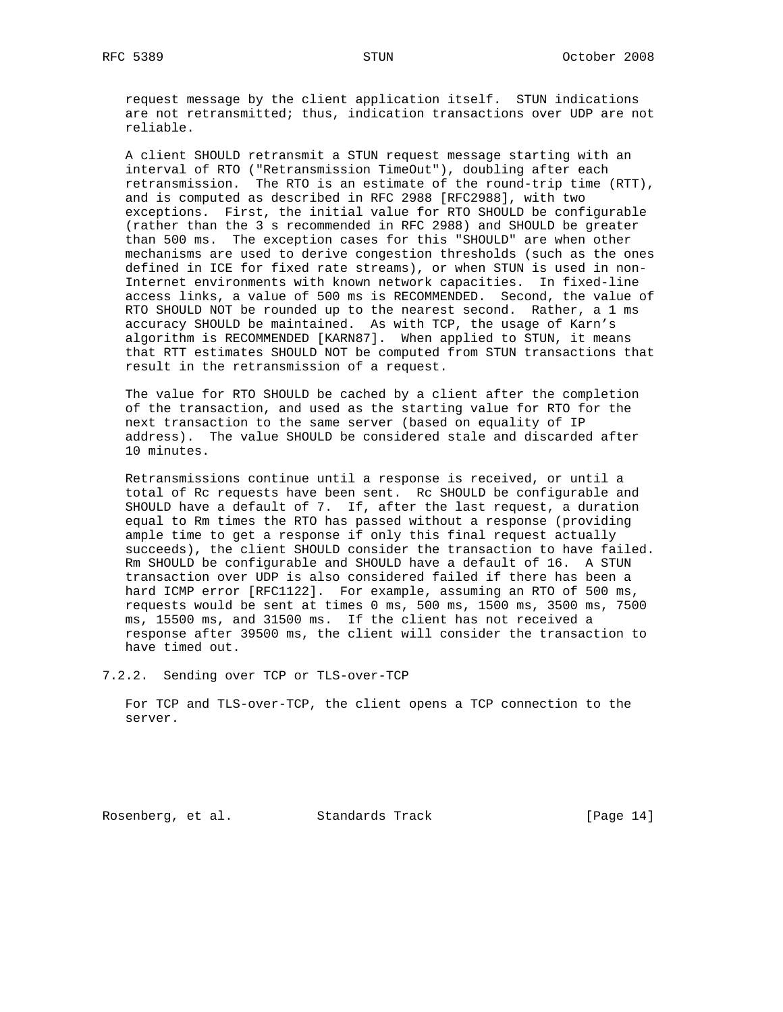request message by the client application itself. STUN indications are not retransmitted; thus, indication transactions over UDP are not reliable.

 A client SHOULD retransmit a STUN request message starting with an interval of RTO ("Retransmission TimeOut"), doubling after each retransmission. The RTO is an estimate of the round-trip time (RTT), and is computed as described in RFC 2988 [RFC2988], with two exceptions. First, the initial value for RTO SHOULD be configurable (rather than the 3 s recommended in RFC 2988) and SHOULD be greater than 500 ms. The exception cases for this "SHOULD" are when other mechanisms are used to derive congestion thresholds (such as the ones defined in ICE for fixed rate streams), or when STUN is used in non- Internet environments with known network capacities. In fixed-line access links, a value of 500 ms is RECOMMENDED. Second, the value of RTO SHOULD NOT be rounded up to the nearest second. Rather, a 1 ms accuracy SHOULD be maintained. As with TCP, the usage of Karn's algorithm is RECOMMENDED [KARN87]. When applied to STUN, it means that RTT estimates SHOULD NOT be computed from STUN transactions that result in the retransmission of a request.

 The value for RTO SHOULD be cached by a client after the completion of the transaction, and used as the starting value for RTO for the next transaction to the same server (based on equality of IP address). The value SHOULD be considered stale and discarded after 10 minutes.

 Retransmissions continue until a response is received, or until a total of Rc requests have been sent. Rc SHOULD be configurable and SHOULD have a default of 7. If, after the last request, a duration equal to Rm times the RTO has passed without a response (providing ample time to get a response if only this final request actually succeeds), the client SHOULD consider the transaction to have failed. Rm SHOULD be configurable and SHOULD have a default of 16. A STUN transaction over UDP is also considered failed if there has been a hard ICMP error [RFC1122]. For example, assuming an RTO of 500 ms, requests would be sent at times 0 ms, 500 ms, 1500 ms, 3500 ms, 7500 ms, 15500 ms, and 31500 ms. If the client has not received a response after 39500 ms, the client will consider the transaction to have timed out.

7.2.2. Sending over TCP or TLS-over-TCP

 For TCP and TLS-over-TCP, the client opens a TCP connection to the server.

Rosenberg, et al. Standards Track [Page 14]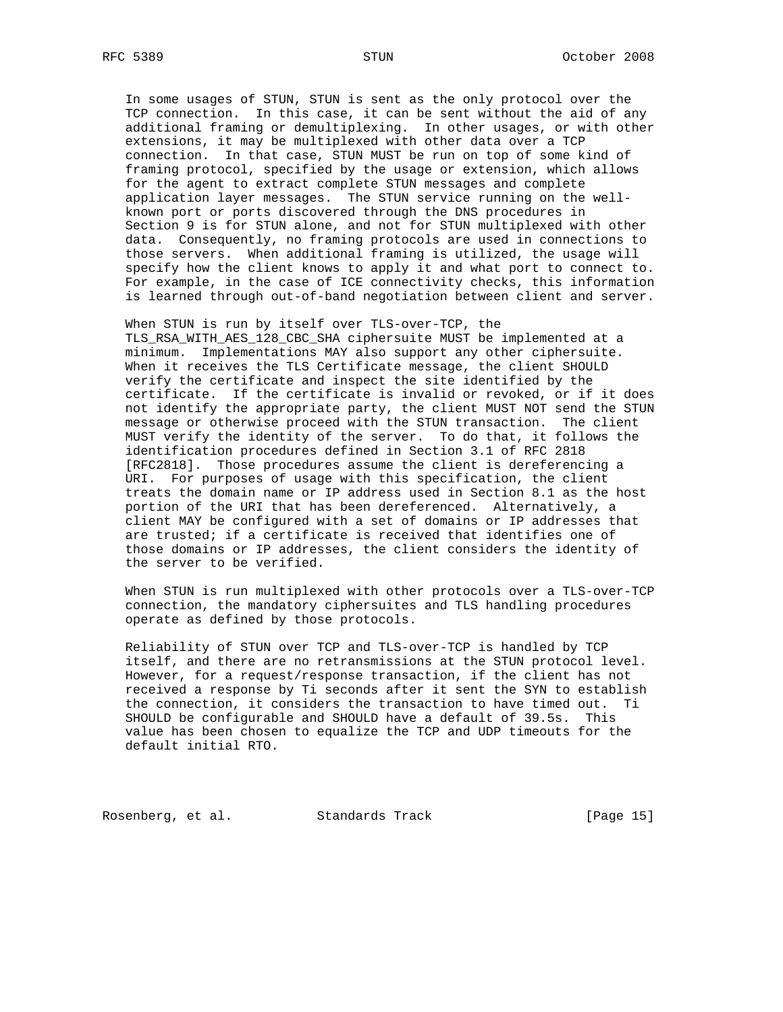In some usages of STUN, STUN is sent as the only protocol over the TCP connection. In this case, it can be sent without the aid of any additional framing or demultiplexing. In other usages, or with other extensions, it may be multiplexed with other data over a TCP connection. In that case, STUN MUST be run on top of some kind of framing protocol, specified by the usage or extension, which allows for the agent to extract complete STUN messages and complete application layer messages. The STUN service running on the well known port or ports discovered through the DNS procedures in Section 9 is for STUN alone, and not for STUN multiplexed with other data. Consequently, no framing protocols are used in connections to those servers. When additional framing is utilized, the usage will specify how the client knows to apply it and what port to connect to. For example, in the case of ICE connectivity checks, this information is learned through out-of-band negotiation between client and server.

 When STUN is run by itself over TLS-over-TCP, the TLS\_RSA\_WITH\_AES\_128\_CBC\_SHA ciphersuite MUST be implemented at a minimum. Implementations MAY also support any other ciphersuite. When it receives the TLS Certificate message, the client SHOULD verify the certificate and inspect the site identified by the certificate. If the certificate is invalid or revoked, or if it does not identify the appropriate party, the client MUST NOT send the STUN message or otherwise proceed with the STUN transaction. The client MUST verify the identity of the server. To do that, it follows the identification procedures defined in Section 3.1 of RFC 2818 [RFC2818]. Those procedures assume the client is dereferencing a URI. For purposes of usage with this specification, the client treats the domain name or IP address used in Section 8.1 as the host portion of the URI that has been dereferenced. Alternatively, a client MAY be configured with a set of domains or IP addresses that are trusted; if a certificate is received that identifies one of those domains or IP addresses, the client considers the identity of the server to be verified.

 When STUN is run multiplexed with other protocols over a TLS-over-TCP connection, the mandatory ciphersuites and TLS handling procedures operate as defined by those protocols.

 Reliability of STUN over TCP and TLS-over-TCP is handled by TCP itself, and there are no retransmissions at the STUN protocol level. However, for a request/response transaction, if the client has not received a response by Ti seconds after it sent the SYN to establish the connection, it considers the transaction to have timed out. Ti SHOULD be configurable and SHOULD have a default of 39.5s. This value has been chosen to equalize the TCP and UDP timeouts for the default initial RTO.

Rosenberg, et al. Standards Track [Page 15]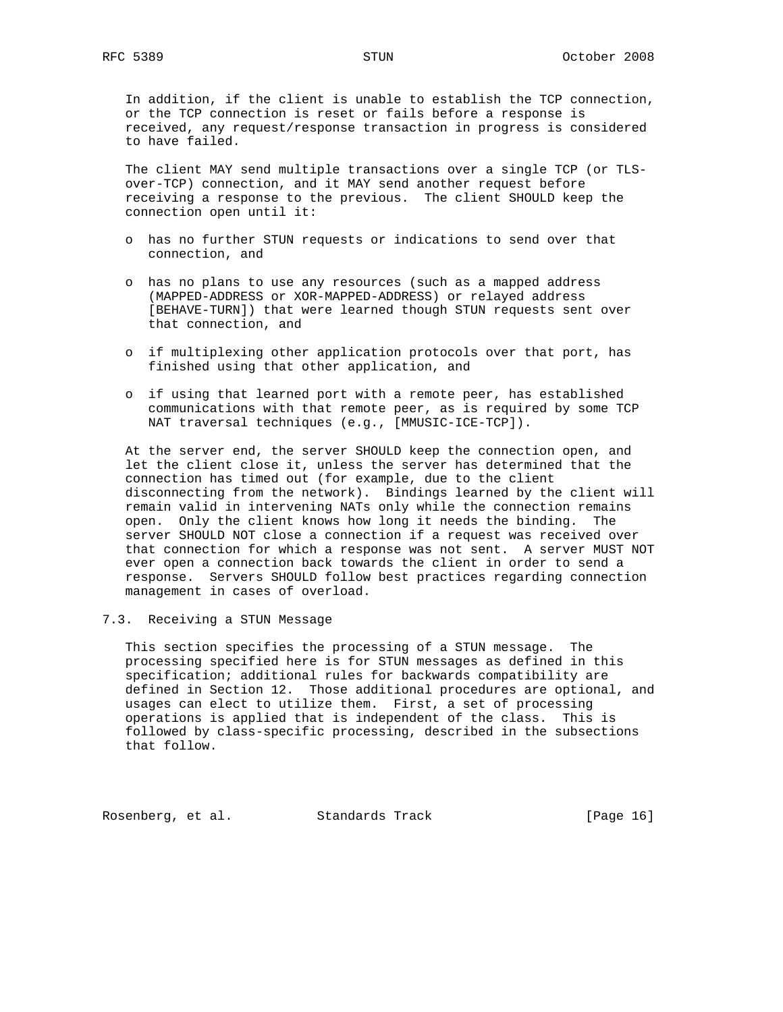In addition, if the client is unable to establish the TCP connection, or the TCP connection is reset or fails before a response is received, any request/response transaction in progress is considered to have failed.

The client MAY send multiple transactions over a single TCP (or TLS over-TCP) connection, and it MAY send another request before receiving a response to the previous. The client SHOULD keep the connection open until it:

- o has no further STUN requests or indications to send over that connection, and
- o has no plans to use any resources (such as a mapped address (MAPPED-ADDRESS or XOR-MAPPED-ADDRESS) or relayed address [BEHAVE-TURN]) that were learned though STUN requests sent over that connection, and
- o if multiplexing other application protocols over that port, has finished using that other application, and
- o if using that learned port with a remote peer, has established communications with that remote peer, as is required by some TCP NAT traversal techniques (e.g., [MMUSIC-ICE-TCP]).

 At the server end, the server SHOULD keep the connection open, and let the client close it, unless the server has determined that the connection has timed out (for example, due to the client disconnecting from the network). Bindings learned by the client will remain valid in intervening NATs only while the connection remains open. Only the client knows how long it needs the binding. The server SHOULD NOT close a connection if a request was received over that connection for which a response was not sent. A server MUST NOT ever open a connection back towards the client in order to send a response. Servers SHOULD follow best practices regarding connection management in cases of overload.

7.3. Receiving a STUN Message

 This section specifies the processing of a STUN message. The processing specified here is for STUN messages as defined in this specification; additional rules for backwards compatibility are defined in Section 12. Those additional procedures are optional, and usages can elect to utilize them. First, a set of processing operations is applied that is independent of the class. This is followed by class-specific processing, described in the subsections that follow.

Rosenberg, et al. Standards Track [Page 16]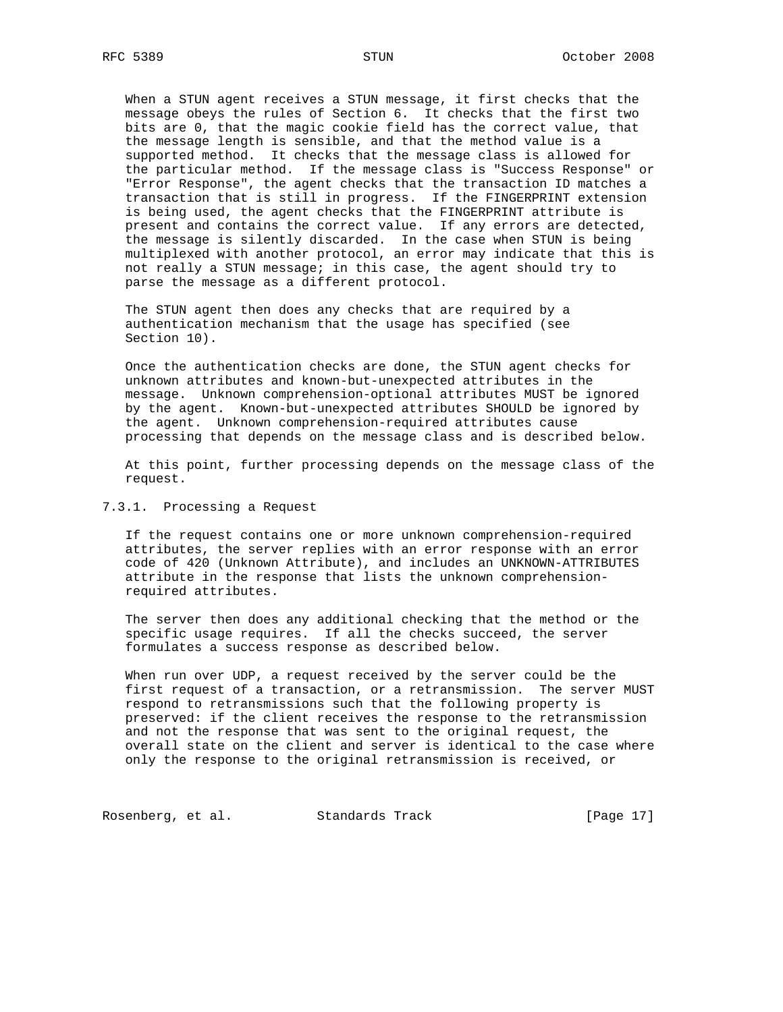When a STUN agent receives a STUN message, it first checks that the message obeys the rules of Section 6. It checks that the first two bits are 0, that the magic cookie field has the correct value, that the message length is sensible, and that the method value is a supported method. It checks that the message class is allowed for the particular method. If the message class is "Success Response" or "Error Response", the agent checks that the transaction ID matches a transaction that is still in progress. If the FINGERPRINT extension is being used, the agent checks that the FINGERPRINT attribute is present and contains the correct value. If any errors are detected, the message is silently discarded. In the case when STUN is being multiplexed with another protocol, an error may indicate that this is not really a STUN message; in this case, the agent should try to parse the message as a different protocol.

 The STUN agent then does any checks that are required by a authentication mechanism that the usage has specified (see Section 10).

 Once the authentication checks are done, the STUN agent checks for unknown attributes and known-but-unexpected attributes in the message. Unknown comprehension-optional attributes MUST be ignored by the agent. Known-but-unexpected attributes SHOULD be ignored by the agent. Unknown comprehension-required attributes cause processing that depends on the message class and is described below.

 At this point, further processing depends on the message class of the request.

#### 7.3.1. Processing a Request

 If the request contains one or more unknown comprehension-required attributes, the server replies with an error response with an error code of 420 (Unknown Attribute), and includes an UNKNOWN-ATTRIBUTES attribute in the response that lists the unknown comprehension required attributes.

 The server then does any additional checking that the method or the specific usage requires. If all the checks succeed, the server formulates a success response as described below.

 When run over UDP, a request received by the server could be the first request of a transaction, or a retransmission. The server MUST respond to retransmissions such that the following property is preserved: if the client receives the response to the retransmission and not the response that was sent to the original request, the overall state on the client and server is identical to the case where only the response to the original retransmission is received, or

Rosenberg, et al. Standards Track [Page 17]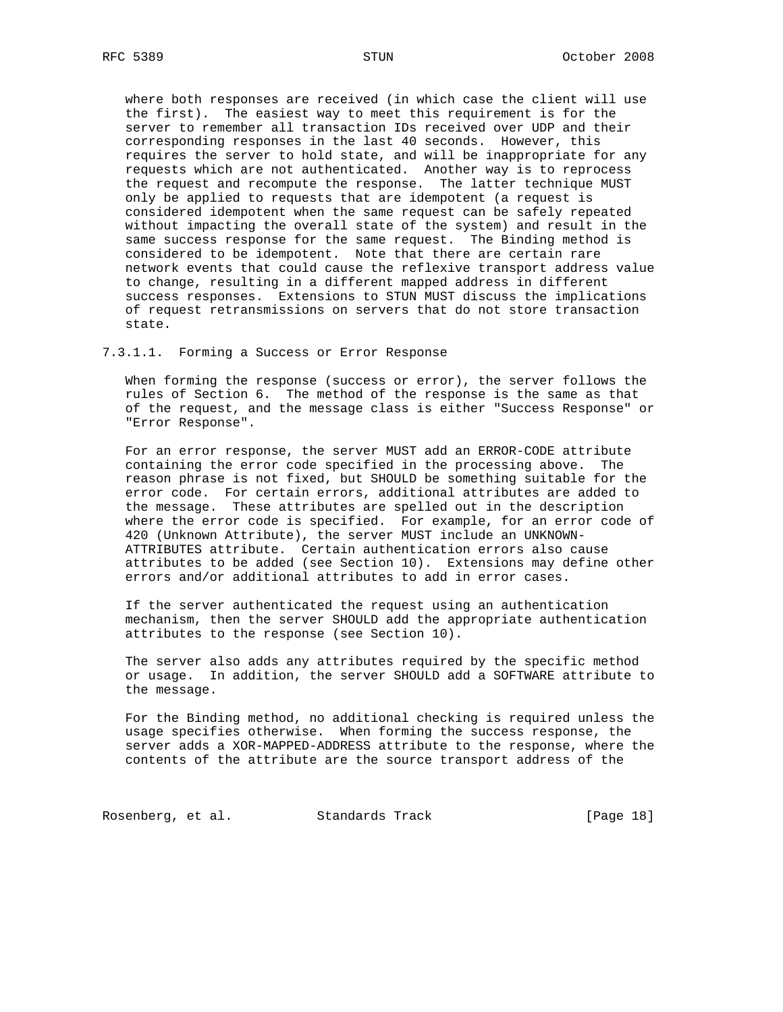where both responses are received (in which case the client will use the first). The easiest way to meet this requirement is for the server to remember all transaction IDs received over UDP and their corresponding responses in the last 40 seconds. However, this requires the server to hold state, and will be inappropriate for any requests which are not authenticated. Another way is to reprocess the request and recompute the response. The latter technique MUST only be applied to requests that are idempotent (a request is considered idempotent when the same request can be safely repeated without impacting the overall state of the system) and result in the same success response for the same request. The Binding method is considered to be idempotent. Note that there are certain rare network events that could cause the reflexive transport address value to change, resulting in a different mapped address in different success responses. Extensions to STUN MUST discuss the implications of request retransmissions on servers that do not store transaction state.

## 7.3.1.1. Forming a Success or Error Response

 When forming the response (success or error), the server follows the rules of Section 6. The method of the response is the same as that of the request, and the message class is either "Success Response" or "Error Response".

 For an error response, the server MUST add an ERROR-CODE attribute containing the error code specified in the processing above. The reason phrase is not fixed, but SHOULD be something suitable for the error code. For certain errors, additional attributes are added to the message. These attributes are spelled out in the description where the error code is specified. For example, for an error code of 420 (Unknown Attribute), the server MUST include an UNKNOWN- ATTRIBUTES attribute. Certain authentication errors also cause attributes to be added (see Section 10). Extensions may define other errors and/or additional attributes to add in error cases.

 If the server authenticated the request using an authentication mechanism, then the server SHOULD add the appropriate authentication attributes to the response (see Section 10).

 The server also adds any attributes required by the specific method or usage. In addition, the server SHOULD add a SOFTWARE attribute to the message.

 For the Binding method, no additional checking is required unless the usage specifies otherwise. When forming the success response, the server adds a XOR-MAPPED-ADDRESS attribute to the response, where the contents of the attribute are the source transport address of the

Rosenberg, et al. Standards Track [Page 18]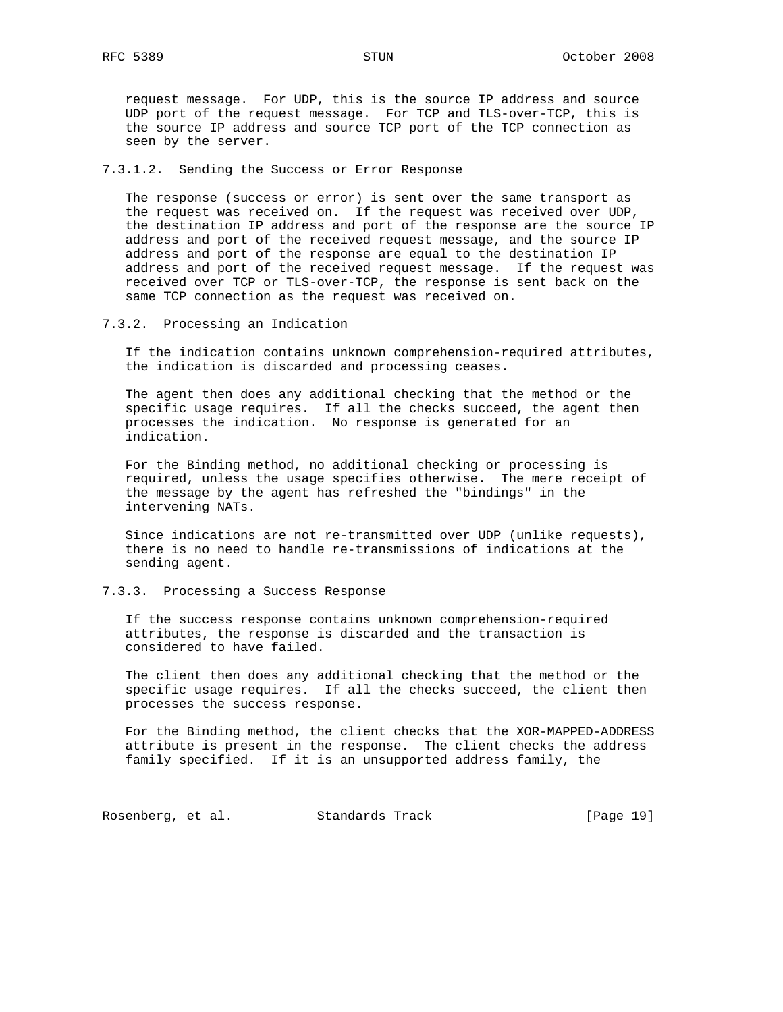request message. For UDP, this is the source IP address and source UDP port of the request message. For TCP and TLS-over-TCP, this is the source IP address and source TCP port of the TCP connection as seen by the server.

#### 7.3.1.2. Sending the Success or Error Response

 The response (success or error) is sent over the same transport as the request was received on. If the request was received over UDP, the destination IP address and port of the response are the source IP address and port of the received request message, and the source IP address and port of the response are equal to the destination IP address and port of the received request message. If the request was received over TCP or TLS-over-TCP, the response is sent back on the same TCP connection as the request was received on.

## 7.3.2. Processing an Indication

 If the indication contains unknown comprehension-required attributes, the indication is discarded and processing ceases.

 The agent then does any additional checking that the method or the specific usage requires. If all the checks succeed, the agent then processes the indication. No response is generated for an indication.

 For the Binding method, no additional checking or processing is required, unless the usage specifies otherwise. The mere receipt of the message by the agent has refreshed the "bindings" in the intervening NATs.

 Since indications are not re-transmitted over UDP (unlike requests), there is no need to handle re-transmissions of indications at the sending agent.

## 7.3.3. Processing a Success Response

 If the success response contains unknown comprehension-required attributes, the response is discarded and the transaction is considered to have failed.

 The client then does any additional checking that the method or the specific usage requires. If all the checks succeed, the client then processes the success response.

 For the Binding method, the client checks that the XOR-MAPPED-ADDRESS attribute is present in the response. The client checks the address family specified. If it is an unsupported address family, the

Rosenberg, et al. Standards Track [Page 19]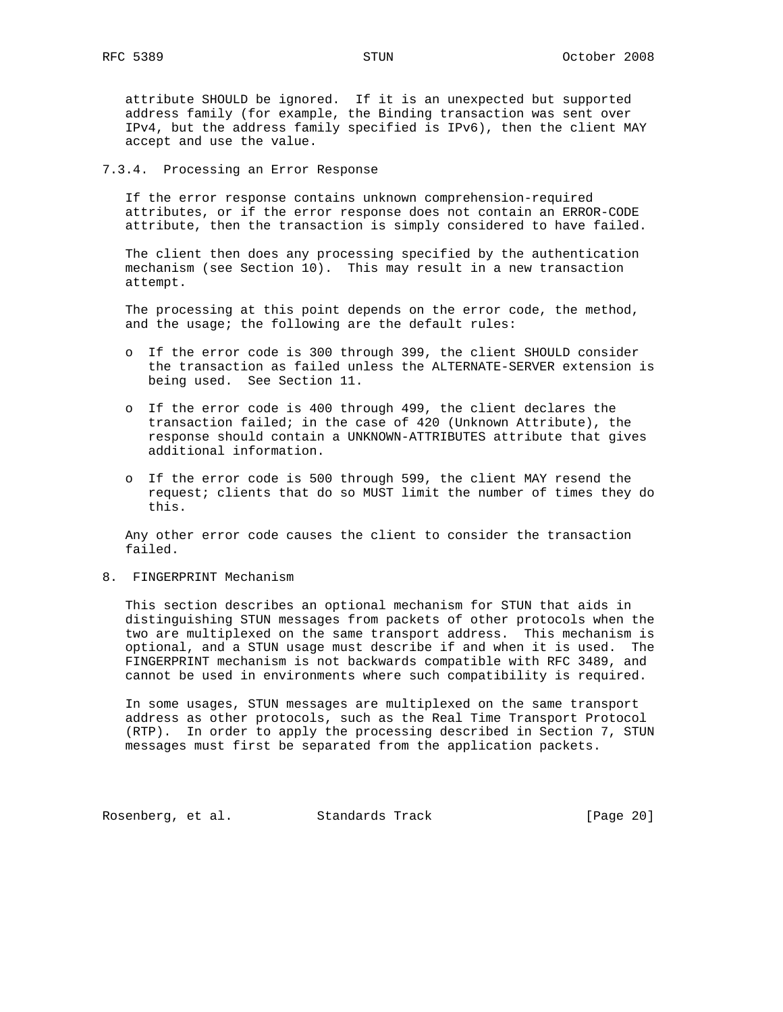attribute SHOULD be ignored. If it is an unexpected but supported address family (for example, the Binding transaction was sent over IPv4, but the address family specified is IPv6), then the client MAY accept and use the value.

### 7.3.4. Processing an Error Response

 If the error response contains unknown comprehension-required attributes, or if the error response does not contain an ERROR-CODE attribute, then the transaction is simply considered to have failed.

 The client then does any processing specified by the authentication mechanism (see Section 10). This may result in a new transaction attempt.

 The processing at this point depends on the error code, the method, and the usage; the following are the default rules:

- o If the error code is 300 through 399, the client SHOULD consider the transaction as failed unless the ALTERNATE-SERVER extension is being used. See Section 11.
- o If the error code is 400 through 499, the client declares the transaction failed; in the case of 420 (Unknown Attribute), the response should contain a UNKNOWN-ATTRIBUTES attribute that gives additional information.
- o If the error code is 500 through 599, the client MAY resend the request; clients that do so MUST limit the number of times they do this.

 Any other error code causes the client to consider the transaction failed.

8. FINGERPRINT Mechanism

 This section describes an optional mechanism for STUN that aids in distinguishing STUN messages from packets of other protocols when the two are multiplexed on the same transport address. This mechanism is optional, and a STUN usage must describe if and when it is used. The FINGERPRINT mechanism is not backwards compatible with RFC 3489, and cannot be used in environments where such compatibility is required.

 In some usages, STUN messages are multiplexed on the same transport address as other protocols, such as the Real Time Transport Protocol (RTP). In order to apply the processing described in Section 7, STUN messages must first be separated from the application packets.

Rosenberg, et al. Standards Track [Page 20]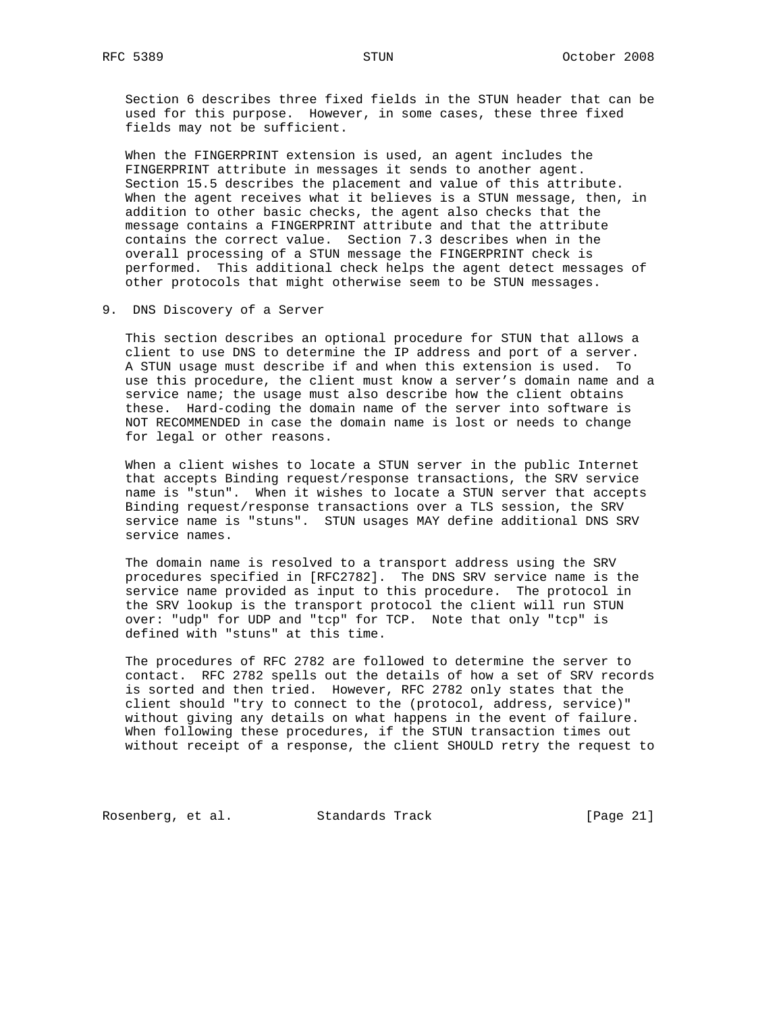Section 6 describes three fixed fields in the STUN header that can be used for this purpose. However, in some cases, these three fixed fields may not be sufficient.

 When the FINGERPRINT extension is used, an agent includes the FINGERPRINT attribute in messages it sends to another agent. Section 15.5 describes the placement and value of this attribute. When the agent receives what it believes is a STUN message, then, in addition to other basic checks, the agent also checks that the message contains a FINGERPRINT attribute and that the attribute contains the correct value. Section 7.3 describes when in the overall processing of a STUN message the FINGERPRINT check is performed. This additional check helps the agent detect messages of other protocols that might otherwise seem to be STUN messages.

9. DNS Discovery of a Server

 This section describes an optional procedure for STUN that allows a client to use DNS to determine the IP address and port of a server. A STUN usage must describe if and when this extension is used. To use this procedure, the client must know a server's domain name and a service name; the usage must also describe how the client obtains these. Hard-coding the domain name of the server into software is NOT RECOMMENDED in case the domain name is lost or needs to change for legal or other reasons.

 When a client wishes to locate a STUN server in the public Internet that accepts Binding request/response transactions, the SRV service name is "stun". When it wishes to locate a STUN server that accepts Binding request/response transactions over a TLS session, the SRV service name is "stuns". STUN usages MAY define additional DNS SRV service names.

 The domain name is resolved to a transport address using the SRV procedures specified in [RFC2782]. The DNS SRV service name is the service name provided as input to this procedure. The protocol in the SRV lookup is the transport protocol the client will run STUN over: "udp" for UDP and "tcp" for TCP. Note that only "tcp" is defined with "stuns" at this time.

 The procedures of RFC 2782 are followed to determine the server to contact. RFC 2782 spells out the details of how a set of SRV records is sorted and then tried. However, RFC 2782 only states that the client should "try to connect to the (protocol, address, service)" without giving any details on what happens in the event of failure. When following these procedures, if the STUN transaction times out without receipt of a response, the client SHOULD retry the request to

Rosenberg, et al. Standards Track [Page 21]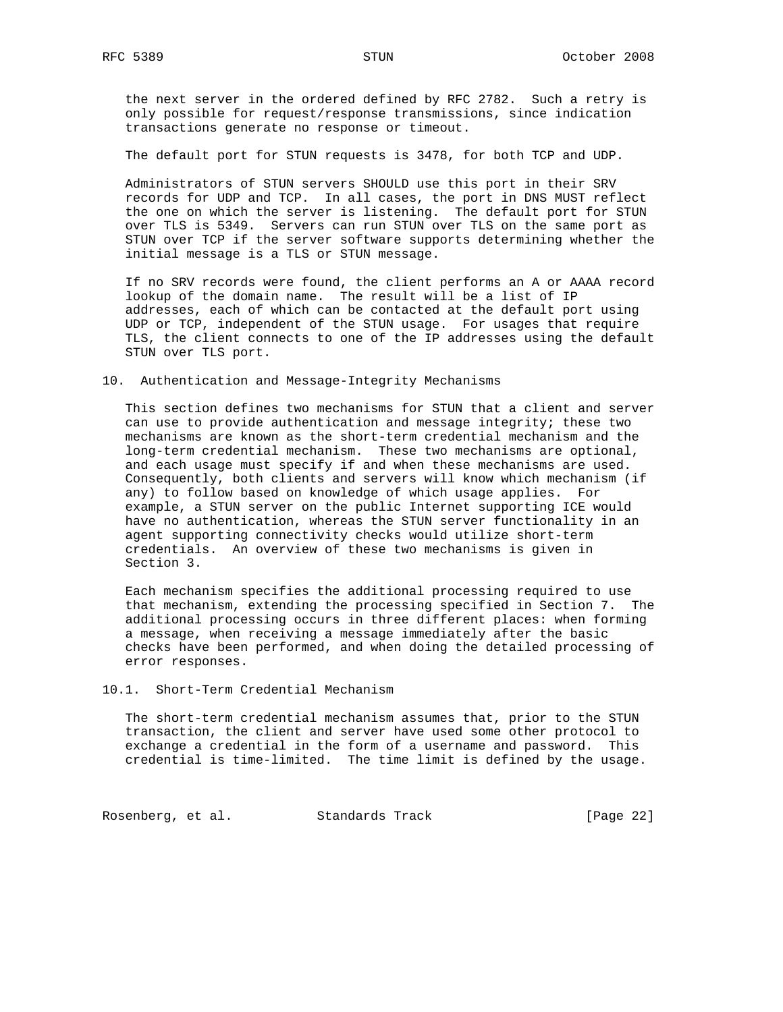the next server in the ordered defined by RFC 2782. Such a retry is only possible for request/response transmissions, since indication transactions generate no response or timeout.

The default port for STUN requests is 3478, for both TCP and UDP.

 Administrators of STUN servers SHOULD use this port in their SRV records for UDP and TCP. In all cases, the port in DNS MUST reflect the one on which the server is listening. The default port for STUN over TLS is 5349. Servers can run STUN over TLS on the same port as STUN over TCP if the server software supports determining whether the initial message is a TLS or STUN message.

 If no SRV records were found, the client performs an A or AAAA record lookup of the domain name. The result will be a list of IP addresses, each of which can be contacted at the default port using UDP or TCP, independent of the STUN usage. For usages that require TLS, the client connects to one of the IP addresses using the default STUN over TLS port.

### 10. Authentication and Message-Integrity Mechanisms

 This section defines two mechanisms for STUN that a client and server can use to provide authentication and message integrity; these two mechanisms are known as the short-term credential mechanism and the long-term credential mechanism. These two mechanisms are optional, and each usage must specify if and when these mechanisms are used. Consequently, both clients and servers will know which mechanism (if any) to follow based on knowledge of which usage applies. For example, a STUN server on the public Internet supporting ICE would have no authentication, whereas the STUN server functionality in an agent supporting connectivity checks would utilize short-term credentials. An overview of these two mechanisms is given in Section 3.

 Each mechanism specifies the additional processing required to use that mechanism, extending the processing specified in Section 7. The additional processing occurs in three different places: when forming a message, when receiving a message immediately after the basic checks have been performed, and when doing the detailed processing of error responses.

## 10.1. Short-Term Credential Mechanism

 The short-term credential mechanism assumes that, prior to the STUN transaction, the client and server have used some other protocol to exchange a credential in the form of a username and password. This credential is time-limited. The time limit is defined by the usage.

Rosenberg, et al. Standards Track [Page 22]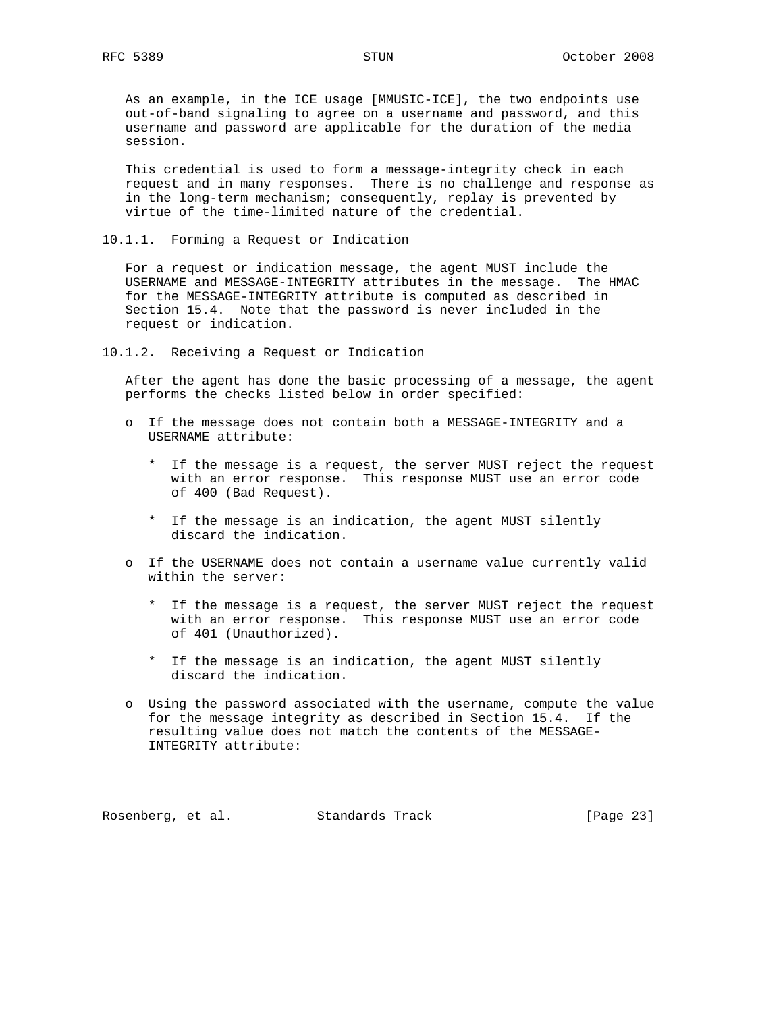As an example, in the ICE usage [MMUSIC-ICE], the two endpoints use out-of-band signaling to agree on a username and password, and this username and password are applicable for the duration of the media session.

 This credential is used to form a message-integrity check in each request and in many responses. There is no challenge and response as in the long-term mechanism; consequently, replay is prevented by virtue of the time-limited nature of the credential.

10.1.1. Forming a Request or Indication

 For a request or indication message, the agent MUST include the USERNAME and MESSAGE-INTEGRITY attributes in the message. The HMAC for the MESSAGE-INTEGRITY attribute is computed as described in Section 15.4. Note that the password is never included in the request or indication.

10.1.2. Receiving a Request or Indication

 After the agent has done the basic processing of a message, the agent performs the checks listed below in order specified:

- o If the message does not contain both a MESSAGE-INTEGRITY and a USERNAME attribute:
	- \* If the message is a request, the server MUST reject the request with an error response. This response MUST use an error code of 400 (Bad Request).
	- \* If the message is an indication, the agent MUST silently discard the indication.
- o If the USERNAME does not contain a username value currently valid within the server:
	- \* If the message is a request, the server MUST reject the request with an error response. This response MUST use an error code of 401 (Unauthorized).
	- \* If the message is an indication, the agent MUST silently discard the indication.
- o Using the password associated with the username, compute the value for the message integrity as described in Section 15.4. If the resulting value does not match the contents of the MESSAGE- INTEGRITY attribute:

Rosenberg, et al. Standards Track [Page 23]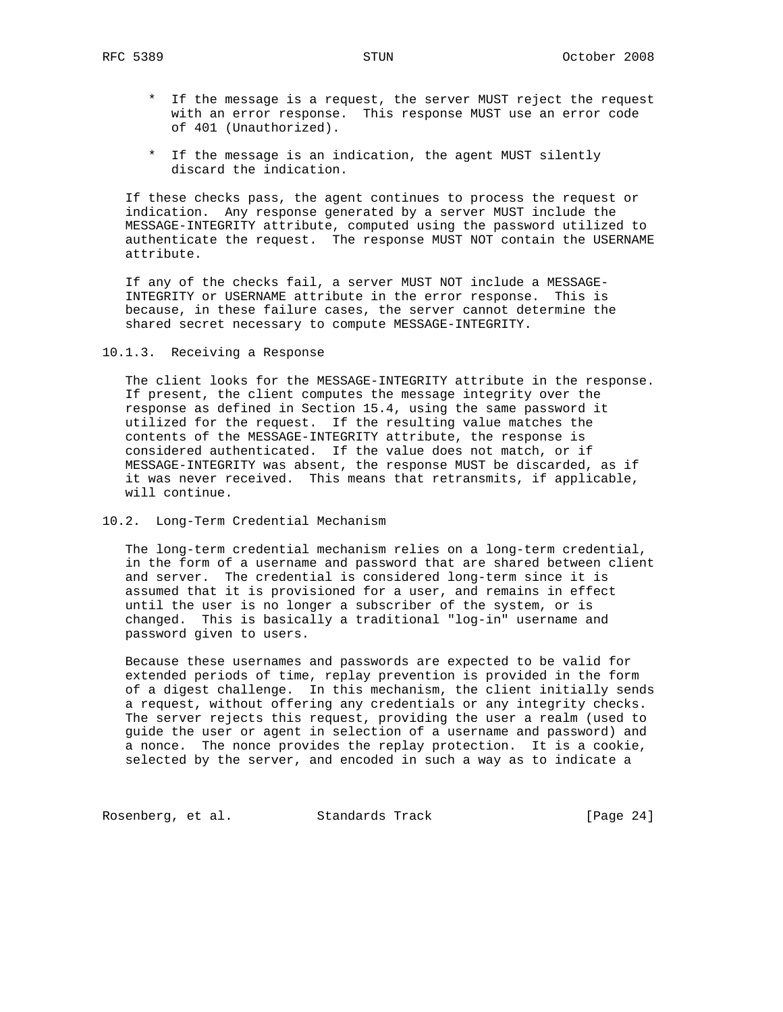- \* If the message is a request, the server MUST reject the request with an error response. This response MUST use an error code of 401 (Unauthorized).
- \* If the message is an indication, the agent MUST silently discard the indication.

 If these checks pass, the agent continues to process the request or indication. Any response generated by a server MUST include the MESSAGE-INTEGRITY attribute, computed using the password utilized to authenticate the request. The response MUST NOT contain the USERNAME attribute.

 If any of the checks fail, a server MUST NOT include a MESSAGE- INTEGRITY or USERNAME attribute in the error response. This is because, in these failure cases, the server cannot determine the shared secret necessary to compute MESSAGE-INTEGRITY.

10.1.3. Receiving a Response

 The client looks for the MESSAGE-INTEGRITY attribute in the response. If present, the client computes the message integrity over the response as defined in Section 15.4, using the same password it utilized for the request. If the resulting value matches the contents of the MESSAGE-INTEGRITY attribute, the response is considered authenticated. If the value does not match, or if MESSAGE-INTEGRITY was absent, the response MUST be discarded, as if it was never received. This means that retransmits, if applicable, will continue.

## 10.2. Long-Term Credential Mechanism

 The long-term credential mechanism relies on a long-term credential, in the form of a username and password that are shared between client and server. The credential is considered long-term since it is assumed that it is provisioned for a user, and remains in effect until the user is no longer a subscriber of the system, or is changed. This is basically a traditional "log-in" username and password given to users.

 Because these usernames and passwords are expected to be valid for extended periods of time, replay prevention is provided in the form of a digest challenge. In this mechanism, the client initially sends a request, without offering any credentials or any integrity checks. The server rejects this request, providing the user a realm (used to guide the user or agent in selection of a username and password) and a nonce. The nonce provides the replay protection. It is a cookie, selected by the server, and encoded in such a way as to indicate a

Rosenberg, et al. Standards Track [Page 24]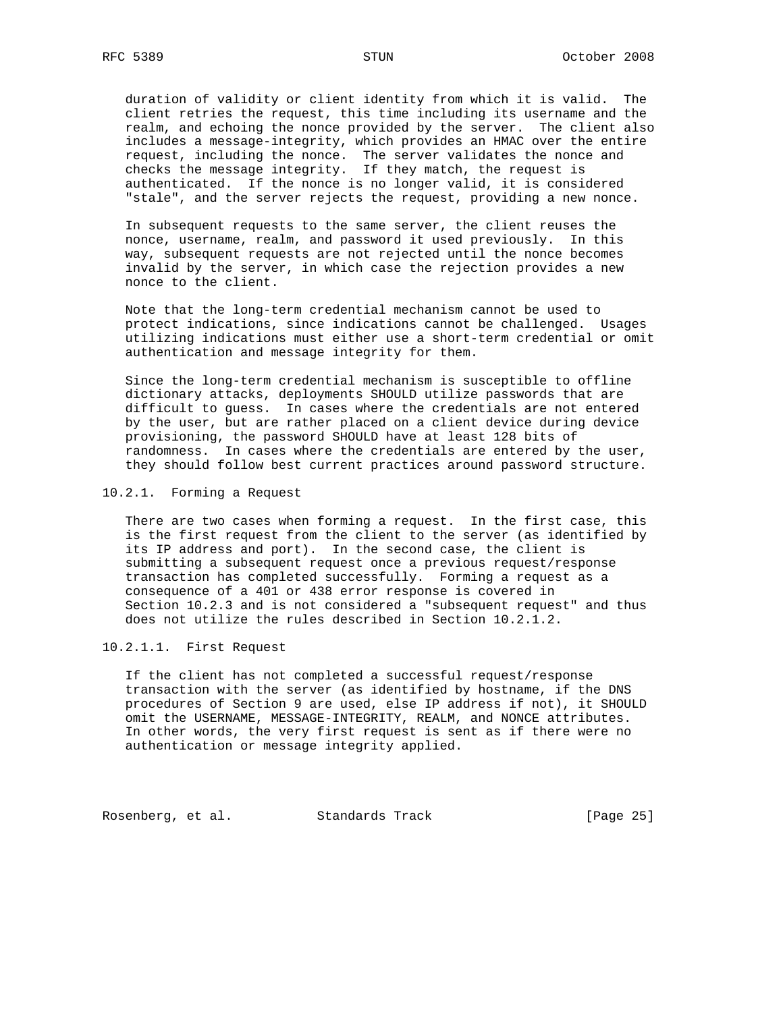duration of validity or client identity from which it is valid. The client retries the request, this time including its username and the realm, and echoing the nonce provided by the server. The client also includes a message-integrity, which provides an HMAC over the entire request, including the nonce. The server validates the nonce and checks the message integrity. If they match, the request is authenticated. If the nonce is no longer valid, it is considered "stale", and the server rejects the request, providing a new nonce.

 In subsequent requests to the same server, the client reuses the nonce, username, realm, and password it used previously. In this way, subsequent requests are not rejected until the nonce becomes invalid by the server, in which case the rejection provides a new nonce to the client.

 Note that the long-term credential mechanism cannot be used to protect indications, since indications cannot be challenged. Usages utilizing indications must either use a short-term credential or omit authentication and message integrity for them.

 Since the long-term credential mechanism is susceptible to offline dictionary attacks, deployments SHOULD utilize passwords that are difficult to guess. In cases where the credentials are not entered by the user, but are rather placed on a client device during device provisioning, the password SHOULD have at least 128 bits of randomness. In cases where the credentials are entered by the user, they should follow best current practices around password structure.

#### 10.2.1. Forming a Request

 There are two cases when forming a request. In the first case, this is the first request from the client to the server (as identified by its IP address and port). In the second case, the client is submitting a subsequent request once a previous request/response transaction has completed successfully. Forming a request as a consequence of a 401 or 438 error response is covered in Section 10.2.3 and is not considered a "subsequent request" and thus does not utilize the rules described in Section 10.2.1.2.

## 10.2.1.1. First Request

 If the client has not completed a successful request/response transaction with the server (as identified by hostname, if the DNS procedures of Section 9 are used, else IP address if not), it SHOULD omit the USERNAME, MESSAGE-INTEGRITY, REALM, and NONCE attributes. In other words, the very first request is sent as if there were no authentication or message integrity applied.

Rosenberg, et al. Standards Track [Page 25]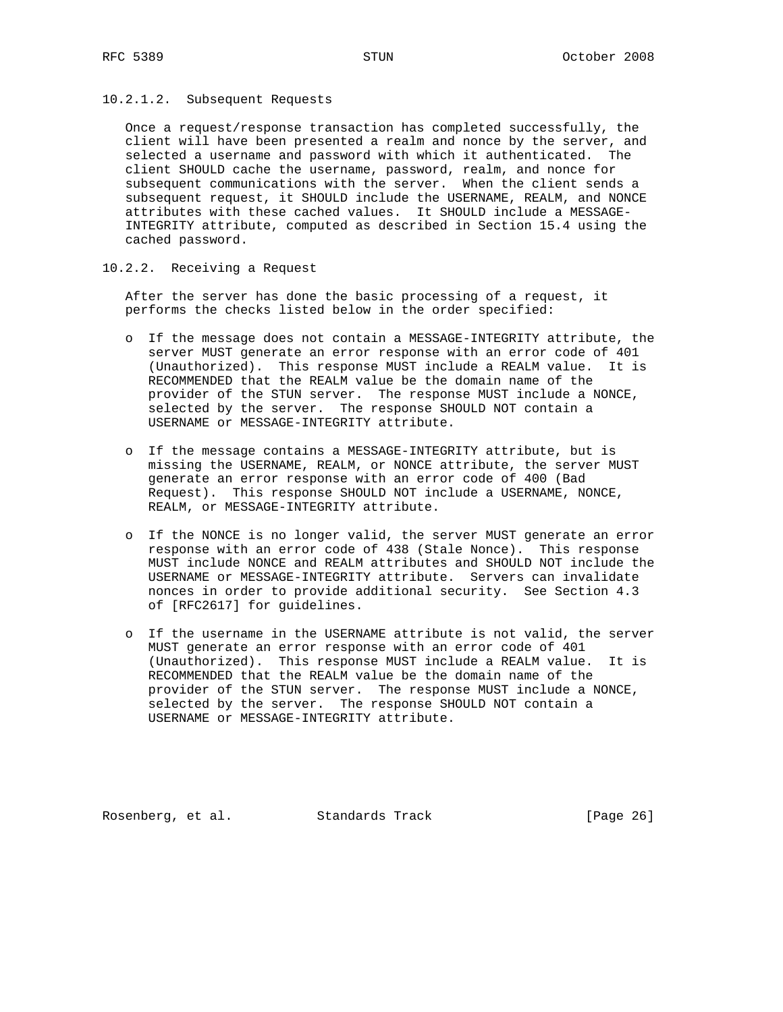10.2.1.2. Subsequent Requests

 Once a request/response transaction has completed successfully, the client will have been presented a realm and nonce by the server, and selected a username and password with which it authenticated. The client SHOULD cache the username, password, realm, and nonce for subsequent communications with the server. When the client sends a subsequent request, it SHOULD include the USERNAME, REALM, and NONCE attributes with these cached values. It SHOULD include a MESSAGE- INTEGRITY attribute, computed as described in Section 15.4 using the cached password.

10.2.2. Receiving a Request

 After the server has done the basic processing of a request, it performs the checks listed below in the order specified:

- o If the message does not contain a MESSAGE-INTEGRITY attribute, the server MUST generate an error response with an error code of 401 (Unauthorized). This response MUST include a REALM value. It is RECOMMENDED that the REALM value be the domain name of the provider of the STUN server. The response MUST include a NONCE, selected by the server. The response SHOULD NOT contain a USERNAME or MESSAGE-INTEGRITY attribute.
- o If the message contains a MESSAGE-INTEGRITY attribute, but is missing the USERNAME, REALM, or NONCE attribute, the server MUST generate an error response with an error code of 400 (Bad Request). This response SHOULD NOT include a USERNAME, NONCE, REALM, or MESSAGE-INTEGRITY attribute.
- o If the NONCE is no longer valid, the server MUST generate an error response with an error code of 438 (Stale Nonce). This response MUST include NONCE and REALM attributes and SHOULD NOT include the USERNAME or MESSAGE-INTEGRITY attribute. Servers can invalidate nonces in order to provide additional security. See Section 4.3 of [RFC2617] for guidelines.
- o If the username in the USERNAME attribute is not valid, the server MUST generate an error response with an error code of 401 (Unauthorized). This response MUST include a REALM value. It is RECOMMENDED that the REALM value be the domain name of the provider of the STUN server. The response MUST include a NONCE, selected by the server. The response SHOULD NOT contain a USERNAME or MESSAGE-INTEGRITY attribute.

Rosenberg, et al. Standards Track [Page 26]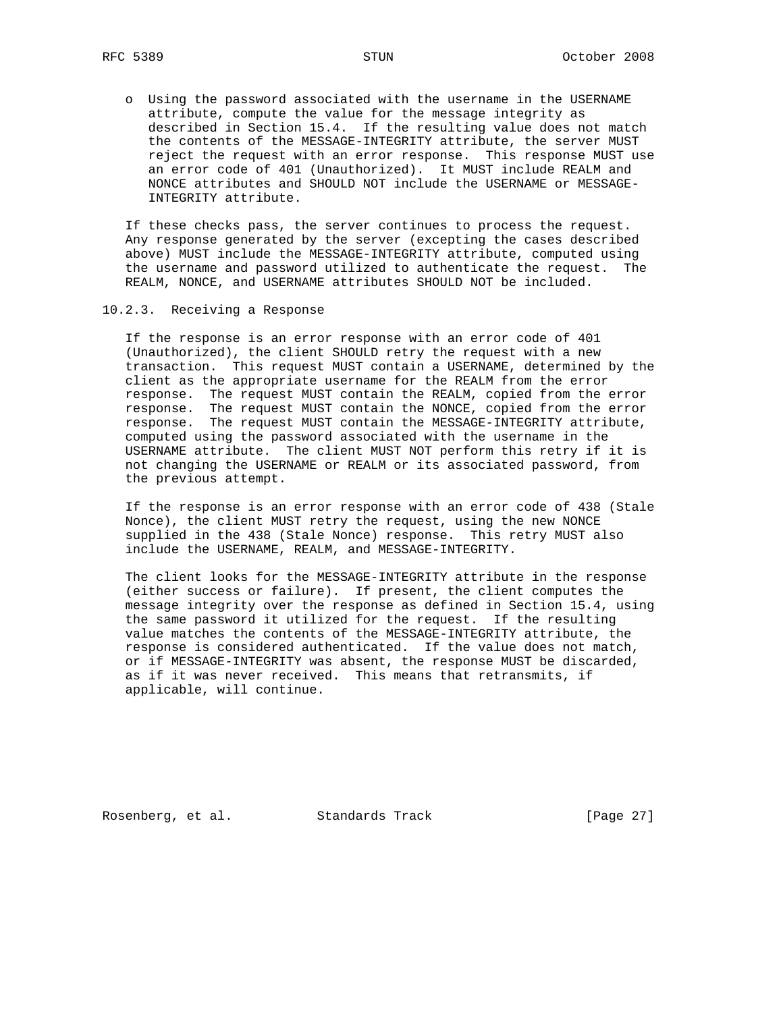o Using the password associated with the username in the USERNAME attribute, compute the value for the message integrity as described in Section 15.4. If the resulting value does not match the contents of the MESSAGE-INTEGRITY attribute, the server MUST reject the request with an error response. This response MUST use an error code of 401 (Unauthorized). It MUST include REALM and NONCE attributes and SHOULD NOT include the USERNAME or MESSAGE- INTEGRITY attribute.

 If these checks pass, the server continues to process the request. Any response generated by the server (excepting the cases described above) MUST include the MESSAGE-INTEGRITY attribute, computed using the username and password utilized to authenticate the request. The REALM, NONCE, and USERNAME attributes SHOULD NOT be included.

10.2.3. Receiving a Response

 If the response is an error response with an error code of 401 (Unauthorized), the client SHOULD retry the request with a new transaction. This request MUST contain a USERNAME, determined by the client as the appropriate username for the REALM from the error response. The request MUST contain the REALM, copied from the error response. The request MUST contain the NONCE, copied from the error response. The request MUST contain the MESSAGE-INTEGRITY attribute, computed using the password associated with the username in the USERNAME attribute. The client MUST NOT perform this retry if it is not changing the USERNAME or REALM or its associated password, from the previous attempt.

 If the response is an error response with an error code of 438 (Stale Nonce), the client MUST retry the request, using the new NONCE supplied in the 438 (Stale Nonce) response. This retry MUST also include the USERNAME, REALM, and MESSAGE-INTEGRITY.

 The client looks for the MESSAGE-INTEGRITY attribute in the response (either success or failure). If present, the client computes the message integrity over the response as defined in Section 15.4, using the same password it utilized for the request. If the resulting value matches the contents of the MESSAGE-INTEGRITY attribute, the response is considered authenticated. If the value does not match, or if MESSAGE-INTEGRITY was absent, the response MUST be discarded, as if it was never received. This means that retransmits, if applicable, will continue.

Rosenberg, et al. Standards Track [Page 27]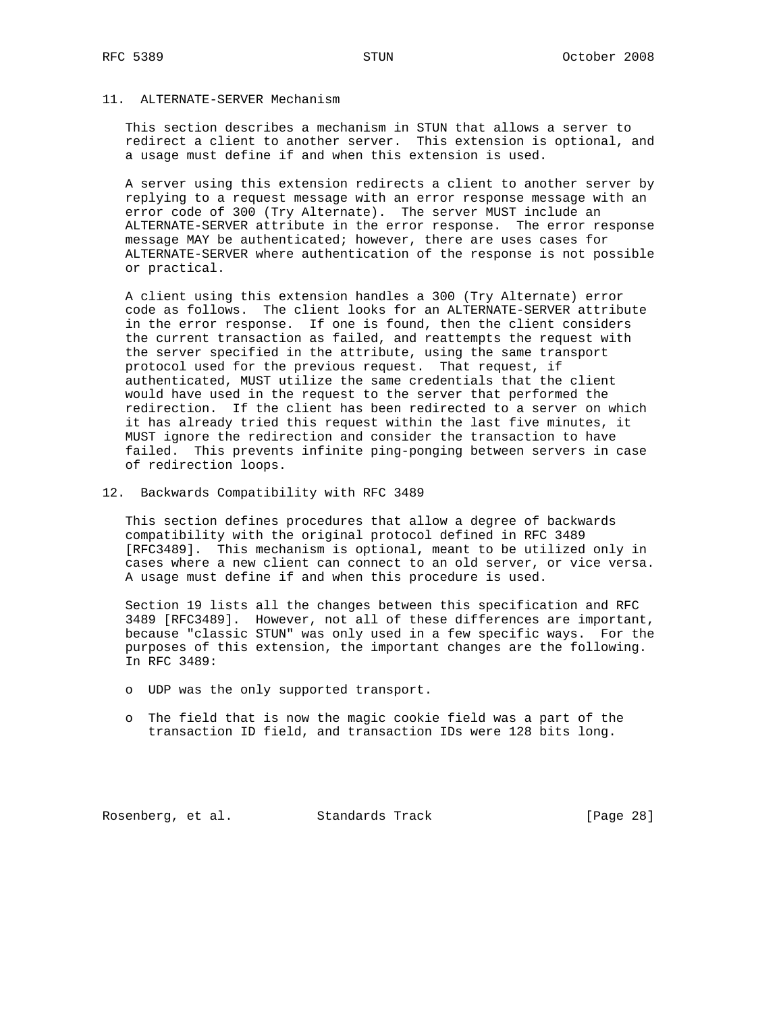# 11. ALTERNATE-SERVER Mechanism

 This section describes a mechanism in STUN that allows a server to redirect a client to another server. This extension is optional, and a usage must define if and when this extension is used.

 A server using this extension redirects a client to another server by replying to a request message with an error response message with an error code of 300 (Try Alternate). The server MUST include an ALTERNATE-SERVER attribute in the error response. The error response message MAY be authenticated; however, there are uses cases for ALTERNATE-SERVER where authentication of the response is not possible or practical.

 A client using this extension handles a 300 (Try Alternate) error code as follows. The client looks for an ALTERNATE-SERVER attribute in the error response. If one is found, then the client considers the current transaction as failed, and reattempts the request with the server specified in the attribute, using the same transport protocol used for the previous request. That request, if authenticated, MUST utilize the same credentials that the client would have used in the request to the server that performed the redirection. If the client has been redirected to a server on which it has already tried this request within the last five minutes, it MUST ignore the redirection and consider the transaction to have failed. This prevents infinite ping-ponging between servers in case of redirection loops.

12. Backwards Compatibility with RFC 3489

 This section defines procedures that allow a degree of backwards compatibility with the original protocol defined in RFC 3489 [RFC3489]. This mechanism is optional, meant to be utilized only in cases where a new client can connect to an old server, or vice versa. A usage must define if and when this procedure is used.

 Section 19 lists all the changes between this specification and RFC 3489 [RFC3489]. However, not all of these differences are important, because "classic STUN" was only used in a few specific ways. For the purposes of this extension, the important changes are the following. In RFC 3489:

- o UDP was the only supported transport.
- o The field that is now the magic cookie field was a part of the transaction ID field, and transaction IDs were 128 bits long.

Rosenberg, et al. Standards Track [Page 28]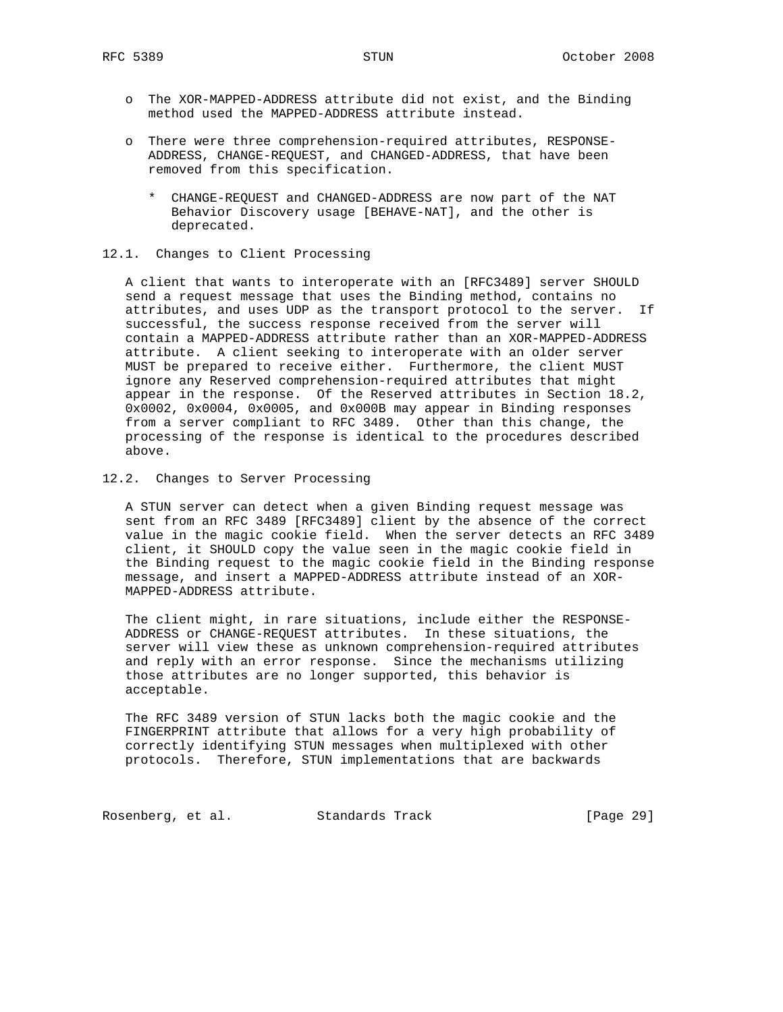- o The XOR-MAPPED-ADDRESS attribute did not exist, and the Binding method used the MAPPED-ADDRESS attribute instead.
- o There were three comprehension-required attributes, RESPONSE- ADDRESS, CHANGE-REQUEST, and CHANGED-ADDRESS, that have been removed from this specification.
	- \* CHANGE-REQUEST and CHANGED-ADDRESS are now part of the NAT Behavior Discovery usage [BEHAVE-NAT], and the other is deprecated.

## 12.1. Changes to Client Processing

 A client that wants to interoperate with an [RFC3489] server SHOULD send a request message that uses the Binding method, contains no attributes, and uses UDP as the transport protocol to the server. If successful, the success response received from the server will contain a MAPPED-ADDRESS attribute rather than an XOR-MAPPED-ADDRESS attribute. A client seeking to interoperate with an older server MUST be prepared to receive either. Furthermore, the client MUST ignore any Reserved comprehension-required attributes that might appear in the response. Of the Reserved attributes in Section 18.2, 0x0002, 0x0004, 0x0005, and 0x000B may appear in Binding responses from a server compliant to RFC 3489. Other than this change, the processing of the response is identical to the procedures described above.

12.2. Changes to Server Processing

 A STUN server can detect when a given Binding request message was sent from an RFC 3489 [RFC3489] client by the absence of the correct value in the magic cookie field. When the server detects an RFC 3489 client, it SHOULD copy the value seen in the magic cookie field in the Binding request to the magic cookie field in the Binding response message, and insert a MAPPED-ADDRESS attribute instead of an XOR- MAPPED-ADDRESS attribute.

 The client might, in rare situations, include either the RESPONSE- ADDRESS or CHANGE-REQUEST attributes. In these situations, the server will view these as unknown comprehension-required attributes and reply with an error response. Since the mechanisms utilizing those attributes are no longer supported, this behavior is acceptable.

 The RFC 3489 version of STUN lacks both the magic cookie and the FINGERPRINT attribute that allows for a very high probability of correctly identifying STUN messages when multiplexed with other protocols. Therefore, STUN implementations that are backwards

Rosenberg, et al. Standards Track [Page 29]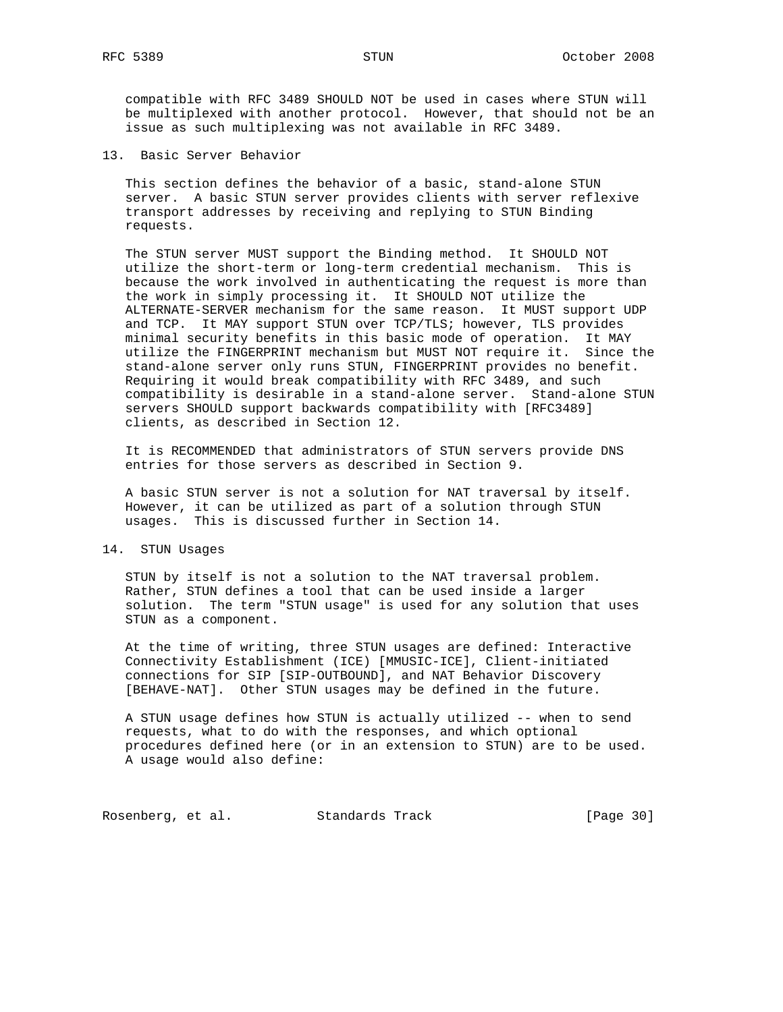compatible with RFC 3489 SHOULD NOT be used in cases where STUN will be multiplexed with another protocol. However, that should not be an issue as such multiplexing was not available in RFC 3489.

13. Basic Server Behavior

 This section defines the behavior of a basic, stand-alone STUN server. A basic STUN server provides clients with server reflexive transport addresses by receiving and replying to STUN Binding requests.

 The STUN server MUST support the Binding method. It SHOULD NOT utilize the short-term or long-term credential mechanism. This is because the work involved in authenticating the request is more than the work in simply processing it. It SHOULD NOT utilize the ALTERNATE-SERVER mechanism for the same reason. It MUST support UDP and TCP. It MAY support STUN over TCP/TLS; however, TLS provides minimal security benefits in this basic mode of operation. It MAY utilize the FINGERPRINT mechanism but MUST NOT require it. Since the stand-alone server only runs STUN, FINGERPRINT provides no benefit. Requiring it would break compatibility with RFC 3489, and such compatibility is desirable in a stand-alone server. Stand-alone STUN servers SHOULD support backwards compatibility with [RFC3489] clients, as described in Section 12.

 It is RECOMMENDED that administrators of STUN servers provide DNS entries for those servers as described in Section 9.

 A basic STUN server is not a solution for NAT traversal by itself. However, it can be utilized as part of a solution through STUN usages. This is discussed further in Section 14.

## 14. STUN Usages

 STUN by itself is not a solution to the NAT traversal problem. Rather, STUN defines a tool that can be used inside a larger solution. The term "STUN usage" is used for any solution that uses STUN as a component.

 At the time of writing, three STUN usages are defined: Interactive Connectivity Establishment (ICE) [MMUSIC-ICE], Client-initiated connections for SIP [SIP-OUTBOUND], and NAT Behavior Discovery [BEHAVE-NAT]. Other STUN usages may be defined in the future.

 A STUN usage defines how STUN is actually utilized -- when to send requests, what to do with the responses, and which optional procedures defined here (or in an extension to STUN) are to be used. A usage would also define:

Rosenberg, et al. Standards Track [Page 30]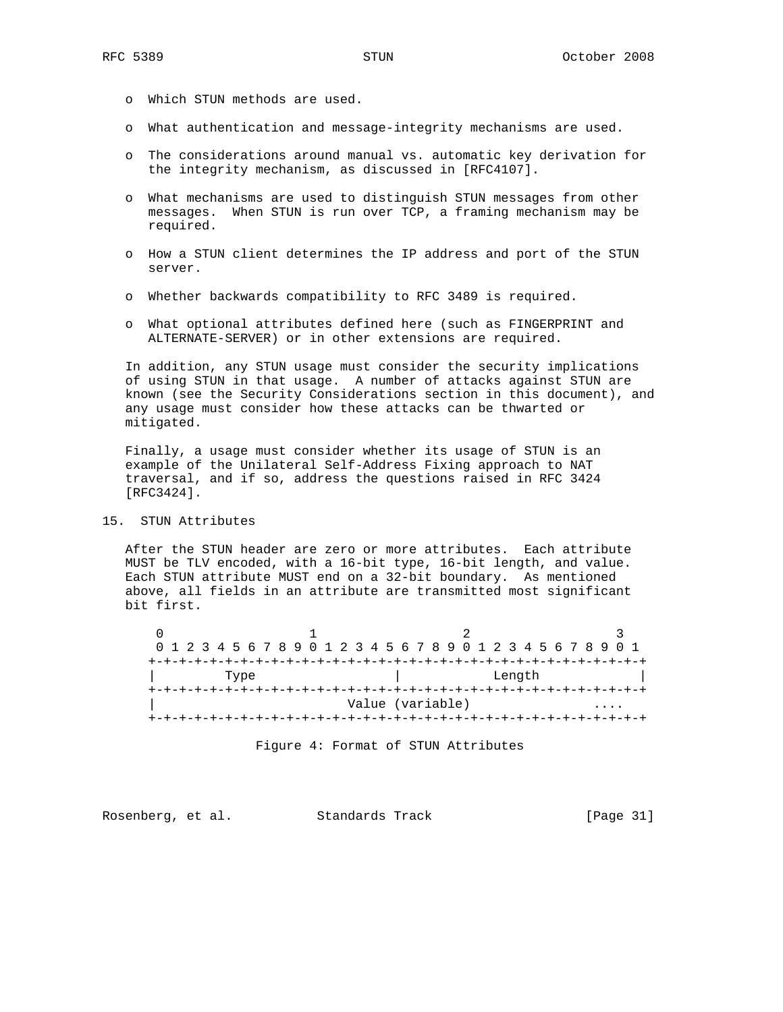- o Which STUN methods are used.
- o What authentication and message-integrity mechanisms are used.
- o The considerations around manual vs. automatic key derivation for the integrity mechanism, as discussed in [RFC4107].
- o What mechanisms are used to distinguish STUN messages from other messages. When STUN is run over TCP, a framing mechanism may be required.
- o How a STUN client determines the IP address and port of the STUN server.
- o Whether backwards compatibility to RFC 3489 is required.
- o What optional attributes defined here (such as FINGERPRINT and ALTERNATE-SERVER) or in other extensions are required.

 In addition, any STUN usage must consider the security implications of using STUN in that usage. A number of attacks against STUN are known (see the Security Considerations section in this document), and any usage must consider how these attacks can be thwarted or mitigated.

 Finally, a usage must consider whether its usage of STUN is an example of the Unilateral Self-Address Fixing approach to NAT traversal, and if so, address the questions raised in RFC 3424 [RFC3424].

## 15. STUN Attributes

 After the STUN header are zero or more attributes. Each attribute MUST be TLV encoded, with a 16-bit type, 16-bit length, and value. Each STUN attribute MUST end on a 32-bit boundary. As mentioned above, all fields in an attribute are transmitted most significant bit first.

|      |  |  |  |  |  |  |  |  |  |  |        |  |  |  |  |  |                  |                                       |  |  |  |  |  |  |  | 0 1 2 3 4 5 6 7 8 9 0 1 2 3 4 5 6 7 8 9 0 1 2 3 4 5 6 7 8 9 0 1 |  |  |
|------|--|--|--|--|--|--|--|--|--|--|--------|--|--|--|--|--|------------------|---------------------------------------|--|--|--|--|--|--|--|-----------------------------------------------------------------|--|--|
|      |  |  |  |  |  |  |  |  |  |  |        |  |  |  |  |  |                  | +-+-+-+-+-+-+-+-+-+-+-+-+-+-+-+-+-+-+ |  |  |  |  |  |  |  |                                                                 |  |  |
| Type |  |  |  |  |  |  |  |  |  |  | Length |  |  |  |  |  |                  |                                       |  |  |  |  |  |  |  |                                                                 |  |  |
|      |  |  |  |  |  |  |  |  |  |  |        |  |  |  |  |  |                  |                                       |  |  |  |  |  |  |  |                                                                 |  |  |
|      |  |  |  |  |  |  |  |  |  |  |        |  |  |  |  |  | Value (variable) |                                       |  |  |  |  |  |  |  |                                                                 |  |  |
|      |  |  |  |  |  |  |  |  |  |  |        |  |  |  |  |  |                  |                                       |  |  |  |  |  |  |  |                                                                 |  |  |

Figure 4: Format of STUN Attributes

Rosenberg, et al. Standards Track [Page 31]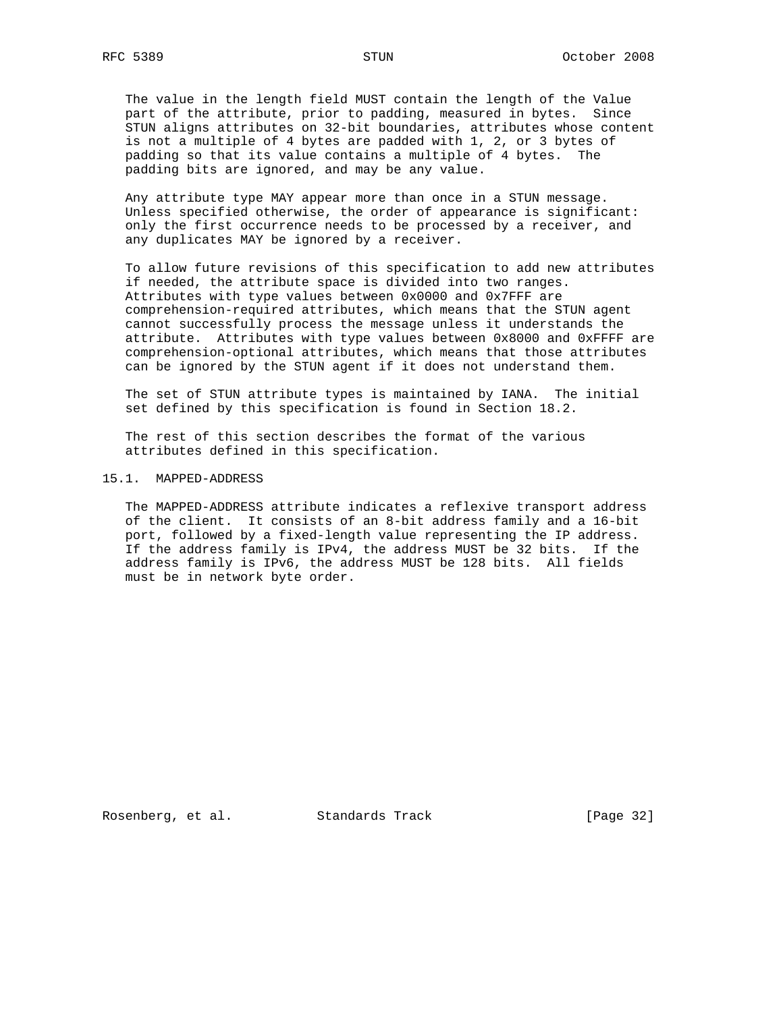The value in the length field MUST contain the length of the Value part of the attribute, prior to padding, measured in bytes. Since STUN aligns attributes on 32-bit boundaries, attributes whose content is not a multiple of 4 bytes are padded with 1, 2, or 3 bytes of padding so that its value contains a multiple of 4 bytes. The padding bits are ignored, and may be any value.

 Any attribute type MAY appear more than once in a STUN message. Unless specified otherwise, the order of appearance is significant: only the first occurrence needs to be processed by a receiver, and any duplicates MAY be ignored by a receiver.

 To allow future revisions of this specification to add new attributes if needed, the attribute space is divided into two ranges. Attributes with type values between 0x0000 and 0x7FFF are comprehension-required attributes, which means that the STUN agent cannot successfully process the message unless it understands the attribute. Attributes with type values between 0x8000 and 0xFFFF are comprehension-optional attributes, which means that those attributes can be ignored by the STUN agent if it does not understand them.

 The set of STUN attribute types is maintained by IANA. The initial set defined by this specification is found in Section 18.2.

 The rest of this section describes the format of the various attributes defined in this specification.

#### 15.1. MAPPED-ADDRESS

 The MAPPED-ADDRESS attribute indicates a reflexive transport address of the client. It consists of an 8-bit address family and a 16-bit port, followed by a fixed-length value representing the IP address. If the address family is IPv4, the address MUST be 32 bits. If the address family is IPv6, the address MUST be 128 bits. All fields must be in network byte order.

Rosenberg, et al. Standards Track [Page 32]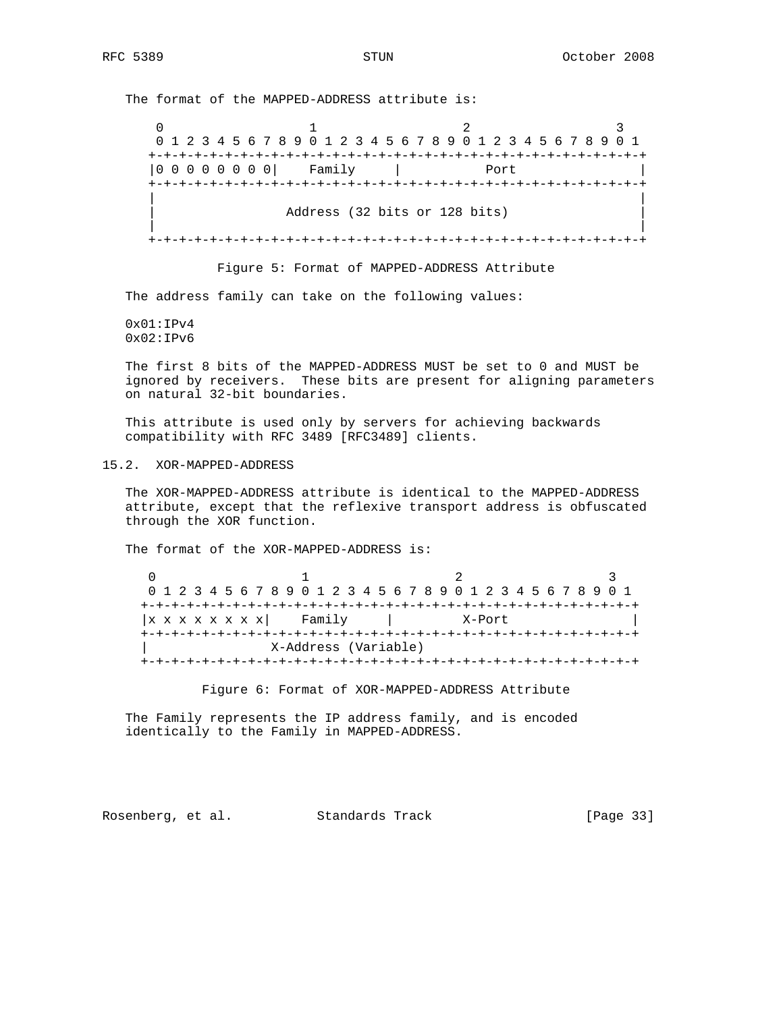The format of the MAPPED-ADDRESS attribute is:

0  $1$  2 3 0 1 2 3 4 5 6 7 8 9 0 1 2 3 4 5 6 7 8 9 0 1 2 3 4 5 6 7 8 9 0 1 +-+-+-+-+-+-+-+-+-+-+-+-+-+-+-+-+-+-+-+-+-+-+-+-+-+-+-+-+-+-+-+-+ |0 0 0 0 0 0 0 0| Family | Port | +-+-+-+-+-+-+-+-+-+-+-+-+-+-+-+-+-+-+-+-+-+-+-+-+-+-+-+-+-+-+-+-+ | | Address (32 bits or 128 bits) | | +-+-+-+-+-+-+-+-+-+-+-+-+-+-+-+-+-+-+-+-+-+-+-+-+-+-+-+-+-+-+-+-+

Figure 5: Format of MAPPED-ADDRESS Attribute

The address family can take on the following values:

 0x01:IPv4  $0x02:IPv6$ 

 The first 8 bits of the MAPPED-ADDRESS MUST be set to 0 and MUST be ignored by receivers. These bits are present for aligning parameters on natural 32-bit boundaries.

 This attribute is used only by servers for achieving backwards compatibility with RFC 3489 [RFC3489] clients.

15.2. XOR-MAPPED-ADDRESS

 The XOR-MAPPED-ADDRESS attribute is identical to the MAPPED-ADDRESS attribute, except that the reflexive transport address is obfuscated through the XOR function.

The format of the XOR-MAPPED-ADDRESS is:

|                 |  |  |  |  |  |  |  |  |        |  |  |  |  |  |  | 0 1 2 3 4 5 6 7 8 9 0 1 2 3 4 5 6 7 8 9 0 1 2 3 4 5 6 7 8 9 0 1 |  |  |        |  |  |  |  |  |  |  |  |  |  |  |
|-----------------|--|--|--|--|--|--|--|--|--------|--|--|--|--|--|--|-----------------------------------------------------------------|--|--|--------|--|--|--|--|--|--|--|--|--|--|--|
|                 |  |  |  |  |  |  |  |  |        |  |  |  |  |  |  |                                                                 |  |  |        |  |  |  |  |  |  |  |  |  |  |  |
| x x x x x x x x |  |  |  |  |  |  |  |  | Family |  |  |  |  |  |  |                                                                 |  |  | X-Port |  |  |  |  |  |  |  |  |  |  |  |
|                 |  |  |  |  |  |  |  |  |        |  |  |  |  |  |  |                                                                 |  |  |        |  |  |  |  |  |  |  |  |  |  |  |
|                 |  |  |  |  |  |  |  |  |        |  |  |  |  |  |  | X-Address (Variable)                                            |  |  |        |  |  |  |  |  |  |  |  |  |  |  |
|                 |  |  |  |  |  |  |  |  |        |  |  |  |  |  |  |                                                                 |  |  |        |  |  |  |  |  |  |  |  |  |  |  |

Figure 6: Format of XOR-MAPPED-ADDRESS Attribute

 The Family represents the IP address family, and is encoded identically to the Family in MAPPED-ADDRESS.

Rosenberg, et al. Standards Track [Page 33]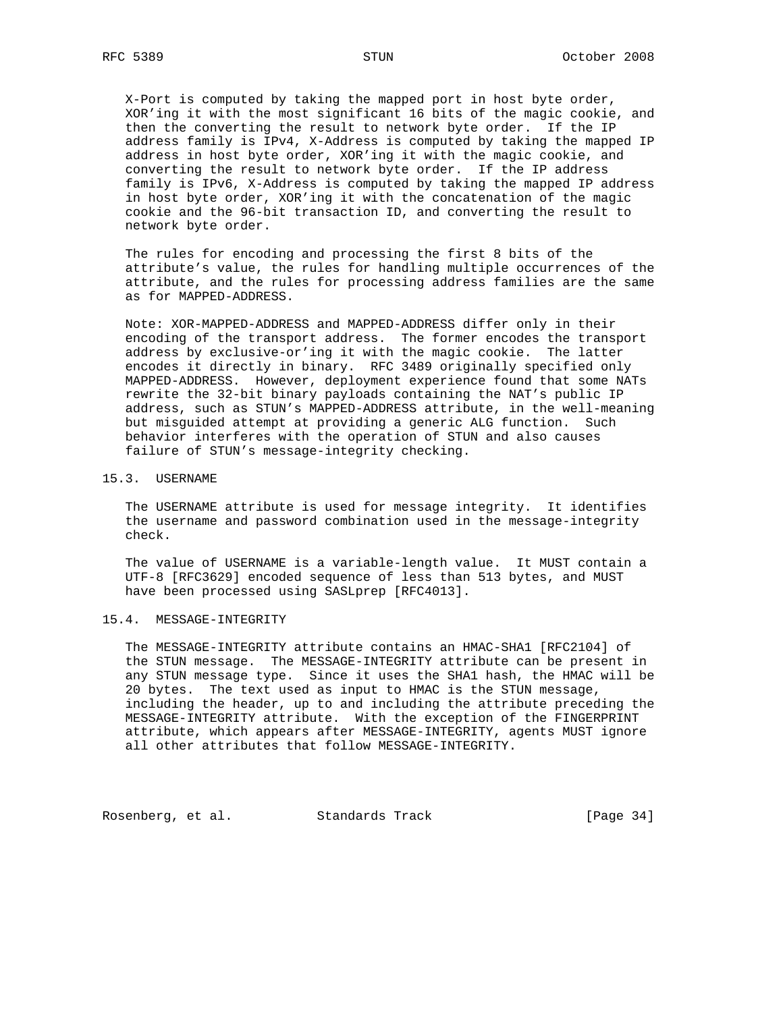X-Port is computed by taking the mapped port in host byte order, XOR'ing it with the most significant 16 bits of the magic cookie, and then the converting the result to network byte order. If the IP address family is IPv4, X-Address is computed by taking the mapped IP address in host byte order, XOR'ing it with the magic cookie, and converting the result to network byte order. If the IP address family is IPv6, X-Address is computed by taking the mapped IP address in host byte order, XOR'ing it with the concatenation of the magic cookie and the 96-bit transaction ID, and converting the result to network byte order.

 The rules for encoding and processing the first 8 bits of the attribute's value, the rules for handling multiple occurrences of the attribute, and the rules for processing address families are the same as for MAPPED-ADDRESS.

 Note: XOR-MAPPED-ADDRESS and MAPPED-ADDRESS differ only in their encoding of the transport address. The former encodes the transport address by exclusive-or'ing it with the magic cookie. The latter encodes it directly in binary. RFC 3489 originally specified only MAPPED-ADDRESS. However, deployment experience found that some NATs rewrite the 32-bit binary payloads containing the NAT's public IP address, such as STUN's MAPPED-ADDRESS attribute, in the well-meaning but misguided attempt at providing a generic ALG function. Such behavior interferes with the operation of STUN and also causes failure of STUN's message-integrity checking.

#### 15.3. USERNAME

 The USERNAME attribute is used for message integrity. It identifies the username and password combination used in the message-integrity check.

 The value of USERNAME is a variable-length value. It MUST contain a UTF-8 [RFC3629] encoded sequence of less than 513 bytes, and MUST have been processed using SASLprep [RFC4013].

#### 15.4. MESSAGE-INTEGRITY

 The MESSAGE-INTEGRITY attribute contains an HMAC-SHA1 [RFC2104] of the STUN message. The MESSAGE-INTEGRITY attribute can be present in any STUN message type. Since it uses the SHA1 hash, the HMAC will be 20 bytes. The text used as input to HMAC is the STUN message, including the header, up to and including the attribute preceding the MESSAGE-INTEGRITY attribute. With the exception of the FINGERPRINT attribute, which appears after MESSAGE-INTEGRITY, agents MUST ignore all other attributes that follow MESSAGE-INTEGRITY.

Rosenberg, et al. Standards Track [Page 34]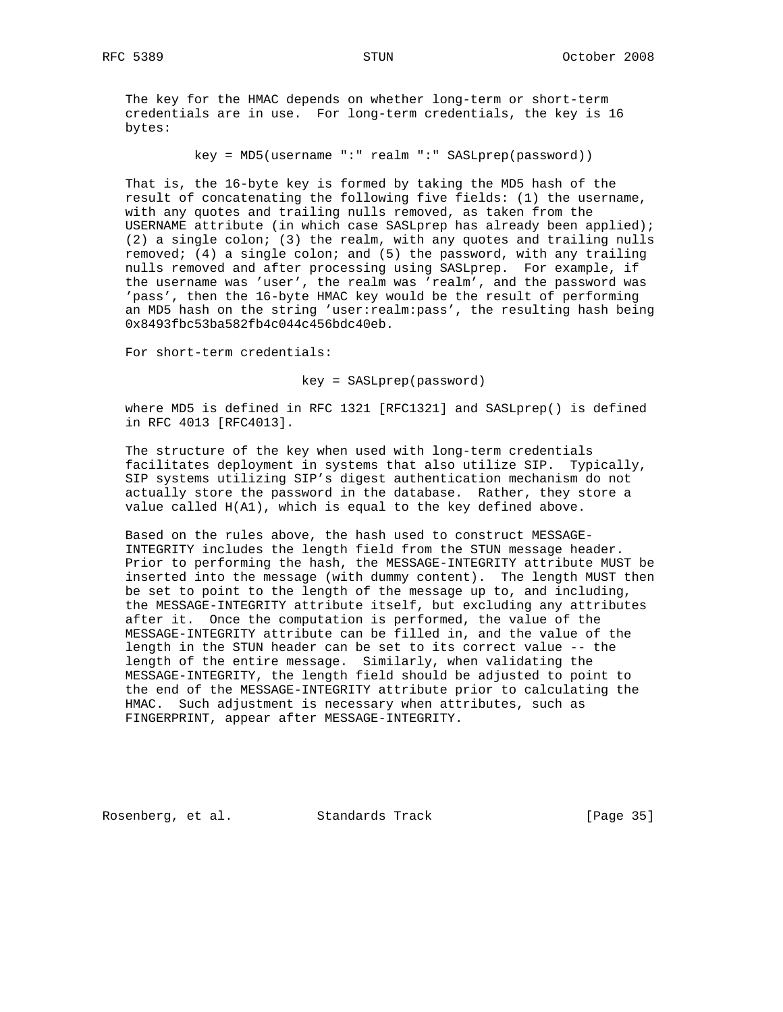The key for the HMAC depends on whether long-term or short-term credentials are in use. For long-term credentials, the key is 16 bytes:

key = MD5(username ":" realm ":" SASLprep(password))

 That is, the 16-byte key is formed by taking the MD5 hash of the result of concatenating the following five fields: (1) the username, with any quotes and trailing nulls removed, as taken from the USERNAME attribute (in which case SASLprep has already been applied); (2) a single colon; (3) the realm, with any quotes and trailing nulls removed; (4) a single colon; and (5) the password, with any trailing nulls removed and after processing using SASLprep. For example, if the username was 'user', the realm was 'realm', and the password was 'pass', then the 16-byte HMAC key would be the result of performing an MD5 hash on the string 'user:realm:pass', the resulting hash being 0x8493fbc53ba582fb4c044c456bdc40eb.

For short-term credentials:

key = SASLprep(password)

 where MD5 is defined in RFC 1321 [RFC1321] and SASLprep() is defined in RFC 4013 [RFC4013].

 The structure of the key when used with long-term credentials facilitates deployment in systems that also utilize SIP. Typically, SIP systems utilizing SIP's digest authentication mechanism do not actually store the password in the database. Rather, they store a value called H(A1), which is equal to the key defined above.

 Based on the rules above, the hash used to construct MESSAGE- INTEGRITY includes the length field from the STUN message header. Prior to performing the hash, the MESSAGE-INTEGRITY attribute MUST be inserted into the message (with dummy content). The length MUST then be set to point to the length of the message up to, and including, the MESSAGE-INTEGRITY attribute itself, but excluding any attributes after it. Once the computation is performed, the value of the MESSAGE-INTEGRITY attribute can be filled in, and the value of the length in the STUN header can be set to its correct value -- the length of the entire message. Similarly, when validating the MESSAGE-INTEGRITY, the length field should be adjusted to point to the end of the MESSAGE-INTEGRITY attribute prior to calculating the HMAC. Such adjustment is necessary when attributes, such as FINGERPRINT, appear after MESSAGE-INTEGRITY.

Rosenberg, et al. Standards Track [Page 35]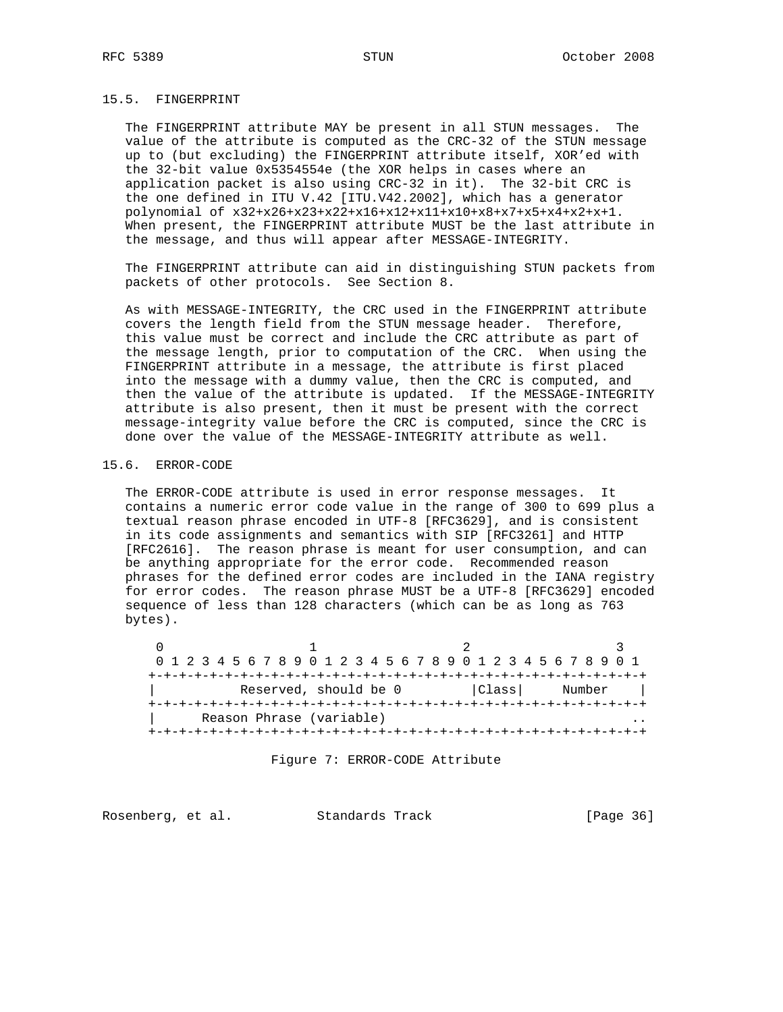## 15.5. FINGERPRINT

 The FINGERPRINT attribute MAY be present in all STUN messages. The value of the attribute is computed as the CRC-32 of the STUN message up to (but excluding) the FINGERPRINT attribute itself, XOR'ed with the 32-bit value 0x5354554e (the XOR helps in cases where an application packet is also using CRC-32 in it). The 32-bit CRC is the one defined in ITU V.42 [ITU.V42.2002], which has a generator polynomial of x32+x26+x23+x22+x16+x12+x11+x10+x8+x7+x5+x4+x2+x+1. When present, the FINGERPRINT attribute MUST be the last attribute in the message, and thus will appear after MESSAGE-INTEGRITY.

 The FINGERPRINT attribute can aid in distinguishing STUN packets from packets of other protocols. See Section 8.

 As with MESSAGE-INTEGRITY, the CRC used in the FINGERPRINT attribute covers the length field from the STUN message header. Therefore, this value must be correct and include the CRC attribute as part of the message length, prior to computation of the CRC. When using the FINGERPRINT attribute in a message, the attribute is first placed into the message with a dummy value, then the CRC is computed, and then the value of the attribute is updated. If the MESSAGE-INTEGRITY attribute is also present, then it must be present with the correct message-integrity value before the CRC is computed, since the CRC is done over the value of the MESSAGE-INTEGRITY attribute as well.

## 15.6. ERROR-CODE

 The ERROR-CODE attribute is used in error response messages. It contains a numeric error code value in the range of 300 to 699 plus a textual reason phrase encoded in UTF-8 [RFC3629], and is consistent in its code assignments and semantics with SIP [RFC3261] and HTTP [RFC2616]. The reason phrase is meant for user consumption, and can be anything appropriate for the error code. Recommended reason phrases for the defined error codes are included in the IANA registry for error codes. The reason phrase MUST be a UTF-8 [RFC3629] encoded sequence of less than 128 characters (which can be as long as 763 bytes).

 $0$  1 2 3 0 1 2 3 4 5 6 7 8 9 0 1 2 3 4 5 6 7 8 9 0 1 2 3 4 5 6 7 8 9 0 1 +-+-+-+-+-+-+-+-+-+-+-+-+-+-+-+-+-+-+-+-+-+-+-+-+-+-+-+-+-+-+-+-+ Reserved, should be 0 | Class | Number | +-+-+-+-+-+-+-+-+-+-+-+-+-+-+-+-+-+-+-+-+-+-+-+-+-+-+-+-+-+-+-+-+ Reason Phrase (variable) +-+-+-+-+-+-+-+-+-+-+-+-+-+-+-+-+-+-+-+-+-+-+-+-+-+-+-+-+-+-+-+-+

Figure 7: ERROR-CODE Attribute

Rosenberg, et al. Standards Track [Page 36]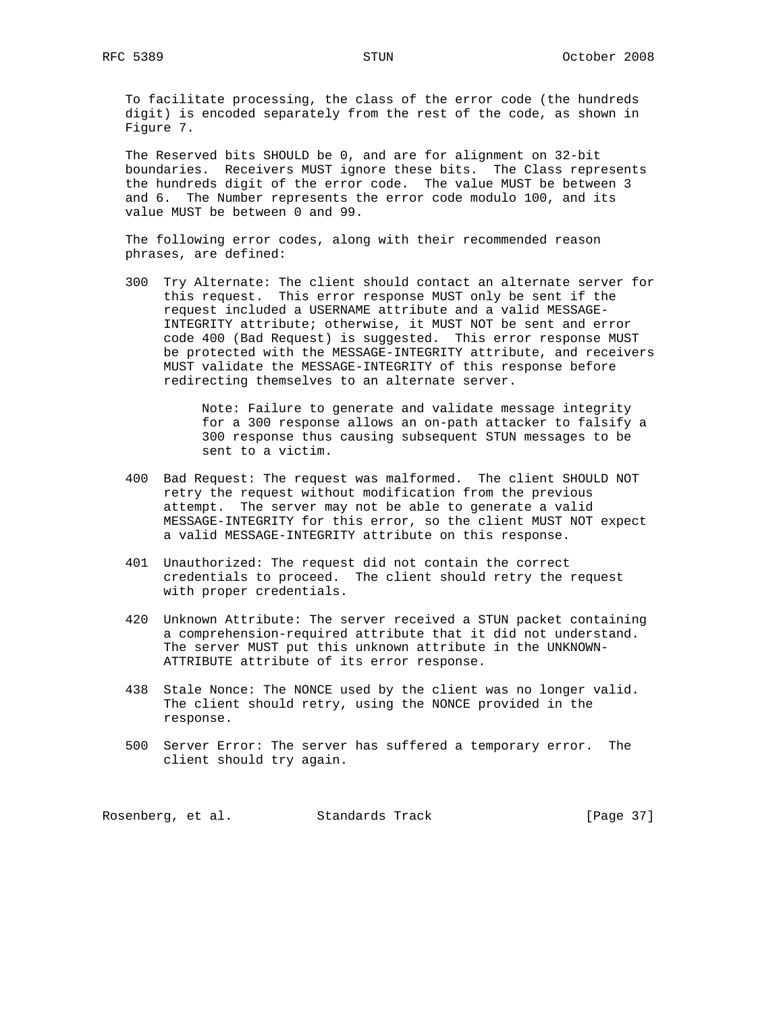To facilitate processing, the class of the error code (the hundreds digit) is encoded separately from the rest of the code, as shown in Figure 7.

 The Reserved bits SHOULD be 0, and are for alignment on 32-bit boundaries. Receivers MUST ignore these bits. The Class represents the hundreds digit of the error code. The value MUST be between 3 and 6. The Number represents the error code modulo 100, and its value MUST be between 0 and 99.

 The following error codes, along with their recommended reason phrases, are defined:

 300 Try Alternate: The client should contact an alternate server for this request. This error response MUST only be sent if the request included a USERNAME attribute and a valid MESSAGE- INTEGRITY attribute; otherwise, it MUST NOT be sent and error code 400 (Bad Request) is suggested. This error response MUST be protected with the MESSAGE-INTEGRITY attribute, and receivers MUST validate the MESSAGE-INTEGRITY of this response before redirecting themselves to an alternate server.

> Note: Failure to generate and validate message integrity for a 300 response allows an on-path attacker to falsify a 300 response thus causing subsequent STUN messages to be sent to a victim.

- 400 Bad Request: The request was malformed. The client SHOULD NOT retry the request without modification from the previous attempt. The server may not be able to generate a valid MESSAGE-INTEGRITY for this error, so the client MUST NOT expect a valid MESSAGE-INTEGRITY attribute on this response.
- 401 Unauthorized: The request did not contain the correct credentials to proceed. The client should retry the request with proper credentials.
- 420 Unknown Attribute: The server received a STUN packet containing a comprehension-required attribute that it did not understand. The server MUST put this unknown attribute in the UNKNOWN- ATTRIBUTE attribute of its error response.
- 438 Stale Nonce: The NONCE used by the client was no longer valid. The client should retry, using the NONCE provided in the response.
- 500 Server Error: The server has suffered a temporary error. The client should try again.

Rosenberg, et al. Standards Track [Page 37]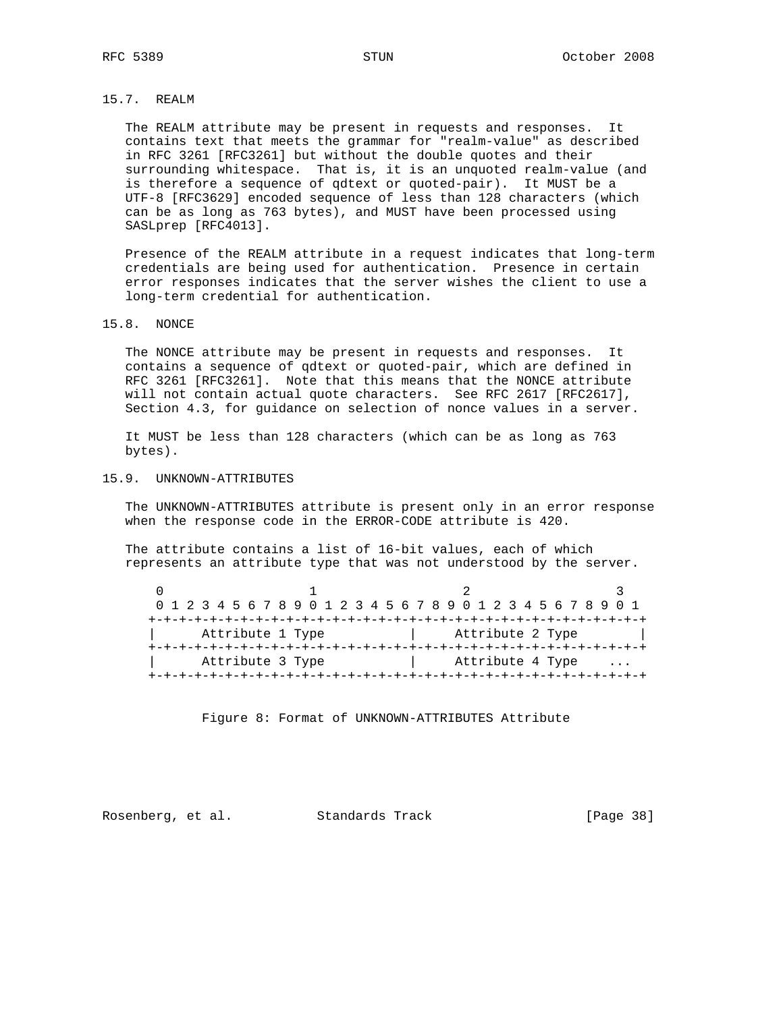# 15.7. REALM

 The REALM attribute may be present in requests and responses. It contains text that meets the grammar for "realm-value" as described in RFC 3261 [RFC3261] but without the double quotes and their surrounding whitespace. That is, it is an unquoted realm-value (and is therefore a sequence of qdtext or quoted-pair). It MUST be a UTF-8 [RFC3629] encoded sequence of less than 128 characters (which can be as long as 763 bytes), and MUST have been processed using SASLprep [RFC4013].

 Presence of the REALM attribute in a request indicates that long-term credentials are being used for authentication. Presence in certain error responses indicates that the server wishes the client to use a long-term credential for authentication.

### 15.8. NONCE

 The NONCE attribute may be present in requests and responses. It contains a sequence of qdtext or quoted-pair, which are defined in RFC 3261 [RFC3261]. Note that this means that the NONCE attribute will not contain actual quote characters. See RFC 2617 [RFC2617], Section 4.3, for guidance on selection of nonce values in a server.

 It MUST be less than 128 characters (which can be as long as 763 bytes).

### 15.9. UNKNOWN-ATTRIBUTES

 The UNKNOWN-ATTRIBUTES attribute is present only in an error response when the response code in the ERROR-CODE attribute is 420.

 The attribute contains a list of 16-bit values, each of which represents an attribute type that was not understood by the server.

|                  |  |  |  |  |  |                  |  |  |                  |  |  |  |  |  |  |  |  |  |  |  |  |  |                  | 0 1 2 3 4 5 6 7 8 9 0 1 2 3 4 5 6 7 8 9 0 1 2 3 4 5 6 7 8 9 0 1 |  |  |  |
|------------------|--|--|--|--|--|------------------|--|--|------------------|--|--|--|--|--|--|--|--|--|--|--|--|--|------------------|-----------------------------------------------------------------|--|--|--|
|                  |  |  |  |  |  |                  |  |  |                  |  |  |  |  |  |  |  |  |  |  |  |  |  |                  |                                                                 |  |  |  |
| Attribute 1 Type |  |  |  |  |  |                  |  |  | Attribute 2 Type |  |  |  |  |  |  |  |  |  |  |  |  |  |                  |                                                                 |  |  |  |
|                  |  |  |  |  |  |                  |  |  |                  |  |  |  |  |  |  |  |  |  |  |  |  |  |                  |                                                                 |  |  |  |
|                  |  |  |  |  |  | Attribute 3 Type |  |  |                  |  |  |  |  |  |  |  |  |  |  |  |  |  | Attribute 4 Type |                                                                 |  |  |  |
|                  |  |  |  |  |  |                  |  |  |                  |  |  |  |  |  |  |  |  |  |  |  |  |  |                  |                                                                 |  |  |  |

Figure 8: Format of UNKNOWN-ATTRIBUTES Attribute

Rosenberg, et al. Standards Track [Page 38]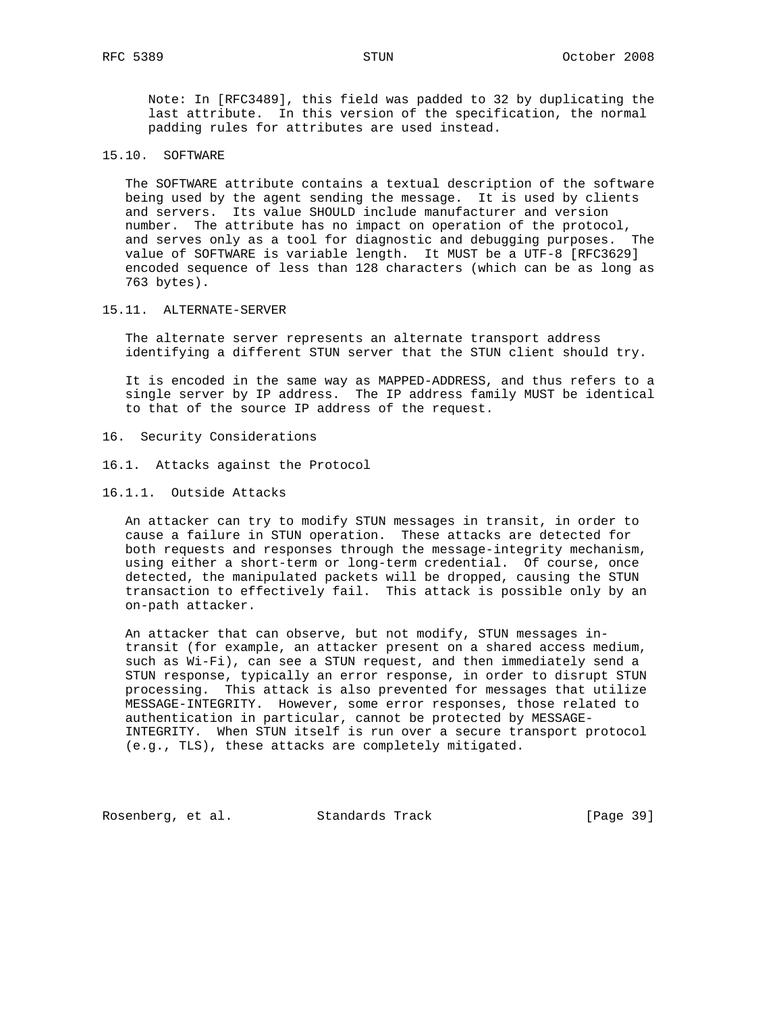Note: In [RFC3489], this field was padded to 32 by duplicating the last attribute. In this version of the specification, the normal padding rules for attributes are used instead.

# 15.10. SOFTWARE

 The SOFTWARE attribute contains a textual description of the software being used by the agent sending the message. It is used by clients and servers. Its value SHOULD include manufacturer and version number. The attribute has no impact on operation of the protocol, and serves only as a tool for diagnostic and debugging purposes. The value of SOFTWARE is variable length. It MUST be a UTF-8 [RFC3629] encoded sequence of less than 128 characters (which can be as long as 763 bytes).

#### 15.11. ALTERNATE-SERVER

 The alternate server represents an alternate transport address identifying a different STUN server that the STUN client should try.

 It is encoded in the same way as MAPPED-ADDRESS, and thus refers to a single server by IP address. The IP address family MUST be identical to that of the source IP address of the request.

- 16. Security Considerations
- 16.1. Attacks against the Protocol
- 16.1.1. Outside Attacks

 An attacker can try to modify STUN messages in transit, in order to cause a failure in STUN operation. These attacks are detected for both requests and responses through the message-integrity mechanism, using either a short-term or long-term credential. Of course, once detected, the manipulated packets will be dropped, causing the STUN transaction to effectively fail. This attack is possible only by an on-path attacker.

 An attacker that can observe, but not modify, STUN messages in transit (for example, an attacker present on a shared access medium, such as Wi-Fi), can see a STUN request, and then immediately send a STUN response, typically an error response, in order to disrupt STUN processing. This attack is also prevented for messages that utilize MESSAGE-INTEGRITY. However, some error responses, those related to authentication in particular, cannot be protected by MESSAGE- INTEGRITY. When STUN itself is run over a secure transport protocol (e.g., TLS), these attacks are completely mitigated.

Rosenberg, et al. Standards Track [Page 39]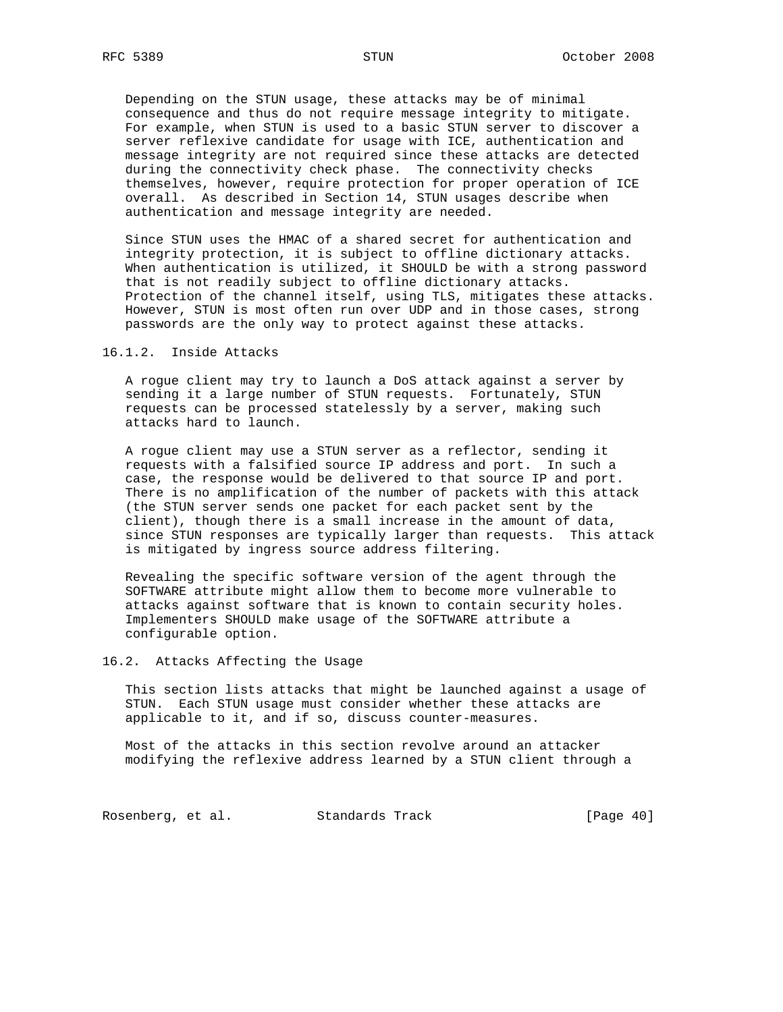Depending on the STUN usage, these attacks may be of minimal consequence and thus do not require message integrity to mitigate. For example, when STUN is used to a basic STUN server to discover a server reflexive candidate for usage with ICE, authentication and message integrity are not required since these attacks are detected during the connectivity check phase. The connectivity checks themselves, however, require protection for proper operation of ICE overall. As described in Section 14, STUN usages describe when authentication and message integrity are needed.

 Since STUN uses the HMAC of a shared secret for authentication and integrity protection, it is subject to offline dictionary attacks. When authentication is utilized, it SHOULD be with a strong password that is not readily subject to offline dictionary attacks. Protection of the channel itself, using TLS, mitigates these attacks. However, STUN is most often run over UDP and in those cases, strong passwords are the only way to protect against these attacks.

16.1.2. Inside Attacks

 A rogue client may try to launch a DoS attack against a server by sending it a large number of STUN requests. Fortunately, STUN requests can be processed statelessly by a server, making such attacks hard to launch.

 A rogue client may use a STUN server as a reflector, sending it requests with a falsified source IP address and port. In such a case, the response would be delivered to that source IP and port. There is no amplification of the number of packets with this attack (the STUN server sends one packet for each packet sent by the client), though there is a small increase in the amount of data, since STUN responses are typically larger than requests. This attack is mitigated by ingress source address filtering.

 Revealing the specific software version of the agent through the SOFTWARE attribute might allow them to become more vulnerable to attacks against software that is known to contain security holes. Implementers SHOULD make usage of the SOFTWARE attribute a configurable option.

## 16.2. Attacks Affecting the Usage

 This section lists attacks that might be launched against a usage of STUN. Each STUN usage must consider whether these attacks are applicable to it, and if so, discuss counter-measures.

 Most of the attacks in this section revolve around an attacker modifying the reflexive address learned by a STUN client through a

Rosenberg, et al. Standards Track [Page 40]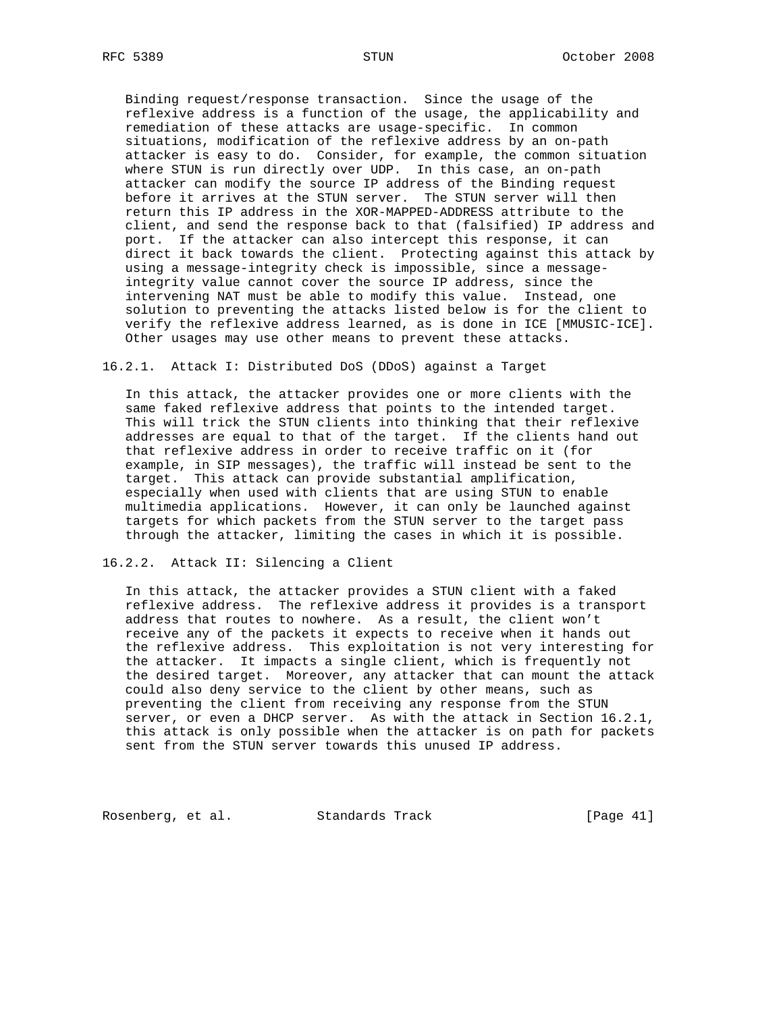Binding request/response transaction. Since the usage of the reflexive address is a function of the usage, the applicability and remediation of these attacks are usage-specific. In common situations, modification of the reflexive address by an on-path attacker is easy to do. Consider, for example, the common situation where STUN is run directly over UDP. In this case, an on-path attacker can modify the source IP address of the Binding request before it arrives at the STUN server. The STUN server will then return this IP address in the XOR-MAPPED-ADDRESS attribute to the client, and send the response back to that (falsified) IP address and port. If the attacker can also intercept this response, it can direct it back towards the client. Protecting against this attack by using a message-integrity check is impossible, since a message integrity value cannot cover the source IP address, since the intervening NAT must be able to modify this value. Instead, one solution to preventing the attacks listed below is for the client to verify the reflexive address learned, as is done in ICE [MMUSIC-ICE]. Other usages may use other means to prevent these attacks.

16.2.1. Attack I: Distributed DoS (DDoS) against a Target

 In this attack, the attacker provides one or more clients with the same faked reflexive address that points to the intended target. This will trick the STUN clients into thinking that their reflexive addresses are equal to that of the target. If the clients hand out that reflexive address in order to receive traffic on it (for example, in SIP messages), the traffic will instead be sent to the target. This attack can provide substantial amplification, especially when used with clients that are using STUN to enable multimedia applications. However, it can only be launched against targets for which packets from the STUN server to the target pass through the attacker, limiting the cases in which it is possible.

16.2.2. Attack II: Silencing a Client

 In this attack, the attacker provides a STUN client with a faked reflexive address. The reflexive address it provides is a transport address that routes to nowhere. As a result, the client won't receive any of the packets it expects to receive when it hands out the reflexive address. This exploitation is not very interesting for the attacker. It impacts a single client, which is frequently not the desired target. Moreover, any attacker that can mount the attack could also deny service to the client by other means, such as preventing the client from receiving any response from the STUN server, or even a DHCP server. As with the attack in Section 16.2.1, this attack is only possible when the attacker is on path for packets sent from the STUN server towards this unused IP address.

Rosenberg, et al. Standards Track [Page 41]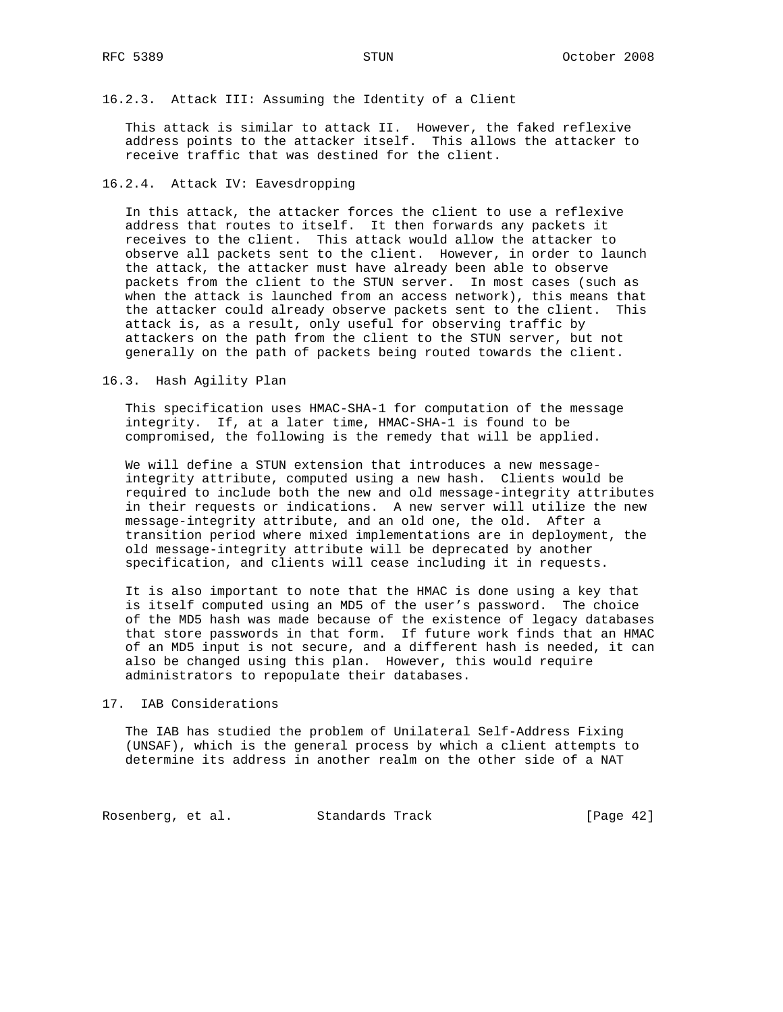## 16.2.3. Attack III: Assuming the Identity of a Client

 This attack is similar to attack II. However, the faked reflexive address points to the attacker itself. This allows the attacker to receive traffic that was destined for the client.

## 16.2.4. Attack IV: Eavesdropping

 In this attack, the attacker forces the client to use a reflexive address that routes to itself. It then forwards any packets it receives to the client. This attack would allow the attacker to observe all packets sent to the client. However, in order to launch the attack, the attacker must have already been able to observe packets from the client to the STUN server. In most cases (such as when the attack is launched from an access network), this means that the attacker could already observe packets sent to the client. This attack is, as a result, only useful for observing traffic by attackers on the path from the client to the STUN server, but not generally on the path of packets being routed towards the client.

#### 16.3. Hash Agility Plan

 This specification uses HMAC-SHA-1 for computation of the message integrity. If, at a later time, HMAC-SHA-1 is found to be compromised, the following is the remedy that will be applied.

 We will define a STUN extension that introduces a new message integrity attribute, computed using a new hash. Clients would be required to include both the new and old message-integrity attributes in their requests or indications. A new server will utilize the new message-integrity attribute, and an old one, the old. After a transition period where mixed implementations are in deployment, the old message-integrity attribute will be deprecated by another specification, and clients will cease including it in requests.

 It is also important to note that the HMAC is done using a key that is itself computed using an MD5 of the user's password. The choice of the MD5 hash was made because of the existence of legacy databases that store passwords in that form. If future work finds that an HMAC of an MD5 input is not secure, and a different hash is needed, it can also be changed using this plan. However, this would require administrators to repopulate their databases.

#### 17. IAB Considerations

 The IAB has studied the problem of Unilateral Self-Address Fixing (UNSAF), which is the general process by which a client attempts to determine its address in another realm on the other side of a NAT

Rosenberg, et al. Standards Track [Page 42]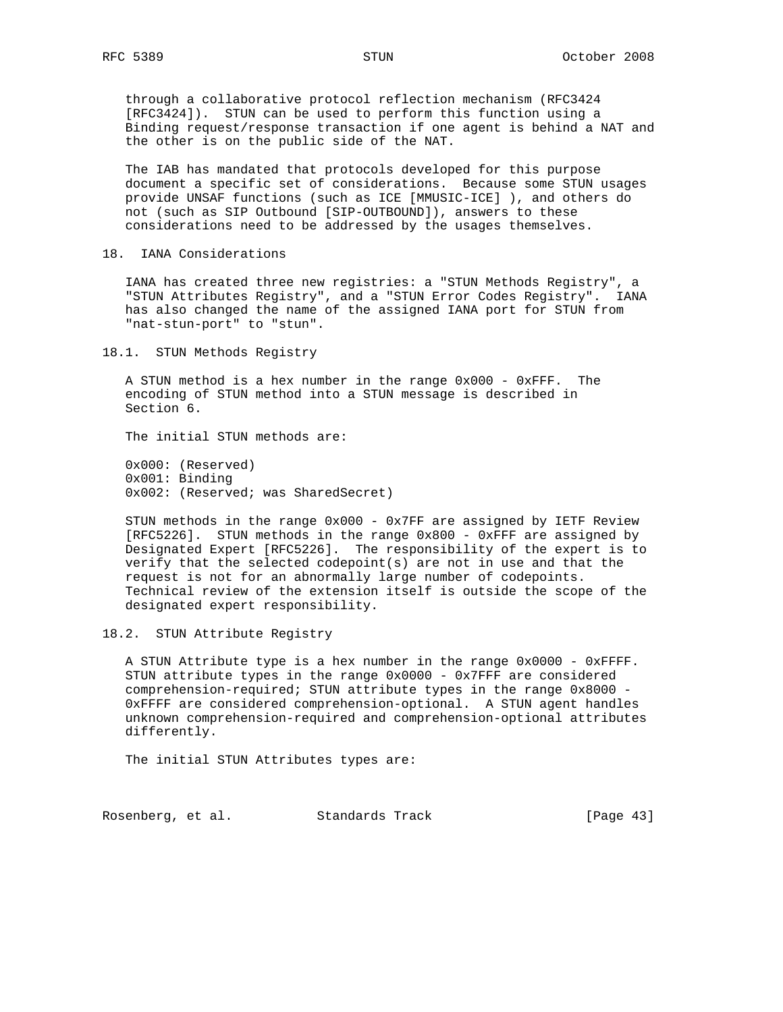through a collaborative protocol reflection mechanism (RFC3424 [RFC3424]). STUN can be used to perform this function using a Binding request/response transaction if one agent is behind a NAT and the other is on the public side of the NAT.

 The IAB has mandated that protocols developed for this purpose document a specific set of considerations. Because some STUN usages provide UNSAF functions (such as ICE [MMUSIC-ICE] ), and others do not (such as SIP Outbound [SIP-OUTBOUND]), answers to these considerations need to be addressed by the usages themselves.

### 18. IANA Considerations

 IANA has created three new registries: a "STUN Methods Registry", a "STUN Attributes Registry", and a "STUN Error Codes Registry". IANA has also changed the name of the assigned IANA port for STUN from "nat-stun-port" to "stun".

18.1. STUN Methods Registry

 A STUN method is a hex number in the range 0x000 - 0xFFF. The encoding of STUN method into a STUN message is described in Section 6.

The initial STUN methods are:

 0x000: (Reserved) 0x001: Binding 0x002: (Reserved; was SharedSecret)

 STUN methods in the range 0x000 - 0x7FF are assigned by IETF Review [RFC5226]. STUN methods in the range 0x800 - 0xFFF are assigned by Designated Expert [RFC5226]. The responsibility of the expert is to verify that the selected codepoint(s) are not in use and that the request is not for an abnormally large number of codepoints. Technical review of the extension itself is outside the scope of the designated expert responsibility.

18.2. STUN Attribute Registry

 A STUN Attribute type is a hex number in the range 0x0000 - 0xFFFF. STUN attribute types in the range 0x0000 - 0x7FFF are considered comprehension-required; STUN attribute types in the range 0x8000 - 0xFFFF are considered comprehension-optional. A STUN agent handles unknown comprehension-required and comprehension-optional attributes differently.

The initial STUN Attributes types are:

Rosenberg, et al. Standards Track [Page 43]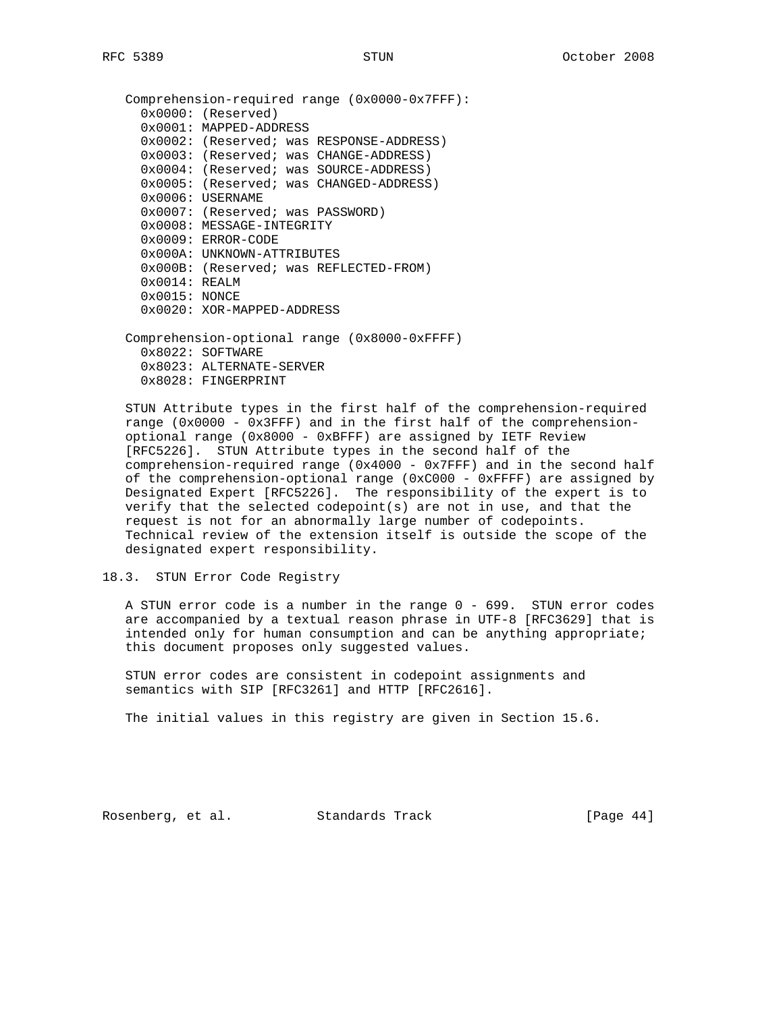```
 Comprehension-required range (0x0000-0x7FFF):
0x0000: (Reserved)
0x0001: MAPPED-ADDRESS
0x0002: (Reserved; was RESPONSE-ADDRESS)
0x0003: (Reserved; was CHANGE-ADDRESS)
0x0004: (Reserved; was SOURCE-ADDRESS)
0x0005: (Reserved; was CHANGED-ADDRESS)
0x0006: USERNAME
0x0007: (Reserved; was PASSWORD)
0x0008: MESSAGE-INTEGRITY
0x0009: ERROR-CODE
0x000A: UNKNOWN-ATTRIBUTES
0x000B: (Reserved; was REFLECTED-FROM)
0x0014: REALM
0x0015: NONCE
0x0020: XOR-MAPPED-ADDRESS
```
 Comprehension-optional range (0x8000-0xFFFF) 0x8022: SOFTWARE 0x8023: ALTERNATE-SERVER 0x8028: FINGERPRINT

 STUN Attribute types in the first half of the comprehension-required range  $(0x0000 - 0x3FFF)$  and in the first half of the comprehension optional range (0x8000 - 0xBFFF) are assigned by IETF Review [RFC5226]. STUN Attribute types in the second half of the comprehension-required range (0x4000 - 0x7FFF) and in the second half of the comprehension-optional range (0xC000 - 0xFFFF) are assigned by Designated Expert [RFC5226]. The responsibility of the expert is to verify that the selected codepoint(s) are not in use, and that the request is not for an abnormally large number of codepoints. Technical review of the extension itself is outside the scope of the designated expert responsibility.

18.3. STUN Error Code Registry

 A STUN error code is a number in the range 0 - 699. STUN error codes are accompanied by a textual reason phrase in UTF-8 [RFC3629] that is intended only for human consumption and can be anything appropriate; this document proposes only suggested values.

 STUN error codes are consistent in codepoint assignments and semantics with SIP [RFC3261] and HTTP [RFC2616].

The initial values in this registry are given in Section 15.6.

Rosenberg, et al. Standards Track [Page 44]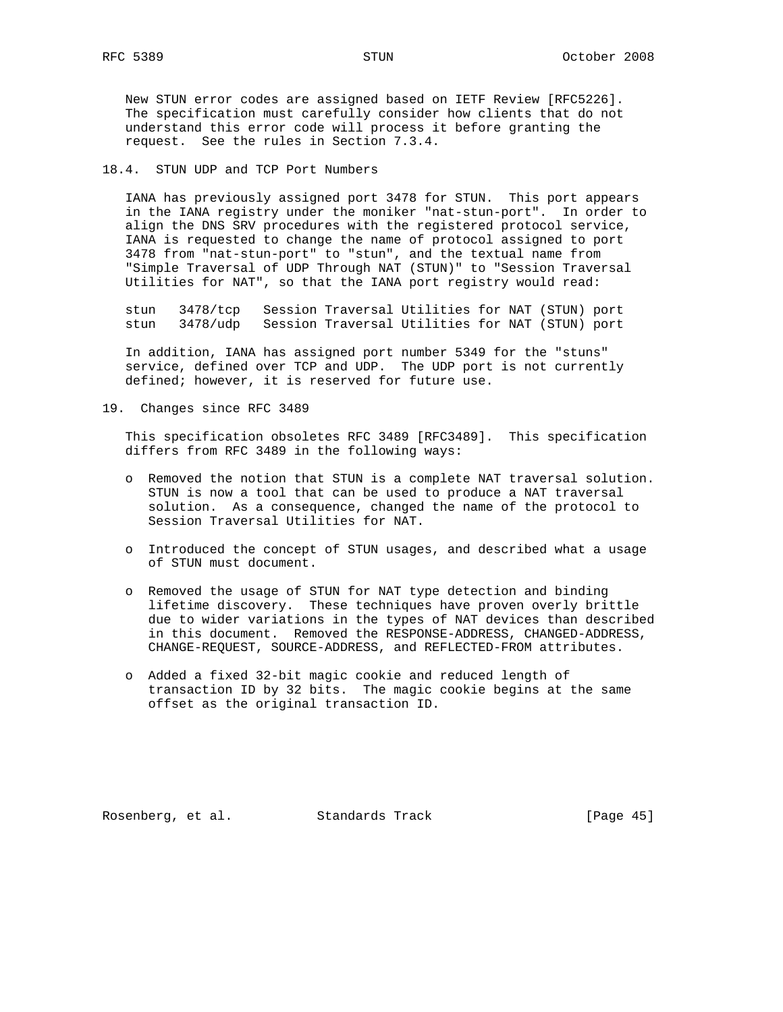New STUN error codes are assigned based on IETF Review [RFC5226]. The specification must carefully consider how clients that do not understand this error code will process it before granting the request. See the rules in Section 7.3.4.

## 18.4. STUN UDP and TCP Port Numbers

 IANA has previously assigned port 3478 for STUN. This port appears in the IANA registry under the moniker "nat-stun-port". In order to align the DNS SRV procedures with the registered protocol service, IANA is requested to change the name of protocol assigned to port 3478 from "nat-stun-port" to "stun", and the textual name from "Simple Traversal of UDP Through NAT (STUN)" to "Session Traversal Utilities for NAT", so that the IANA port registry would read:

 stun 3478/tcp Session Traversal Utilities for NAT (STUN) port stun 3478/udp Session Traversal Utilities for NAT (STUN) port

 In addition, IANA has assigned port number 5349 for the "stuns" service, defined over TCP and UDP. The UDP port is not currently defined; however, it is reserved for future use.

19. Changes since RFC 3489

 This specification obsoletes RFC 3489 [RFC3489]. This specification differs from RFC 3489 in the following ways:

- o Removed the notion that STUN is a complete NAT traversal solution. STUN is now a tool that can be used to produce a NAT traversal solution. As a consequence, changed the name of the protocol to Session Traversal Utilities for NAT.
- o Introduced the concept of STUN usages, and described what a usage of STUN must document.
- o Removed the usage of STUN for NAT type detection and binding lifetime discovery. These techniques have proven overly brittle due to wider variations in the types of NAT devices than described in this document. Removed the RESPONSE-ADDRESS, CHANGED-ADDRESS, CHANGE-REQUEST, SOURCE-ADDRESS, and REFLECTED-FROM attributes.
- o Added a fixed 32-bit magic cookie and reduced length of transaction ID by 32 bits. The magic cookie begins at the same offset as the original transaction ID.

Rosenberg, et al. Standards Track [Page 45]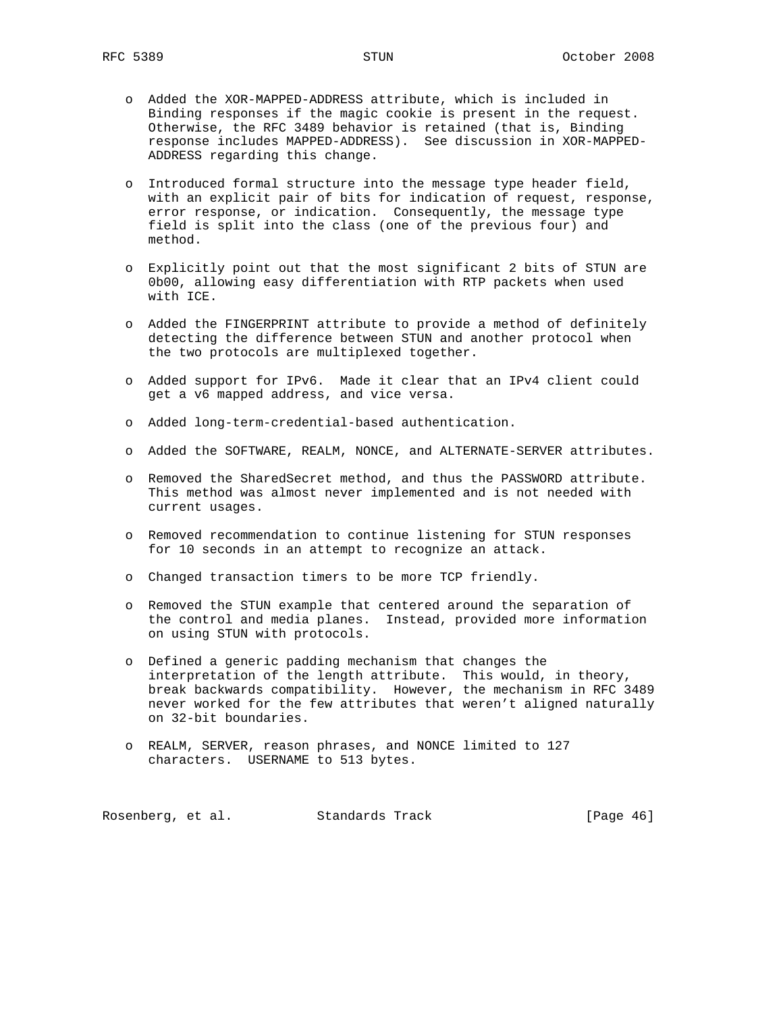- o Added the XOR-MAPPED-ADDRESS attribute, which is included in Binding responses if the magic cookie is present in the request. Otherwise, the RFC 3489 behavior is retained (that is, Binding response includes MAPPED-ADDRESS). See discussion in XOR-MAPPED- ADDRESS regarding this change.
- o Introduced formal structure into the message type header field, with an explicit pair of bits for indication of request, response, error response, or indication. Consequently, the message type field is split into the class (one of the previous four) and method.
- o Explicitly point out that the most significant 2 bits of STUN are 0b00, allowing easy differentiation with RTP packets when used with ICE.
- o Added the FINGERPRINT attribute to provide a method of definitely detecting the difference between STUN and another protocol when the two protocols are multiplexed together.
- o Added support for IPv6. Made it clear that an IPv4 client could get a v6 mapped address, and vice versa.
- o Added long-term-credential-based authentication.
- o Added the SOFTWARE, REALM, NONCE, and ALTERNATE-SERVER attributes.
- o Removed the SharedSecret method, and thus the PASSWORD attribute. This method was almost never implemented and is not needed with current usages.
- o Removed recommendation to continue listening for STUN responses for 10 seconds in an attempt to recognize an attack.
- o Changed transaction timers to be more TCP friendly.
- o Removed the STUN example that centered around the separation of the control and media planes. Instead, provided more information on using STUN with protocols.
- o Defined a generic padding mechanism that changes the interpretation of the length attribute. This would, in theory, break backwards compatibility. However, the mechanism in RFC 3489 never worked for the few attributes that weren't aligned naturally on 32-bit boundaries.
- o REALM, SERVER, reason phrases, and NONCE limited to 127 characters. USERNAME to 513 bytes.

Rosenberg, et al. Standards Track [Page 46]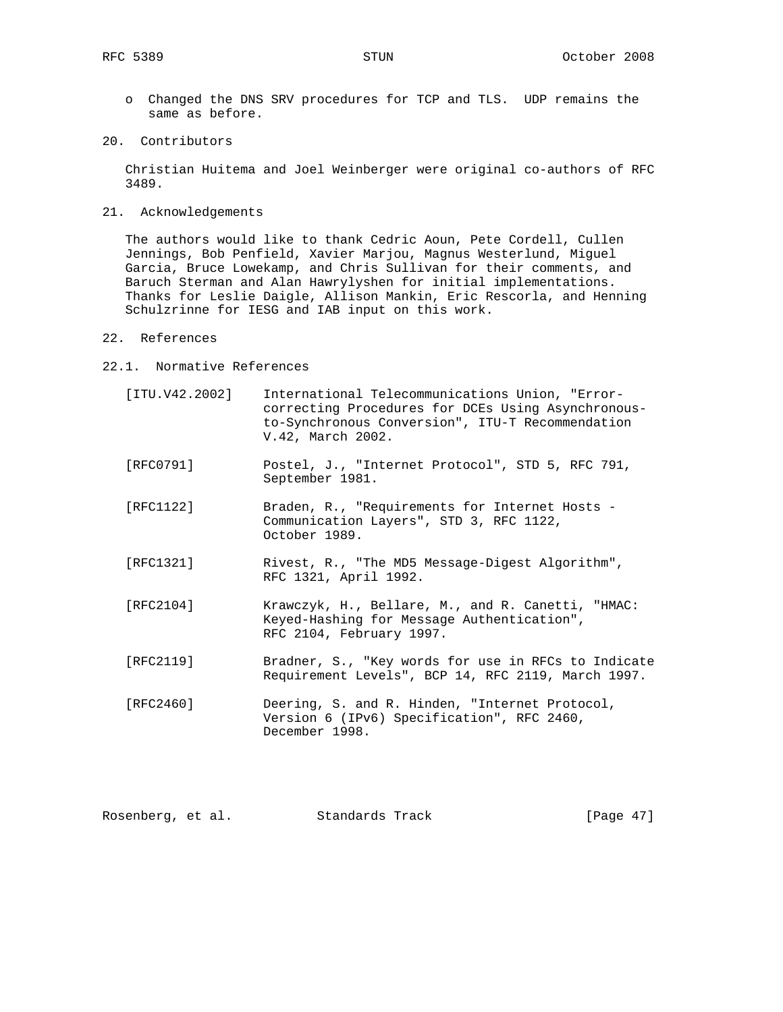- o Changed the DNS SRV procedures for TCP and TLS. UDP remains the same as before.
- 20. Contributors

 Christian Huitema and Joel Weinberger were original co-authors of RFC 3489.

21. Acknowledgements

 The authors would like to thank Cedric Aoun, Pete Cordell, Cullen Jennings, Bob Penfield, Xavier Marjou, Magnus Westerlund, Miguel Garcia, Bruce Lowekamp, and Chris Sullivan for their comments, and Baruch Sterman and Alan Hawrylyshen for initial implementations. Thanks for Leslie Daigle, Allison Mankin, Eric Rescorla, and Henning Schulzrinne for IESG and IAB input on this work.

- 22. References
- 22.1. Normative References
	- [ITU.V42.2002] International Telecommunications Union, "Error correcting Procedures for DCEs Using Asynchronous to-Synchronous Conversion", ITU-T Recommendation V.42, March 2002.
	- [RFC0791] Postel, J., "Internet Protocol", STD 5, RFC 791, September 1981.
	- [RFC1122] Braden, R., "Requirements for Internet Hosts Communication Layers", STD 3, RFC 1122, October 1989.
	- [RFC1321] Rivest, R., "The MD5 Message-Digest Algorithm", RFC 1321, April 1992.
	- [RFC2104] Krawczyk, H., Bellare, M., and R. Canetti, "HMAC: Keyed-Hashing for Message Authentication", RFC 2104, February 1997.
	- [RFC2119] Bradner, S., "Key words for use in RFCs to Indicate Requirement Levels", BCP 14, RFC 2119, March 1997.
	- [RFC2460] Deering, S. and R. Hinden, "Internet Protocol, Version 6 (IPv6) Specification", RFC 2460, December 1998.

| Rosenberg, et al. | Standards Track | [Page $47$ ] |
|-------------------|-----------------|--------------|
|-------------------|-----------------|--------------|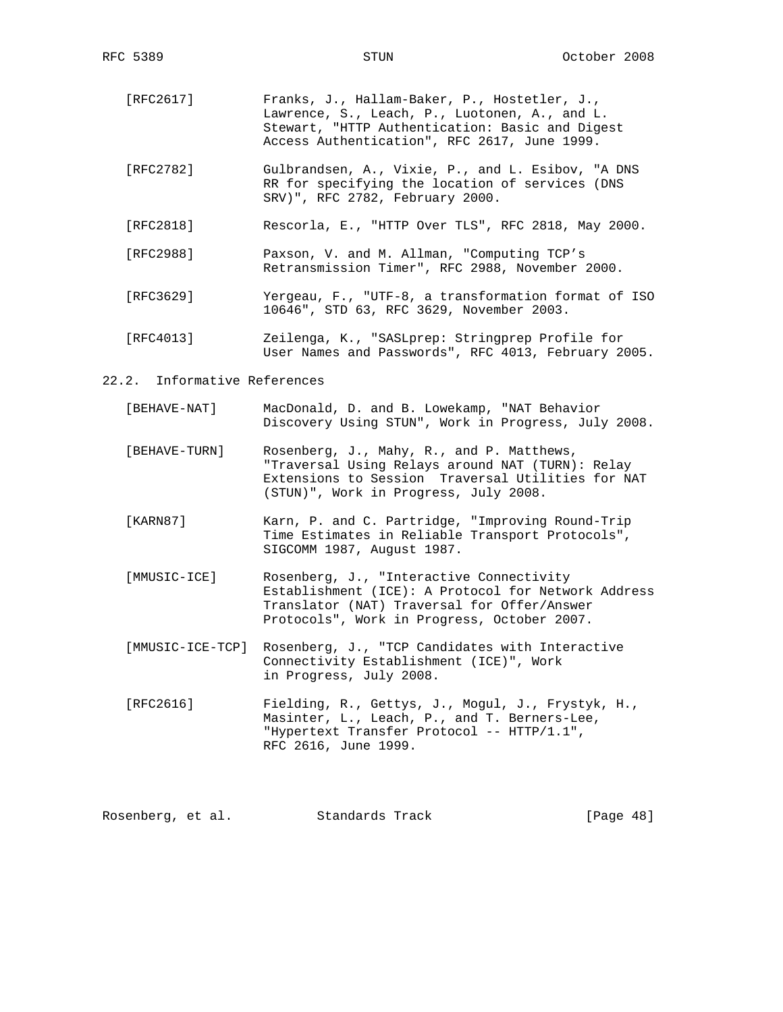- [RFC2617] Franks, J., Hallam-Baker, P., Hostetler, J., Lawrence, S., Leach, P., Luotonen, A., and L. Stewart, "HTTP Authentication: Basic and Digest Access Authentication", RFC 2617, June 1999.
- [RFC2782] Gulbrandsen, A., Vixie, P., and L. Esibov, "A DNS RR for specifying the location of services (DNS SRV)", RFC 2782, February 2000.
- [RFC2818] Rescorla, E., "HTTP Over TLS", RFC 2818, May 2000.
- [RFC2988] Paxson, V. and M. Allman, "Computing TCP's Retransmission Timer", RFC 2988, November 2000.
- [RFC3629] Yergeau, F., "UTF-8, a transformation format of ISO 10646", STD 63, RFC 3629, November 2003.
- [RFC4013] Zeilenga, K., "SASLprep: Stringprep Profile for User Names and Passwords", RFC 4013, February 2005.

### 22.2. Informative References

- [BEHAVE-NAT] MacDonald, D. and B. Lowekamp, "NAT Behavior Discovery Using STUN", Work in Progress, July 2008.
- [BEHAVE-TURN] Rosenberg, J., Mahy, R., and P. Matthews, "Traversal Using Relays around NAT (TURN): Relay Extensions to Session Traversal Utilities for NAT (STUN)", Work in Progress, July 2008.
- [KARN87] Karn, P. and C. Partridge, "Improving Round-Trip Time Estimates in Reliable Transport Protocols", SIGCOMM 1987, August 1987.
- [MMUSIC-ICE] Rosenberg, J., "Interactive Connectivity Establishment (ICE): A Protocol for Network Address Translator (NAT) Traversal for Offer/Answer Protocols", Work in Progress, October 2007.
- [MMUSIC-ICE-TCP] Rosenberg, J., "TCP Candidates with Interactive Connectivity Establishment (ICE)", Work in Progress, July 2008.
- [RFC2616] Fielding, R., Gettys, J., Mogul, J., Frystyk, H., Masinter, L., Leach, P., and T. Berners-Lee, "Hypertext Transfer Protocol -- HTTP/1.1", RFC 2616, June 1999.

Rosenberg, et al. Standards Track [Page 48]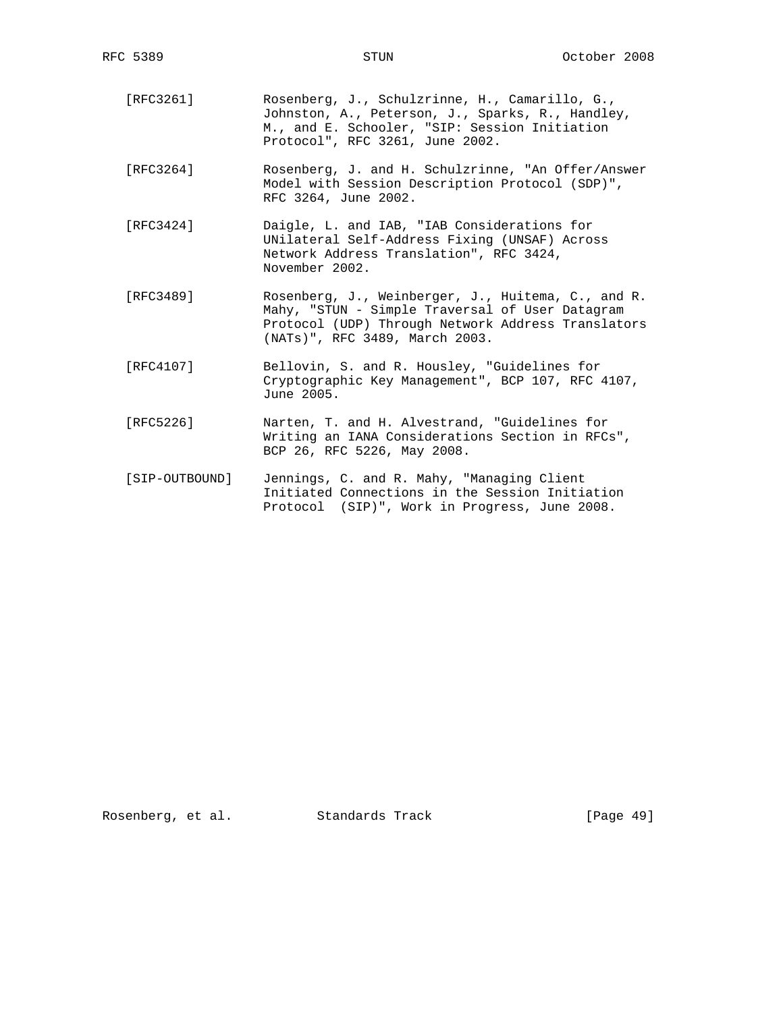- [RFC3261] Rosenberg, J., Schulzrinne, H., Camarillo, G., Johnston, A., Peterson, J., Sparks, R., Handley, M., and E. Schooler, "SIP: Session Initiation Protocol", RFC 3261, June 2002.
- [RFC3264] Rosenberg, J. and H. Schulzrinne, "An Offer/Answer Model with Session Description Protocol (SDP)", RFC 3264, June 2002.
- [RFC3424] Daigle, L. and IAB, "IAB Considerations for UNilateral Self-Address Fixing (UNSAF) Across Network Address Translation", RFC 3424, November 2002.
- [RFC3489] Rosenberg, J., Weinberger, J., Huitema, C., and R. Mahy, "STUN - Simple Traversal of User Datagram Protocol (UDP) Through Network Address Translators (NATs)", RFC 3489, March 2003.
- [RFC4107] Bellovin, S. and R. Housley, "Guidelines for Cryptographic Key Management", BCP 107, RFC 4107, June 2005.
- [RFC5226] Narten, T. and H. Alvestrand, "Guidelines for Writing an IANA Considerations Section in RFCs", BCP 26, RFC 5226, May 2008.
- [SIP-OUTBOUND] Jennings, C. and R. Mahy, "Managing Client Initiated Connections in the Session Initiation Protocol (SIP)", Work in Progress, June 2008.

Rosenberg, et al. Standards Track [Page 49]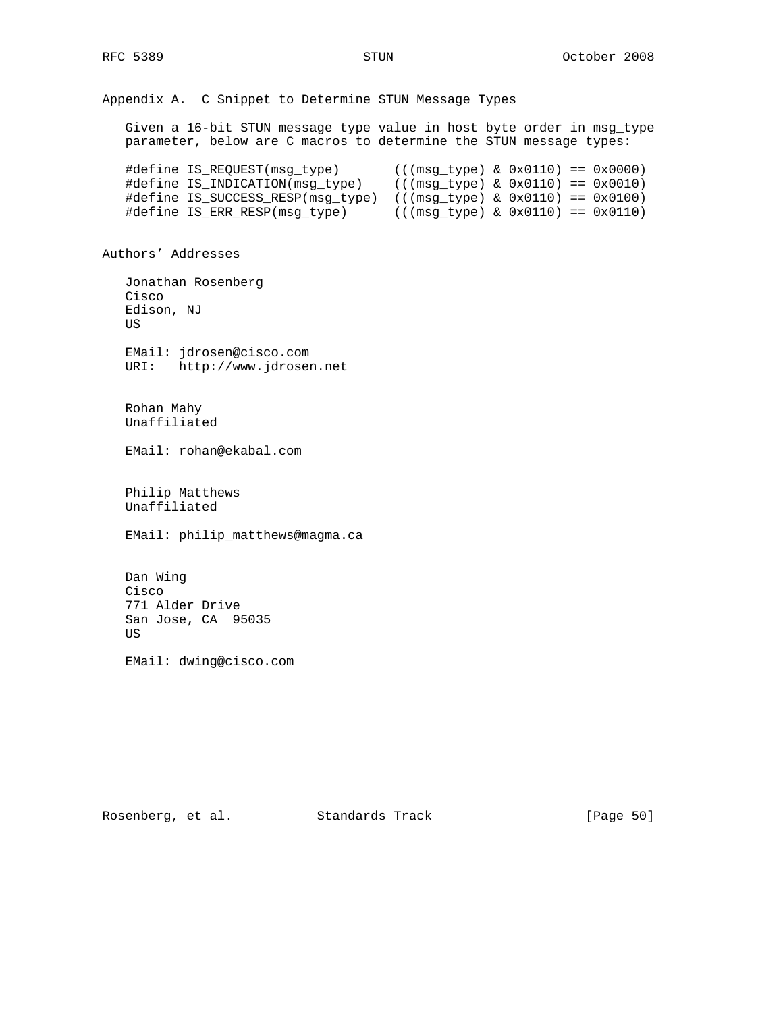Appendix A. C Snippet to Determine STUN Message Types Given a 16-bit STUN message type value in host byte order in msg\_type parameter, below are C macros to determine the STUN message types: #define IS\_REQUEST(msg\_type) (((msg\_type) & 0x0110) == 0x0000) #define IS\_INDICATION(msg\_type) (((msg\_type) & 0x0110) == 0x0010) #define IS\_SUCCESS\_RESP(msg\_type) (((msg\_type) & 0x0110) == 0x0100) #define IS\_ERR\_RESP(msg\_type) (((msg\_type) & 0x0110) == 0x0110) Authors' Addresses Jonathan Rosenberg Cisco Edison, NJ US EMail: jdrosen@cisco.com URI: http://www.jdrosen.net Rohan Mahy Unaffiliated EMail: rohan@ekabal.com Philip Matthews Unaffiliated EMail: philip\_matthews@magma.ca Dan Wing Cisco 771 Alder Drive San Jose, CA 95035 US

EMail: dwing@cisco.com

Rosenberg, et al. Standards Track [Page 50]